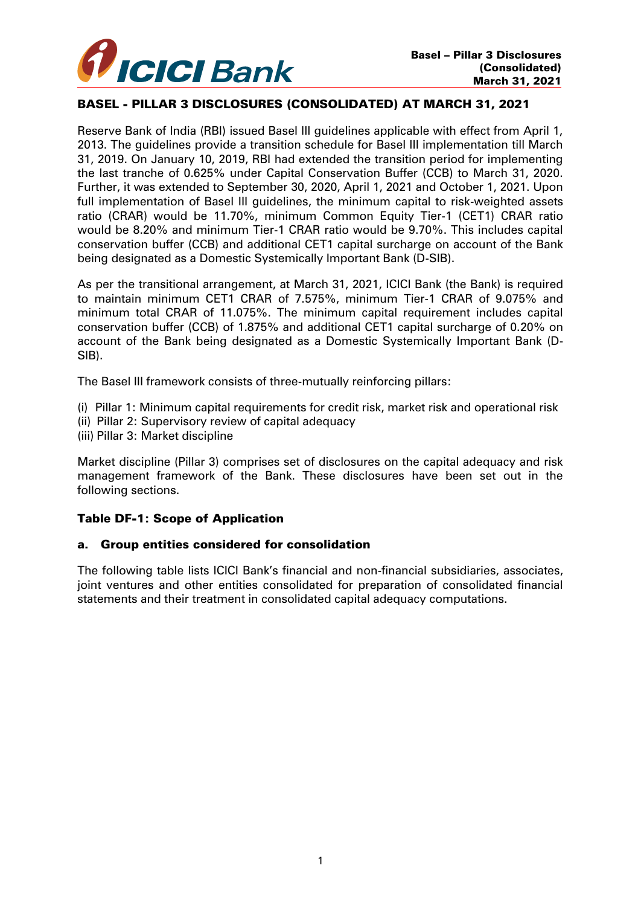

## BASEL - PILLAR 3 DISCLOSURES (CONSOLIDATED) AT MARCH 31, 2021

Reserve Bank of India (RBI) issued Basel III guidelines applicable with effect from April 1, 2013. The guidelines provide a transition schedule for Basel III implementation till March 31, 2019. On January 10, 2019, RBI had extended the transition period for implementing the last tranche of 0.625% under Capital Conservation Buffer (CCB) to March 31, 2020. Further, it was extended to September 30, 2020, April 1, 2021 and October 1, 2021. Upon full implementation of Basel III guidelines, the minimum capital to risk-weighted assets ratio (CRAR) would be 11.70%, minimum Common Equity Tier-1 (CET1) CRAR ratio would be 8.20% and minimum Tier-1 CRAR ratio would be 9.70%. This includes capital conservation buffer (CCB) and additional CET1 capital surcharge on account of the Bank being designated as a Domestic Systemically Important Bank (D-SIB).

As per the transitional arrangement, at March 31, 2021, ICICI Bank (the Bank) is required to maintain minimum CET1 CRAR of 7.575%, minimum Tier-1 CRAR of 9.075% and minimum total CRAR of 11.075%. The minimum capital requirement includes capital conservation buffer (CCB) of 1.875% and additional CET1 capital surcharge of 0.20% on account of the Bank being designated as a Domestic Systemically Important Bank (D-SIB).

The Basel III framework consists of three-mutually reinforcing pillars:

- (i) Pillar 1: Minimum capital requirements for credit risk, market risk and operational risk
- (ii) Pillar 2: Supervisory review of capital adequacy
- (iii) Pillar 3: Market discipline

Market discipline (Pillar 3) comprises set of disclosures on the capital adequacy and risk management framework of the Bank. These disclosures have been set out in the following sections.

## Table DF-1: Scope of Application

## a. Group entities considered for consolidation

The following table lists ICICI Bank's financial and non-financial subsidiaries, associates, joint ventures and other entities consolidated for preparation of consolidated financial statements and their treatment in consolidated capital adequacy computations.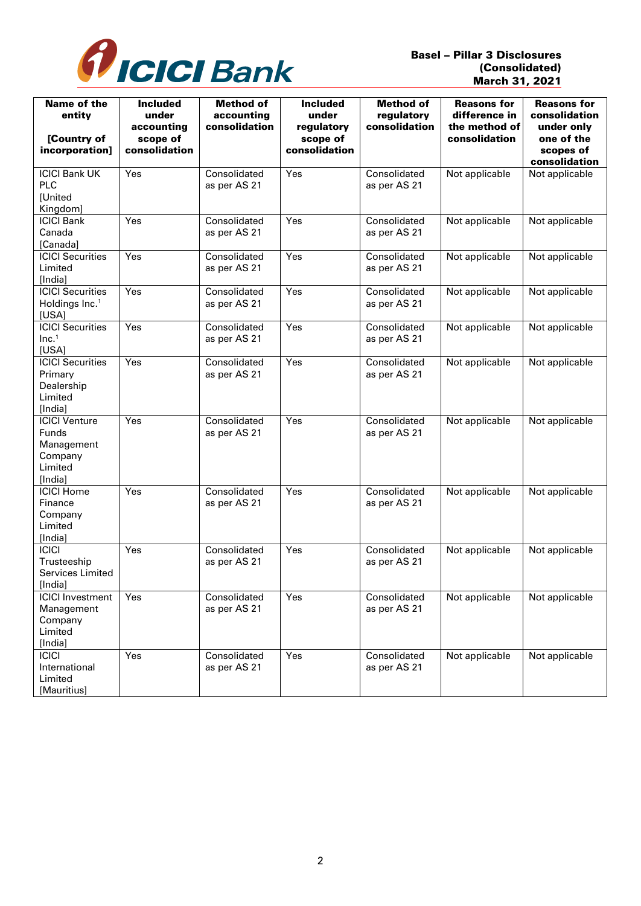

| Name of the<br>entity<br>[Country of<br>incorporation]                              | <b>Included</b><br>under<br>accounting<br>scope of<br>consolidation | <b>Method of</b><br>accounting<br>consolidation | <b>Included</b><br>under<br>regulatory<br>scope of<br>consolidation | <b>Method of</b><br>regulatory<br>consolidation | <b>Reasons for</b><br>difference in<br>the method of<br>consolidation | <b>Reasons for</b><br>consolidation<br>under only<br>one of the<br>scopes of<br>consolidation |
|-------------------------------------------------------------------------------------|---------------------------------------------------------------------|-------------------------------------------------|---------------------------------------------------------------------|-------------------------------------------------|-----------------------------------------------------------------------|-----------------------------------------------------------------------------------------------|
| <b>ICICI Bank UK</b><br>PLC<br>[United<br>Kingdom]                                  | Yes                                                                 | Consolidated<br>as per AS 21                    | Yes                                                                 | Consolidated<br>as per AS 21                    | Not applicable                                                        | Not applicable                                                                                |
| <b>ICICI Bank</b><br>Canada<br>[Canada]                                             | Yes                                                                 | Consolidated<br>as per AS 21                    | Yes                                                                 | Consolidated<br>as per AS 21                    | Not applicable                                                        | Not applicable                                                                                |
| <b>ICICI Securities</b><br>Limited<br>[India]                                       | Yes                                                                 | Consolidated<br>as per AS 21                    | Yes                                                                 | Consolidated<br>as per AS 21                    | Not applicable                                                        | Not applicable                                                                                |
| <b>ICICI Securities</b><br>Holdings Inc. <sup>1</sup><br>[USA]                      | Yes                                                                 | Consolidated<br>as per AS 21                    | Yes                                                                 | Consolidated<br>as per AS 21                    | Not applicable                                                        | Not applicable                                                                                |
| <b>ICICI Securities</b><br>Inc. <sup>1</sup><br>[USA]                               | Yes                                                                 | Consolidated<br>as per AS 21                    | Yes                                                                 | Consolidated<br>as per AS 21                    | Not applicable                                                        | Not applicable                                                                                |
| <b>ICICI Securities</b><br>Primary<br>Dealership<br>Limited<br>[India]              | Yes                                                                 | Consolidated<br>as per AS 21                    | Yes                                                                 | Consolidated<br>as per AS 21                    | Not applicable                                                        | Not applicable                                                                                |
| <b>ICICI Venture</b><br><b>Funds</b><br>Management<br>Company<br>Limited<br>[India] | Yes                                                                 | Consolidated<br>as per AS 21                    | Yes                                                                 | Consolidated<br>as per AS 21                    | Not applicable                                                        | Not applicable                                                                                |
| <b>ICICI Home</b><br>Finance<br>Company<br>Limited<br>[India]                       | Yes                                                                 | Consolidated<br>as per AS 21                    | Yes                                                                 | Consolidated<br>as per AS 21                    | Not applicable                                                        | Not applicable                                                                                |
| <b>ICICI</b><br>Trusteeship<br>Services Limited<br>[India]                          | Yes                                                                 | Consolidated<br>as per AS 21                    | Yes                                                                 | Consolidated<br>as per AS 21                    | Not applicable                                                        | Not applicable                                                                                |
| <b>ICICI Investment</b><br>Management<br>Company<br>Limited<br>[India]              | Yes                                                                 | Consolidated<br>as per AS 21                    | Yes                                                                 | Consolidated<br>as per AS 21                    | Not applicable                                                        | Not applicable                                                                                |
| <b>ICICI</b><br>International<br>Limited<br>[Mauritius]                             | Yes                                                                 | Consolidated<br>as per AS 21                    | Yes                                                                 | Consolidated<br>as per AS 21                    | Not applicable                                                        | Not applicable                                                                                |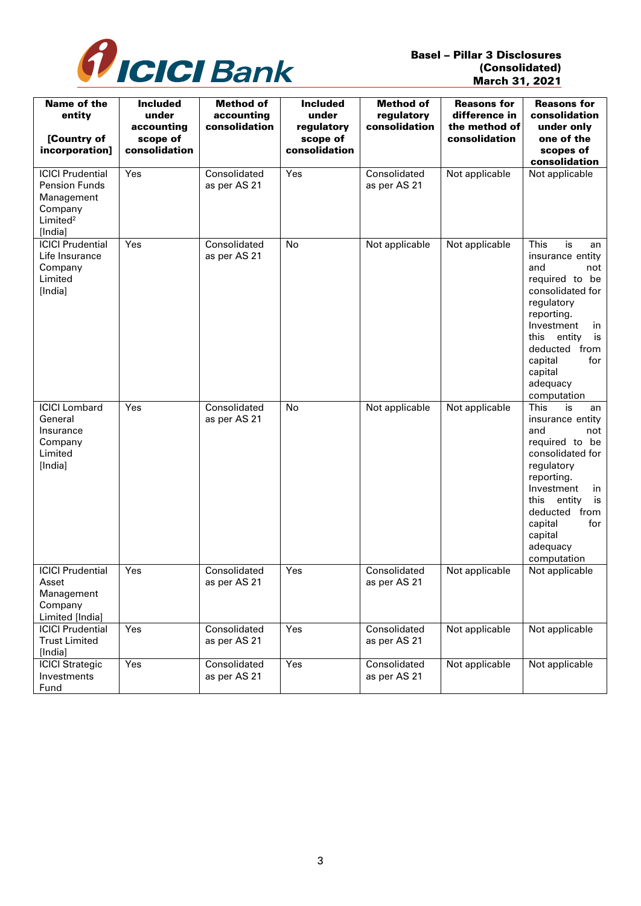

| Name of the<br>entity<br>[Country of<br>incorporation]                                                      | <b>Included</b><br>under<br>accounting<br>scope of<br>consolidation | <b>Method of</b><br>accounting<br>consolidation | <b>Included</b><br>under<br>regulatory<br>scope of<br>consolidation | <b>Method of</b><br>regulatory<br>consolidation | <b>Reasons for</b><br>difference in<br>the method of<br>consolidation | <b>Reasons for</b><br>consolidation<br>under only<br>one of the<br>scopes of<br>consolidation                                                                                                                                                       |
|-------------------------------------------------------------------------------------------------------------|---------------------------------------------------------------------|-------------------------------------------------|---------------------------------------------------------------------|-------------------------------------------------|-----------------------------------------------------------------------|-----------------------------------------------------------------------------------------------------------------------------------------------------------------------------------------------------------------------------------------------------|
| <b>ICICI Prudential</b><br><b>Pension Funds</b><br>Management<br>Company<br>Limited <sup>2</sup><br>[India] | Yes                                                                 | Consolidated<br>as per AS 21                    | Yes                                                                 | Consolidated<br>as per AS 21                    | Not applicable                                                        | Not applicable                                                                                                                                                                                                                                      |
| <b>ICICI Prudential</b><br>Life Insurance<br>Company<br>Limited<br>[India]                                  | Yes                                                                 | Consolidated<br>as per AS 21                    | No                                                                  | Not applicable                                  | Not applicable                                                        | <b>This</b><br>is<br>an<br>insurance entity<br>and<br>not<br>required to<br>be<br>consolidated for<br>regulatory<br>reporting.<br>Investment<br>in<br>this<br>entity<br>is<br>deducted from<br>capital<br>for<br>capital<br>adequacy<br>computation |
| <b>ICICI Lombard</b><br>General<br>Insurance<br>Company<br>Limited<br>[India]                               | Yes                                                                 | Consolidated<br>as per AS 21                    | No                                                                  | Not applicable                                  | Not applicable                                                        | <b>This</b><br>is<br>an<br>insurance entity<br>and<br>not<br>required to be<br>consolidated for<br>regulatory<br>reporting.<br>Investment<br>in<br>entity<br>this<br>is<br>deducted from<br>capital<br>for<br>capital<br>adequacy<br>computation    |
| <b>ICICI</b> Prudential<br>Asset<br>Management<br>Company<br>Limited [India]                                | Yes                                                                 | Consolidated<br>as per AS 21                    | Yes                                                                 | Consolidated<br>as per AS 21                    | Not applicable                                                        | Not applicable                                                                                                                                                                                                                                      |
| <b>ICICI Prudential</b><br><b>Trust Limited</b><br>[India]                                                  | Yes                                                                 | Consolidated<br>as per AS 21                    | Yes                                                                 | Consolidated<br>as per AS 21                    | Not applicable                                                        | Not applicable                                                                                                                                                                                                                                      |
| <b>ICICI Strategic</b><br>Investments<br>Fund                                                               | Yes                                                                 | Consolidated<br>as per AS 21                    | Yes                                                                 | Consolidated<br>as per AS 21                    | Not applicable                                                        | Not applicable                                                                                                                                                                                                                                      |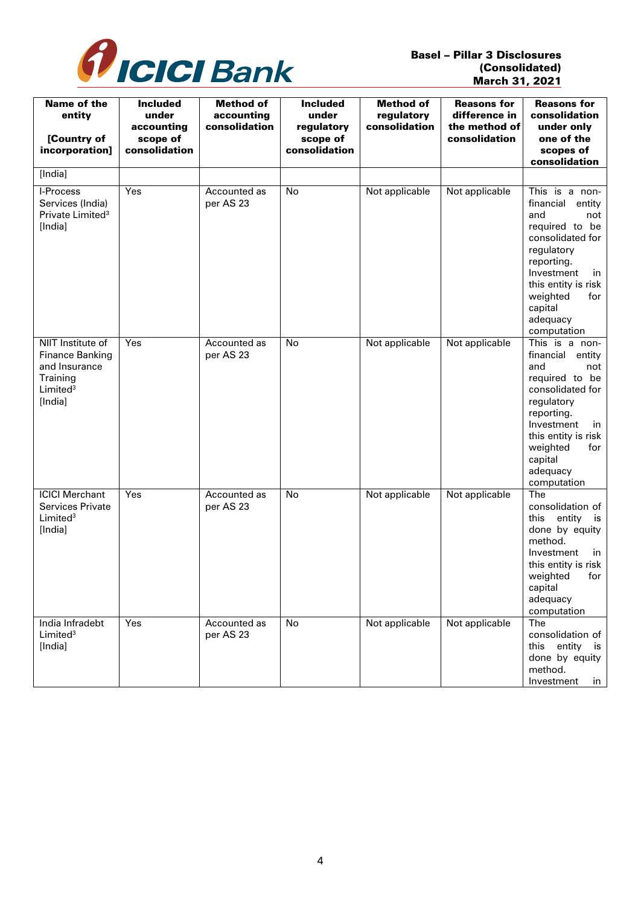

| <b>Name of the</b><br>entity<br>[Country of<br>incorporation]                                               | <b>Included</b><br>under<br>accounting<br>scope of<br>consolidation | <b>Method of</b><br>accounting<br>consolidation | <b>Included</b><br>under<br>regulatory<br>scope of<br>consolidation | <b>Method of</b><br>regulatory<br>consolidation | <b>Reasons for</b><br>difference in<br>the method of<br>consolidation | <b>Reasons for</b><br>consolidation<br>under only<br>one of the<br>scopes of<br>consolidation                                                                                                                             |
|-------------------------------------------------------------------------------------------------------------|---------------------------------------------------------------------|-------------------------------------------------|---------------------------------------------------------------------|-------------------------------------------------|-----------------------------------------------------------------------|---------------------------------------------------------------------------------------------------------------------------------------------------------------------------------------------------------------------------|
| [India]                                                                                                     |                                                                     |                                                 |                                                                     |                                                 |                                                                       |                                                                                                                                                                                                                           |
| I-Process<br>Services (India)<br>Private Limited <sup>3</sup><br>[India]                                    | Yes                                                                 | Accounted as<br>per AS 23                       | <b>No</b>                                                           | Not applicable                                  | Not applicable                                                        | This is a non-<br>financial<br>entity<br>and<br>not<br>required to be<br>consolidated for<br>regulatory<br>reporting.<br>Investment<br>in<br>this entity is risk<br>weighted<br>for<br>capital<br>adequacy<br>computation |
| NIIT Institute of<br><b>Finance Banking</b><br>and Insurance<br>Training<br>Limited <sup>3</sup><br>[India] | Yes                                                                 | Accounted as<br>per AS 23                       | No                                                                  | Not applicable                                  | Not applicable                                                        | This is a non-<br>financial<br>entity<br>and<br>not<br>required to be<br>consolidated for<br>regulatory<br>reporting.<br>Investment<br>in<br>this entity is risk<br>weighted<br>for<br>capital<br>adequacy<br>computation |
| <b>ICICI Merchant</b><br><b>Services Private</b><br>Limited <sup>3</sup><br>[India]                         | Yes                                                                 | Accounted as<br>per AS 23                       | No                                                                  | Not applicable                                  | Not applicable                                                        | The<br>consolidation of<br>this entity is<br>done by equity<br>method.<br>Investment<br>in<br>this entity is risk<br>for<br>weighted<br>capital<br>adequacy<br>computation                                                |
| India Infradebt<br>Limited <sup>3</sup><br>[India]                                                          | Yes                                                                 | Accounted as<br>per AS 23                       | No                                                                  | Not applicable                                  | Not applicable                                                        | The<br>consolidation of<br>this entity is<br>done by equity<br>method.<br>Investment<br>in                                                                                                                                |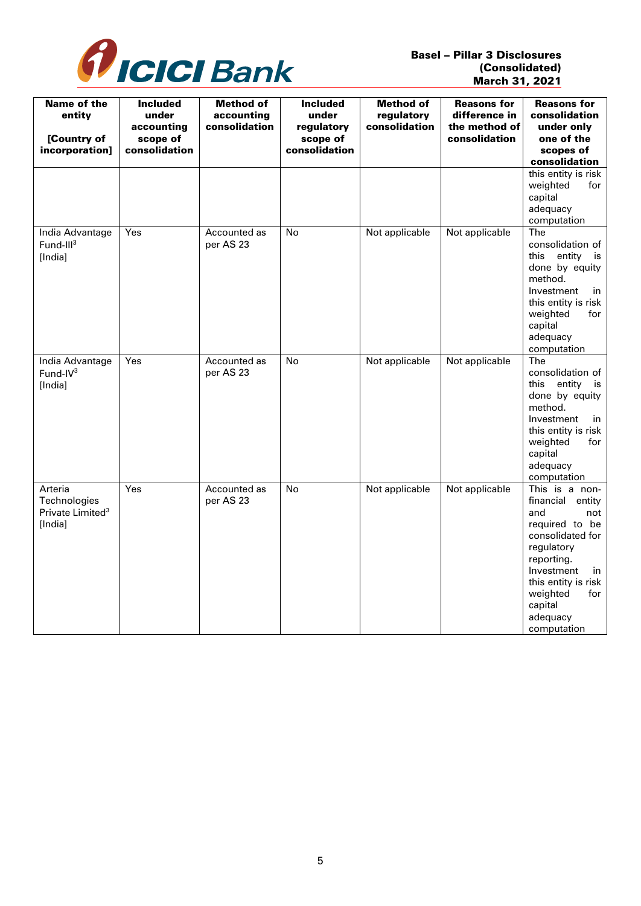

| <b>Name of the</b><br>entity<br>[Country of<br>incorporation]      | <b>Included</b><br>under<br>accounting<br>scope of<br>consolidation | <b>Method of</b><br>accounting<br>consolidation | <b>Included</b><br>under<br>regulatory<br>scope of<br>consolidation | <b>Method of</b><br>regulatory<br>consolidation | <b>Reasons for</b><br>difference in<br>the method of<br>consolidation | <b>Reasons for</b><br>consolidation<br>under only<br>one of the<br>scopes of<br>consolidation                                                                                                                             |
|--------------------------------------------------------------------|---------------------------------------------------------------------|-------------------------------------------------|---------------------------------------------------------------------|-------------------------------------------------|-----------------------------------------------------------------------|---------------------------------------------------------------------------------------------------------------------------------------------------------------------------------------------------------------------------|
|                                                                    |                                                                     |                                                 |                                                                     |                                                 |                                                                       | this entity is risk<br>weighted<br>for<br>capital<br>adequacy<br>computation                                                                                                                                              |
| India Advantage<br>Fund-III $3$<br>[India]                         | Yes                                                                 | Accounted as<br>per AS 23                       | No                                                                  | Not applicable                                  | Not applicable                                                        | The<br>consolidation of<br>this<br>entity<br>is<br>done by equity<br>method.<br>Investment<br>in<br>this entity is risk<br>weighted<br>for<br>capital<br>adequacy<br>computation                                          |
| India Advantage<br>Fund-IV <sup>3</sup><br>[India]                 | Yes                                                                 | Accounted as<br>per AS 23                       | <b>No</b>                                                           | Not applicable                                  | Not applicable                                                        | The<br>consolidation of<br>entity<br>this<br>is<br>done by equity<br>method.<br>Investment<br>in<br>this entity is risk<br>weighted<br>for<br>capital<br>adequacy<br>computation                                          |
| Arteria<br>Technologies<br>Private Limited <sup>3</sup><br>[India] | Yes                                                                 | Accounted as<br>per AS 23                       | <b>No</b>                                                           | Not applicable                                  | Not applicable                                                        | This is a non-<br>financial<br>entity<br>and<br>not<br>required to be<br>consolidated for<br>regulatory<br>reporting.<br>Investment<br>in<br>this entity is risk<br>weighted<br>for<br>capital<br>adequacy<br>computation |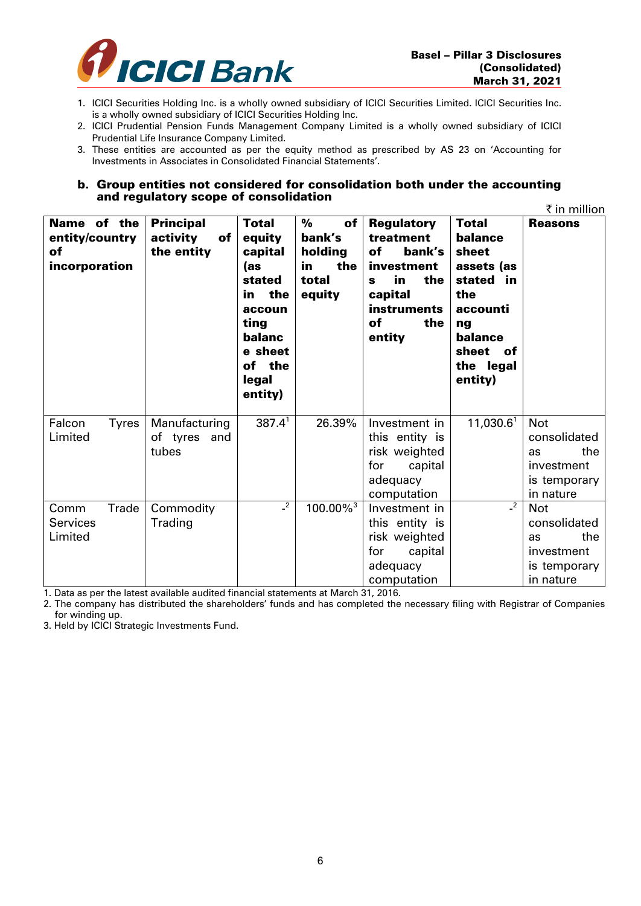

- 1. ICICI Securities Holding Inc. is a wholly owned subsidiary of ICICI Securities Limited. ICICI Securities Inc. is a wholly owned subsidiary of ICICI Securities Holding Inc.
- 2. ICICI Prudential Pension Funds Management Company Limited is a wholly owned subsidiary of ICICI Prudential Life Insurance Company Limited.
- 3. These entities are accounted as per the equity method as prescribed by AS 23 on 'Accounting for Investments in Associates in Consolidated Financial Statements'.

#### b. Group entities not considered for consolidation both under the accounting and regulatory scope of consolidation

|                                                      |                                                  |                                                                                                                                   |                                                              |                                                                                                                                        |                                                                                                                                     | ₹ in million                                                                              |
|------------------------------------------------------|--------------------------------------------------|-----------------------------------------------------------------------------------------------------------------------------------|--------------------------------------------------------------|----------------------------------------------------------------------------------------------------------------------------------------|-------------------------------------------------------------------------------------------------------------------------------------|-------------------------------------------------------------------------------------------|
| Name of the<br>entity/country<br>of<br>incorporation | <b>Principal</b><br>activity<br>of<br>the entity | <b>Total</b><br>equity<br>capital<br>(as<br>stated<br>in the<br>accoun<br>ting<br>balanc<br>e sheet<br>of the<br>legal<br>entity) | %<br>of<br>bank's<br>holding<br>the<br>in<br>total<br>equity | <b>Regulatory</b><br>treatment<br>of<br>bank's<br>investment<br>in<br>the<br>S<br>capital<br><b>instruments</b><br>of<br>the<br>entity | <b>Total</b><br>balance<br>sheet<br>assets (as<br>stated in<br>the<br>accounti<br>ng<br>balance<br>sheet of<br>the legal<br>entity) | <b>Reasons</b>                                                                            |
| Falcon<br><b>Tyres</b><br>Limited                    | Manufacturing<br>of tyres and<br>tubes           | 387.4 <sup>1</sup>                                                                                                                | 26.39%                                                       | Investment in<br>this entity is<br>risk weighted<br>capital<br>for<br>adequacy<br>computation                                          | 11,030.6 <sup>1</sup>                                                                                                               | <b>Not</b><br>consolidated<br>the<br><b>as</b><br>investment<br>is temporary<br>in nature |
| Trade<br>Comm<br><b>Services</b><br>Limited          | Commodity<br>Trading                             | $\overline{c^2}$                                                                                                                  | $100.00\%$ <sup>3</sup>                                      | Investment in<br>this entity is<br>risk weighted<br>for<br>capital<br>adequacy<br>computation                                          | $\frac{2}{\epsilon}$                                                                                                                | <b>Not</b><br>consolidated<br>the<br><b>as</b><br>investment<br>is temporary<br>in nature |

1. Data as per the latest available audited financial statements at March 31, 2016.

2. The company has distributed the shareholders' funds and has completed the necessary filing with Registrar of Companies for winding up.

3. Held by ICICI Strategic Investments Fund.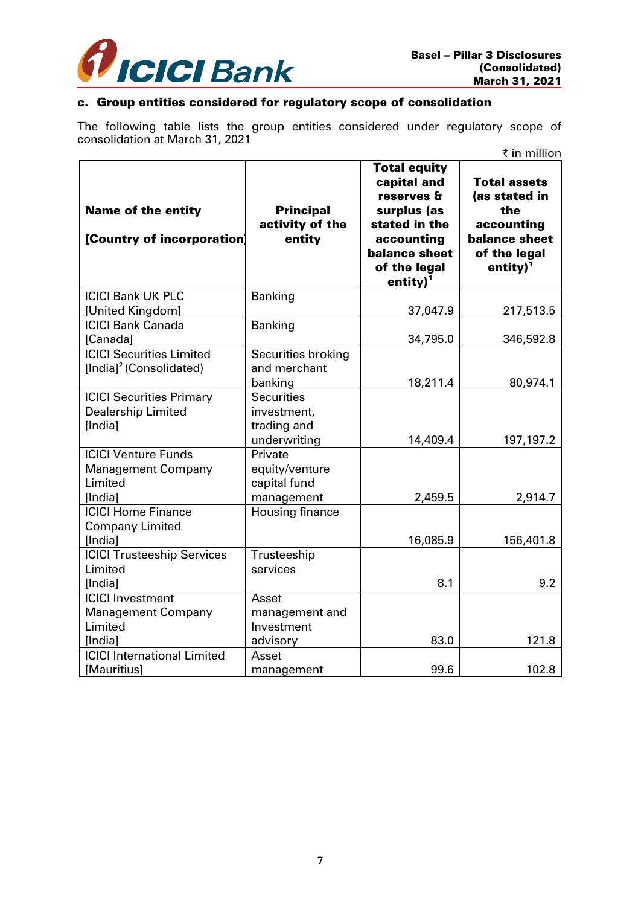

# c. Group entities considered for regulatory scope of consolidation

The following table lists the group entities considered under regulatory scope of consolidation at March 31, 2021

|                                                                    |                                               |                                                                                                                                                                | ₹ in million                                                                                                              |
|--------------------------------------------------------------------|-----------------------------------------------|----------------------------------------------------------------------------------------------------------------------------------------------------------------|---------------------------------------------------------------------------------------------------------------------------|
| <b>Name of the entity</b><br>[Country of incorporation]            | <b>Principal</b><br>activity of the<br>entity | <b>Total equity</b><br>capital and<br>reserves &<br>surplus (as<br>stated in the<br>accounting<br><b>balance sheet</b><br>of the legal<br>entity) <sup>1</sup> | <b>Total assets</b><br>(as stated in<br>the<br>accounting<br><b>balance sheet</b><br>of the legal<br>entity) <sup>1</sup> |
| <b>ICICI Bank UK PLC</b>                                           | <b>Banking</b>                                |                                                                                                                                                                |                                                                                                                           |
| [United Kingdom]                                                   |                                               | 37,047.9                                                                                                                                                       | 217,513.5                                                                                                                 |
| <b>ICICI Bank Canada</b>                                           | <b>Banking</b>                                |                                                                                                                                                                |                                                                                                                           |
| [Canada]<br><b>ICICI Securities Limited</b>                        |                                               | 34,795.0                                                                                                                                                       | 346,592.8                                                                                                                 |
| [India] <sup>2</sup> (Consolidated)                                | Securities broking<br>and merchant<br>banking | 18,211.4                                                                                                                                                       | 80,974.1                                                                                                                  |
| <b>ICICI Securities Primary</b>                                    | <b>Securities</b>                             |                                                                                                                                                                |                                                                                                                           |
| <b>Dealership Limited</b>                                          | investment,                                   |                                                                                                                                                                |                                                                                                                           |
| [India]                                                            | trading and                                   |                                                                                                                                                                |                                                                                                                           |
|                                                                    | underwriting                                  | 14,409.4                                                                                                                                                       | 197,197.2                                                                                                                 |
| <b>ICICI Venture Funds</b><br><b>Management Company</b><br>Limited | Private<br>equity/venture<br>capital fund     |                                                                                                                                                                |                                                                                                                           |
| [India]                                                            | management                                    | 2,459.5                                                                                                                                                        | 2,914.7                                                                                                                   |
| <b>ICICI Home Finance</b><br><b>Company Limited</b>                | Housing finance                               |                                                                                                                                                                |                                                                                                                           |
| [India]                                                            |                                               | 16,085.9                                                                                                                                                       | 156,401.8                                                                                                                 |
| <b>ICICI Trusteeship Services</b><br>Limited                       | Trusteeship<br>services                       |                                                                                                                                                                |                                                                                                                           |
| [India]                                                            |                                               | 8.1                                                                                                                                                            | 9.2                                                                                                                       |
| <b>ICICI Investment</b><br><b>Management Company</b><br>Limited    | Asset<br>management and<br>Investment         |                                                                                                                                                                |                                                                                                                           |
| [India]                                                            | advisory                                      | 83.0                                                                                                                                                           | 121.8                                                                                                                     |
| <b>ICICI</b> International Limited                                 | Asset                                         |                                                                                                                                                                |                                                                                                                           |
| [Mauritius]                                                        | management                                    | 99.6                                                                                                                                                           | 102.8                                                                                                                     |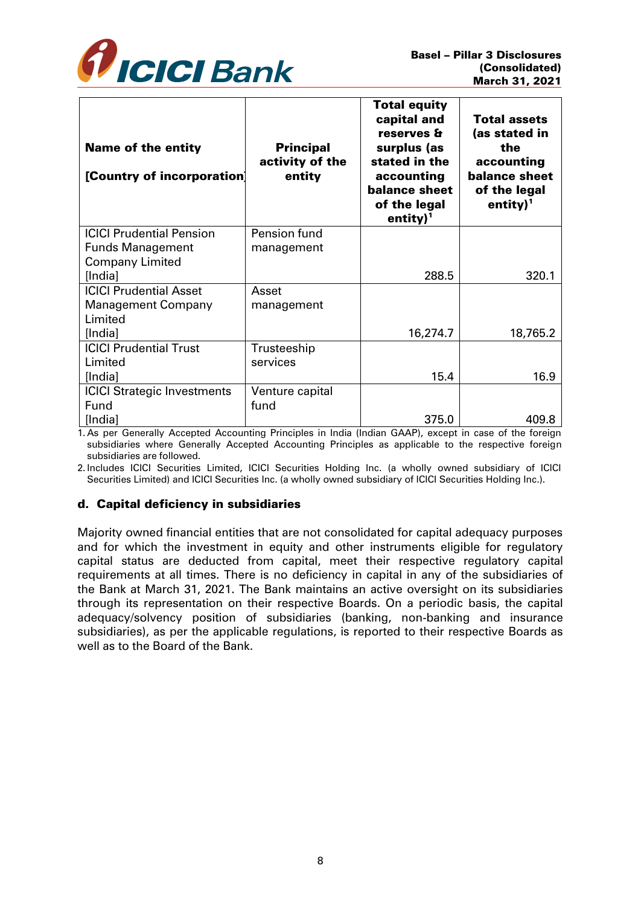

| <b>Name of the entity</b><br>[Country of incorporation] | <b>Principal</b><br>activity of the<br>entity | Total equity<br>capital and<br>reserves &<br>surplus (as<br>stated in the<br>accounting<br>balance sheet<br>of the legal<br>entity) <sup>1</sup> | <b>Total assets</b><br>(as stated in<br>the<br>accounting<br><b>balance sheet</b><br>of the legal<br>entity) <sup>1</sup> |
|---------------------------------------------------------|-----------------------------------------------|--------------------------------------------------------------------------------------------------------------------------------------------------|---------------------------------------------------------------------------------------------------------------------------|
| <b>ICICI Prudential Pension</b>                         | Pension fund                                  |                                                                                                                                                  |                                                                                                                           |
| <b>Funds Management</b>                                 | management                                    |                                                                                                                                                  |                                                                                                                           |
| <b>Company Limited</b>                                  |                                               |                                                                                                                                                  |                                                                                                                           |
| [India]                                                 |                                               | 288.5                                                                                                                                            | 320.1                                                                                                                     |
| <b>ICICI Prudential Asset</b>                           | Asset                                         |                                                                                                                                                  |                                                                                                                           |
| <b>Management Company</b>                               | management                                    |                                                                                                                                                  |                                                                                                                           |
| Limited                                                 |                                               |                                                                                                                                                  |                                                                                                                           |
| [India]                                                 |                                               | 16,274.7                                                                                                                                         | 18,765.2                                                                                                                  |
| <b>ICICI Prudential Trust</b>                           | Trusteeship                                   |                                                                                                                                                  |                                                                                                                           |
| Limited                                                 | services                                      |                                                                                                                                                  |                                                                                                                           |
| [India]                                                 |                                               | 15.4                                                                                                                                             | 16.9                                                                                                                      |
| <b>ICICI Strategic Investments</b>                      | Venture capital                               |                                                                                                                                                  |                                                                                                                           |
| Fund                                                    | fund                                          |                                                                                                                                                  |                                                                                                                           |
| [India]                                                 |                                               | 375.0                                                                                                                                            | 409.8                                                                                                                     |

1. As per Generally Accepted Accounting Principles in India (Indian GAAP), except in case of the foreign subsidiaries where Generally Accepted Accounting Principles as applicable to the respective foreign subsidiaries are followed.

2. Includes ICICI Securities Limited, ICICI Securities Holding Inc. (a wholly owned subsidiary of ICICI Securities Limited) and ICICI Securities Inc. (a wholly owned subsidiary of ICICI Securities Holding Inc.).

## d. Capital deficiency in subsidiaries

Majority owned financial entities that are not consolidated for capital adequacy purposes and for which the investment in equity and other instruments eligible for regulatory capital status are deducted from capital, meet their respective regulatory capital requirements at all times. There is no deficiency in capital in any of the subsidiaries of the Bank at March 31, 2021. The Bank maintains an active oversight on its subsidiaries through its representation on their respective Boards. On a periodic basis, the capital adequacy/solvency position of subsidiaries (banking, non-banking and insurance subsidiaries), as per the applicable regulations, is reported to their respective Boards as well as to the Board of the Bank.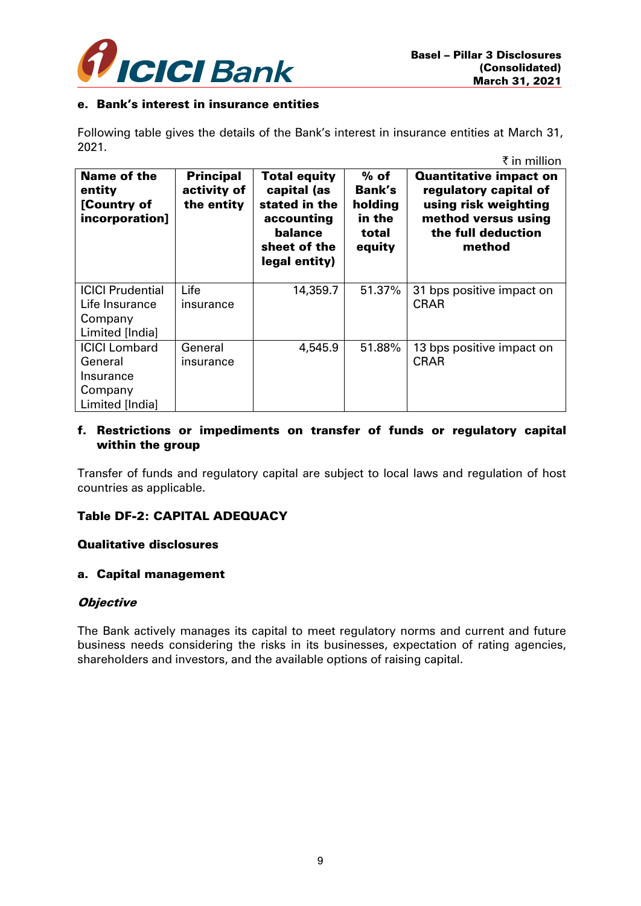

#### e. Bank's interest in insurance entities

Following table gives the details of the Bank's interest in insurance entities at March 31, 2021.  $\overline{f}$  in million

| Name of the<br>entity<br>[Country of<br>incorporation]                     | <b>Principal</b><br>activity of<br>the entity | <b>Total equity</b><br>capital (as<br>stated in the<br>accounting<br>balance<br>sheet of the<br>legal entity) | $%$ of<br>Bank's<br>holding<br>in the<br>total<br>equity | <b>Quantitative impact on</b><br>regulatory capital of<br>using risk weighting<br>method versus using<br>the full deduction<br>method |
|----------------------------------------------------------------------------|-----------------------------------------------|---------------------------------------------------------------------------------------------------------------|----------------------------------------------------------|---------------------------------------------------------------------------------------------------------------------------------------|
| <b>ICICI Prudential</b><br>Life Insurance<br>Company<br>Limited [India]    | Life<br>insurance                             | 14,359.7                                                                                                      | 51.37%                                                   | 31 bps positive impact on<br><b>CRAR</b>                                                                                              |
| <b>ICICI Lombard</b><br>General<br>Insurance<br>Company<br>Limited [India] | General<br>insurance                          | 4,545.9                                                                                                       | 51.88%                                                   | 13 bps positive impact on<br><b>CRAR</b>                                                                                              |

## f. Restrictions or impediments on transfer of funds or regulatory capital within the group

Transfer of funds and regulatory capital are subject to local laws and regulation of host countries as applicable.

## Table DF-2: CAPITAL ADEQUACY

#### Qualitative disclosures

#### a. Capital management

#### **Objective**

The Bank actively manages its capital to meet regulatory norms and current and future business needs considering the risks in its businesses, expectation of rating agencies, shareholders and investors, and the available options of raising capital.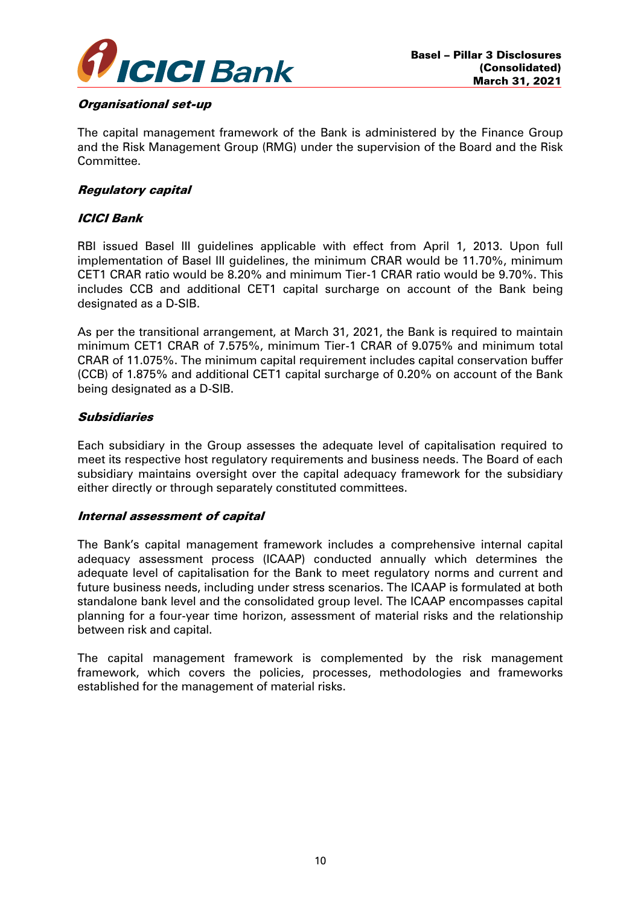

### Organisational set-up

The capital management framework of the Bank is administered by the Finance Group and the Risk Management Group (RMG) under the supervision of the Board and the Risk Committee.

## Regulatory capital

## ICICI Bank

RBI issued Basel III guidelines applicable with effect from April 1, 2013. Upon full implementation of Basel III guidelines, the minimum CRAR would be 11.70%, minimum CET1 CRAR ratio would be 8.20% and minimum Tier-1 CRAR ratio would be 9.70%. This includes CCB and additional CET1 capital surcharge on account of the Bank being designated as a D-SIB.

As per the transitional arrangement, at March 31, 2021, the Bank is required to maintain minimum CET1 CRAR of 7.575%, minimum Tier-1 CRAR of 9.075% and minimum total CRAR of 11.075%. The minimum capital requirement includes capital conservation buffer (CCB) of 1.875% and additional CET1 capital surcharge of 0.20% on account of the Bank being designated as a D-SIB.

## Subsidiaries

Each subsidiary in the Group assesses the adequate level of capitalisation required to meet its respective host regulatory requirements and business needs. The Board of each subsidiary maintains oversight over the capital adequacy framework for the subsidiary either directly or through separately constituted committees.

## Internal assessment of capital

The Bank's capital management framework includes a comprehensive internal capital adequacy assessment process (ICAAP) conducted annually which determines the adequate level of capitalisation for the Bank to meet regulatory norms and current and future business needs, including under stress scenarios. The ICAAP is formulated at both standalone bank level and the consolidated group level. The ICAAP encompasses capital planning for a four-year time horizon, assessment of material risks and the relationship between risk and capital.

The capital management framework is complemented by the risk management framework, which covers the policies, processes, methodologies and frameworks established for the management of material risks.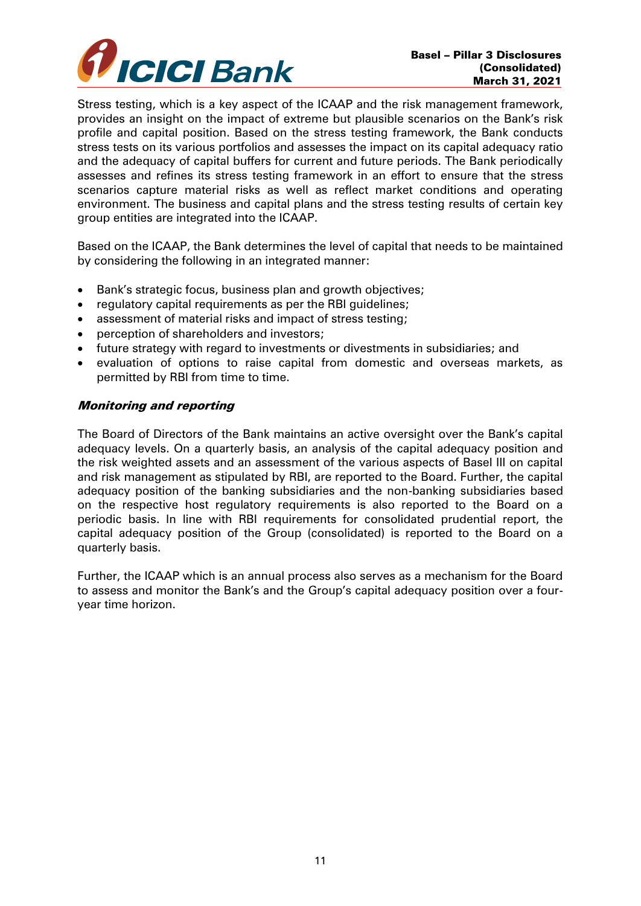

Stress testing, which is a key aspect of the ICAAP and the risk management framework, provides an insight on the impact of extreme but plausible scenarios on the Bank's risk profile and capital position. Based on the stress testing framework, the Bank conducts stress tests on its various portfolios and assesses the impact on its capital adequacy ratio and the adequacy of capital buffers for current and future periods. The Bank periodically assesses and refines its stress testing framework in an effort to ensure that the stress scenarios capture material risks as well as reflect market conditions and operating environment. The business and capital plans and the stress testing results of certain key group entities are integrated into the ICAAP.

Based on the ICAAP, the Bank determines the level of capital that needs to be maintained by considering the following in an integrated manner:

- Bank's strategic focus, business plan and growth objectives;
- regulatory capital requirements as per the RBI guidelines;
- assessment of material risks and impact of stress testing;
- perception of shareholders and investors;
- future strategy with regard to investments or divestments in subsidiaries; and
- evaluation of options to raise capital from domestic and overseas markets, as permitted by RBI from time to time.

### Monitoring and reporting

The Board of Directors of the Bank maintains an active oversight over the Bank's capital adequacy levels. On a quarterly basis, an analysis of the capital adequacy position and the risk weighted assets and an assessment of the various aspects of Basel III on capital and risk management as stipulated by RBI, are reported to the Board. Further, the capital adequacy position of the banking subsidiaries and the non-banking subsidiaries based on the respective host regulatory requirements is also reported to the Board on a periodic basis. In line with RBI requirements for consolidated prudential report, the capital adequacy position of the Group (consolidated) is reported to the Board on a quarterly basis.

Further, the ICAAP which is an annual process also serves as a mechanism for the Board to assess and monitor the Bank's and the Group's capital adequacy position over a fouryear time horizon.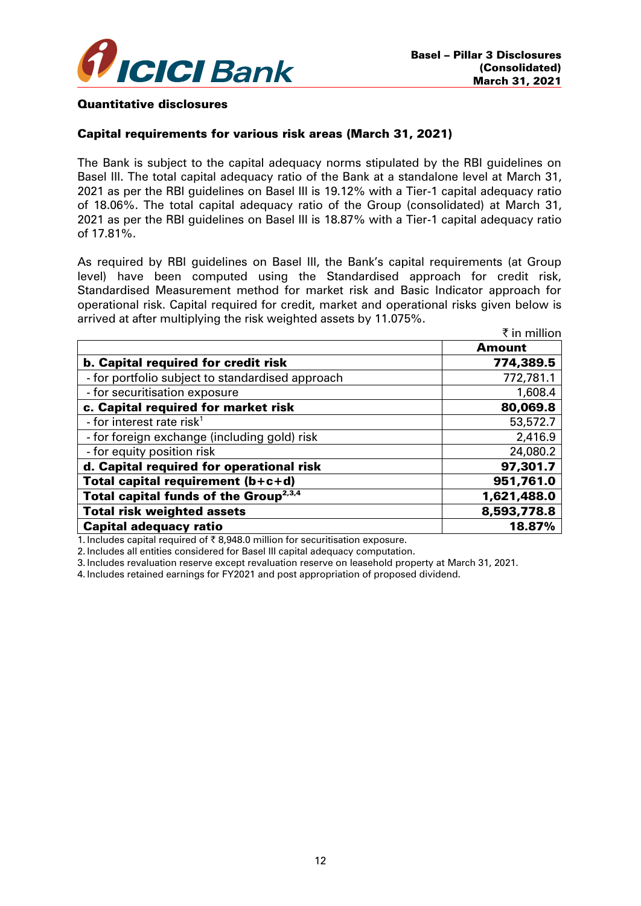

#### Quantitative disclosures

#### Capital requirements for various risk areas (March 31, 2021)

The Bank is subject to the capital adequacy norms stipulated by the RBI guidelines on Basel III. The total capital adequacy ratio of the Bank at a standalone level at March 31, 2021 as per the RBI guidelines on Basel III is 19.12% with a Tier-1 capital adequacy ratio of 18.06%. The total capital adequacy ratio of the Group (consolidated) at March 31, 2021 as per the RBI guidelines on Basel III is 18.87% with a Tier-1 capital adequacy ratio of 17.81%.

As required by RBI guidelines on Basel III, the Bank's capital requirements (at Group level) have been computed using the Standardised approach for credit risk, Standardised Measurement method for market risk and Basic Indicator approach for operational risk. Capital required for credit, market and operational risks given below is arrived at after multiplying the risk weighted assets by 11.075%.

|                                                   | ₹ in million  |
|---------------------------------------------------|---------------|
|                                                   | <b>Amount</b> |
| <b>b. Capital required for credit risk</b>        | 774,389.5     |
| - for portfolio subject to standardised approach  | 772,781.1     |
| - for securitisation exposure                     | 1,608.4       |
| c. Capital required for market risk               | 80,069.8      |
| - for interest rate risk $1$                      | 53,572.7      |
| - for foreign exchange (including gold) risk      | 2,416.9       |
| - for equity position risk                        | 24,080.2      |
| d. Capital required for operational risk          | 97,301.7      |
| Total capital requirement (b+c+d)                 | 951,761.0     |
| Total capital funds of the Group <sup>2,3,4</sup> | 1,621,488.0   |
| <b>Total risk weighted assets</b>                 | 8,593,778.8   |
| <b>Capital adequacy ratio</b>                     | 18.87%        |

1. Includes capital required of  $\bar{\tau}$  8,948.0 million for securitisation exposure.

2. Includes all entities considered for Basel III capital adequacy computation.

3. Includes revaluation reserve except revaluation reserve on leasehold property at March 31, 2021.

4. Includes retained earnings for FY2021 and post appropriation of proposed dividend.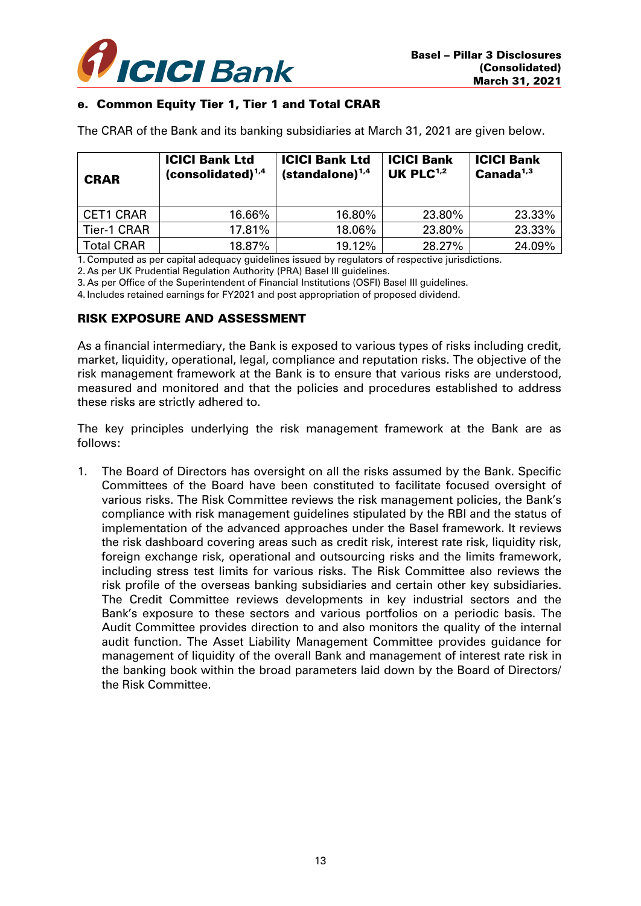

## e. Common Equity Tier 1, Tier 1 and Total CRAR

The CRAR of the Bank and its banking subsidiaries at March 31, 2021 are given below.

| <b>CRAR</b>       | <b>ICICI Bank Ltd</b><br>$(considered)^{1,4}$ | <b>ICICI Bank Ltd</b><br>$(standard one)^{1,4}$ | <b>ICICI Bank</b><br>UK PLC $1,2$ | <b>ICICI Bank</b><br>Canada <sup>1,3</sup> |
|-------------------|-----------------------------------------------|-------------------------------------------------|-----------------------------------|--------------------------------------------|
| <b>CET1 CRAR</b>  | 16.66%                                        | 16.80%                                          | 23.80%                            | 23.33%                                     |
| Tier-1 CRAR       | 17.81%                                        | 18.06%                                          | 23.80%                            | 23.33%                                     |
| <b>Total CRAR</b> | 18.87%                                        | 19.12%                                          | 28.27%                            | 24.09%                                     |

1. Computed as per capital adequacy guidelines issued by regulators of respective jurisdictions.

2. As per UK Prudential Regulation Authority (PRA) Basel III guidelines.

3. As per Office of the Superintendent of Financial Institutions (OSFI) Basel III guidelines.

4. Includes retained earnings for FY2021 and post appropriation of proposed dividend.

### RISK EXPOSURE AND ASSESSMENT

As a financial intermediary, the Bank is exposed to various types of risks including credit, market, liquidity, operational, legal, compliance and reputation risks. The objective of the risk management framework at the Bank is to ensure that various risks are understood, measured and monitored and that the policies and procedures established to address these risks are strictly adhered to.

The key principles underlying the risk management framework at the Bank are as follows:

1. The Board of Directors has oversight on all the risks assumed by the Bank. Specific Committees of the Board have been constituted to facilitate focused oversight of various risks. The Risk Committee reviews the risk management policies, the Bank's compliance with risk management guidelines stipulated by the RBI and the status of implementation of the advanced approaches under the Basel framework. It reviews the risk dashboard covering areas such as credit risk, interest rate risk, liquidity risk, foreign exchange risk, operational and outsourcing risks and the limits framework, including stress test limits for various risks. The Risk Committee also reviews the risk profile of the overseas banking subsidiaries and certain other key subsidiaries. The Credit Committee reviews developments in key industrial sectors and the Bank's exposure to these sectors and various portfolios on a periodic basis. The Audit Committee provides direction to and also monitors the quality of the internal audit function. The Asset Liability Management Committee provides guidance for management of liquidity of the overall Bank and management of interest rate risk in the banking book within the broad parameters laid down by the Board of Directors/ the Risk Committee.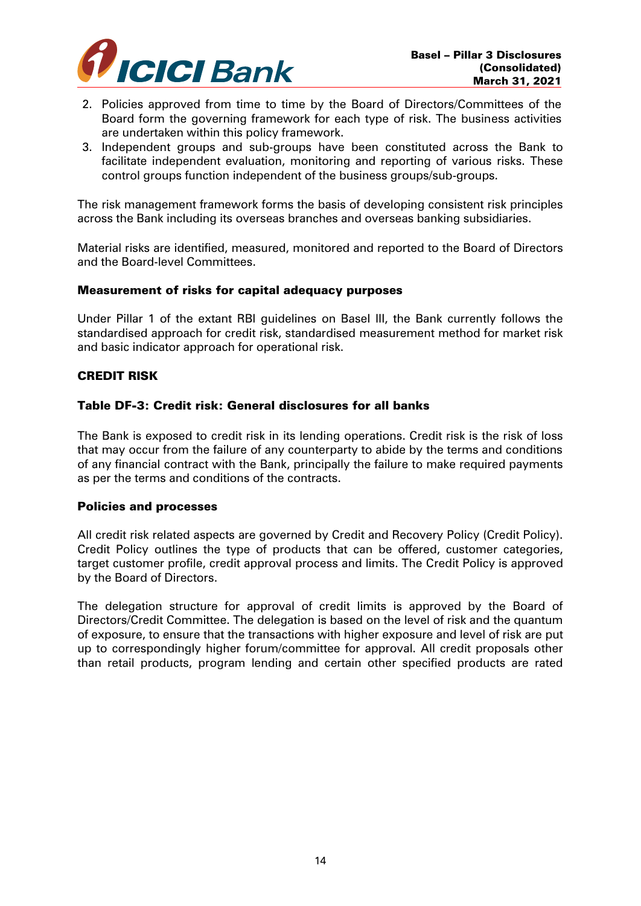

- 2. Policies approved from time to time by the Board of Directors/Committees of the Board form the governing framework for each type of risk. The business activities are undertaken within this policy framework.
- 3. Independent groups and sub-groups have been constituted across the Bank to facilitate independent evaluation, monitoring and reporting of various risks. These control groups function independent of the business groups/sub-groups.

The risk management framework forms the basis of developing consistent risk principles across the Bank including its overseas branches and overseas banking subsidiaries.

Material risks are identified, measured, monitored and reported to the Board of Directors and the Board-level Committees.

### Measurement of risks for capital adequacy purposes

Under Pillar 1 of the extant RBI guidelines on Basel III, the Bank currently follows the standardised approach for credit risk, standardised measurement method for market risk and basic indicator approach for operational risk.

### CREDIT RISK

### Table DF-3: Credit risk: General disclosures for all banks

The Bank is exposed to credit risk in its lending operations. Credit risk is the risk of loss that may occur from the failure of any counterparty to abide by the terms and conditions of any financial contract with the Bank, principally the failure to make required payments as per the terms and conditions of the contracts.

#### Policies and processes

All credit risk related aspects are governed by Credit and Recovery Policy (Credit Policy). Credit Policy outlines the type of products that can be offered, customer categories, target customer profile, credit approval process and limits. The Credit Policy is approved by the Board of Directors.

The delegation structure for approval of credit limits is approved by the Board of Directors/Credit Committee. The delegation is based on the level of risk and the quantum of exposure, to ensure that the transactions with higher exposure and level of risk are put up to correspondingly higher forum/committee for approval. All credit proposals other than retail products, program lending and certain other specified products are rated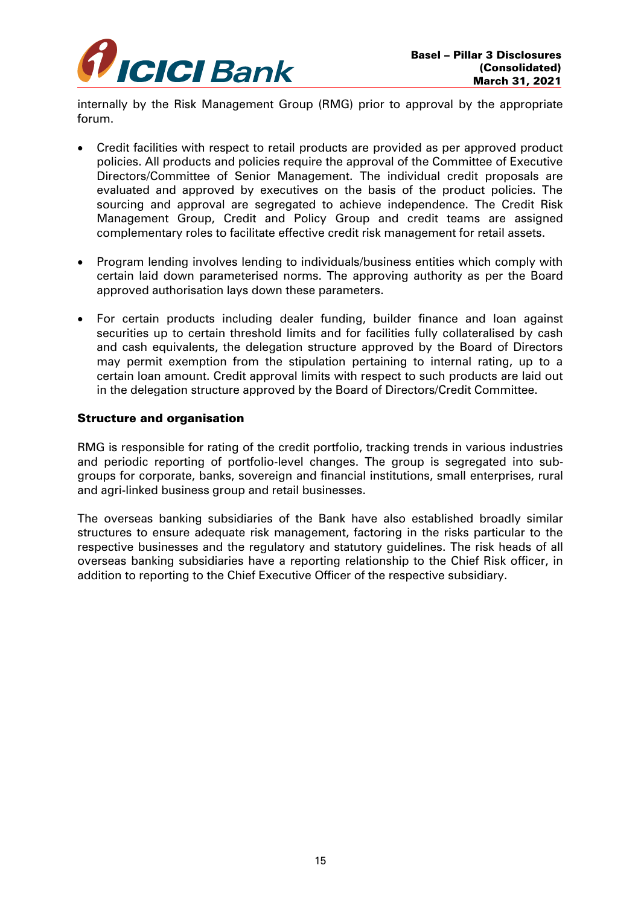

internally by the Risk Management Group (RMG) prior to approval by the appropriate forum.

- Credit facilities with respect to retail products are provided as per approved product policies. All products and policies require the approval of the Committee of Executive Directors/Committee of Senior Management. The individual credit proposals are evaluated and approved by executives on the basis of the product policies. The sourcing and approval are segregated to achieve independence. The Credit Risk Management Group, Credit and Policy Group and credit teams are assigned complementary roles to facilitate effective credit risk management for retail assets.
- Program lending involves lending to individuals/business entities which comply with certain laid down parameterised norms. The approving authority as per the Board approved authorisation lays down these parameters.
- For certain products including dealer funding, builder finance and loan against securities up to certain threshold limits and for facilities fully collateralised by cash and cash equivalents, the delegation structure approved by the Board of Directors may permit exemption from the stipulation pertaining to internal rating, up to a certain loan amount. Credit approval limits with respect to such products are laid out in the delegation structure approved by the Board of Directors/Credit Committee.

### Structure and organisation

RMG is responsible for rating of the credit portfolio, tracking trends in various industries and periodic reporting of portfolio-level changes. The group is segregated into subgroups for corporate, banks, sovereign and financial institutions, small enterprises, rural and agri-linked business group and retail businesses.

The overseas banking subsidiaries of the Bank have also established broadly similar structures to ensure adequate risk management, factoring in the risks particular to the respective businesses and the regulatory and statutory guidelines. The risk heads of all overseas banking subsidiaries have a reporting relationship to the Chief Risk officer, in addition to reporting to the Chief Executive Officer of the respective subsidiary.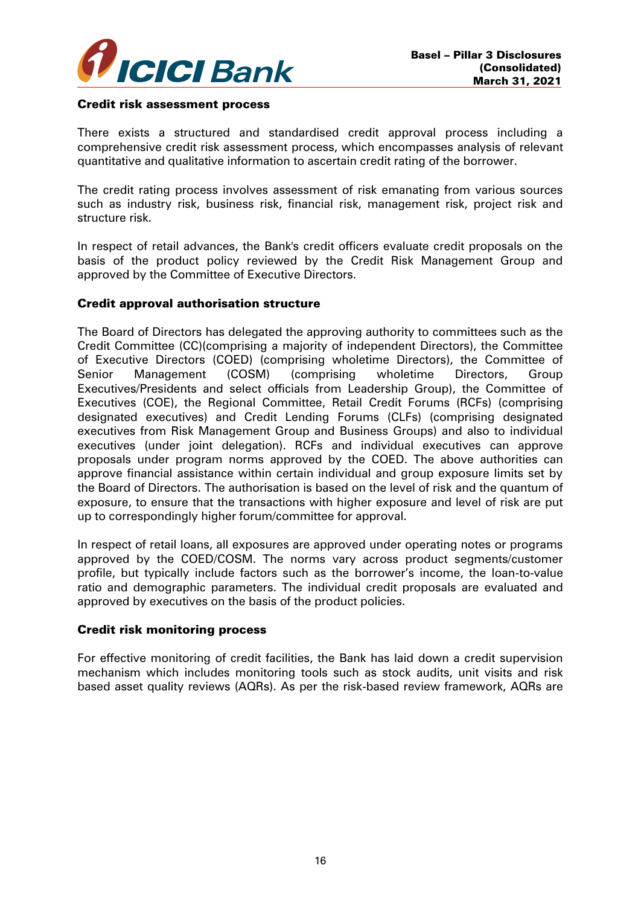

#### Credit risk assessment process

There exists a structured and standardised credit approval process including a comprehensive credit risk assessment process, which encompasses analysis of relevant quantitative and qualitative information to ascertain credit rating of the borrower.

The credit rating process involves assessment of risk emanating from various sources such as industry risk, business risk, financial risk, management risk, project risk and structure risk.

In respect of retail advances, the Bank's credit officers evaluate credit proposals on the basis of the product policy reviewed by the Credit Risk Management Group and approved by the Committee of Executive Directors.

#### Credit approval authorisation structure

The Board of Directors has delegated the approving authority to committees such as the Credit Committee (CC)(comprising a majority of independent Directors), the Committee of Executive Directors (COED) (comprising wholetime Directors), the Committee of Senior Management (COSM) (comprising wholetime Directors, Group Executives/Presidents and select officials from Leadership Group), the Committee of Executives (COE), the Regional Committee, Retail Credit Forums (RCFs) (comprising designated executives) and Credit Lending Forums (CLFs) (comprising designated executives from Risk Management Group and Business Groups) and also to individual executives (under joint delegation). RCFs and individual executives can approve proposals under program norms approved by the COED. The above authorities can approve financial assistance within certain individual and group exposure limits set by the Board of Directors. The authorisation is based on the level of risk and the quantum of exposure, to ensure that the transactions with higher exposure and level of risk are put up to correspondingly higher forum/committee for approval.

In respect of retail loans, all exposures are approved under operating notes or programs approved by the COED/COSM. The norms vary across product segments/customer profile, but typically include factors such as the borrower's income, the loan-to-value ratio and demographic parameters. The individual credit proposals are evaluated and approved by executives on the basis of the product policies.

#### Credit risk monitoring process

For effective monitoring of credit facilities, the Bank has laid down a credit supervision mechanism which includes monitoring tools such as stock audits, unit visits and risk based asset quality reviews (AQRs). As per the risk-based review framework, AQRs are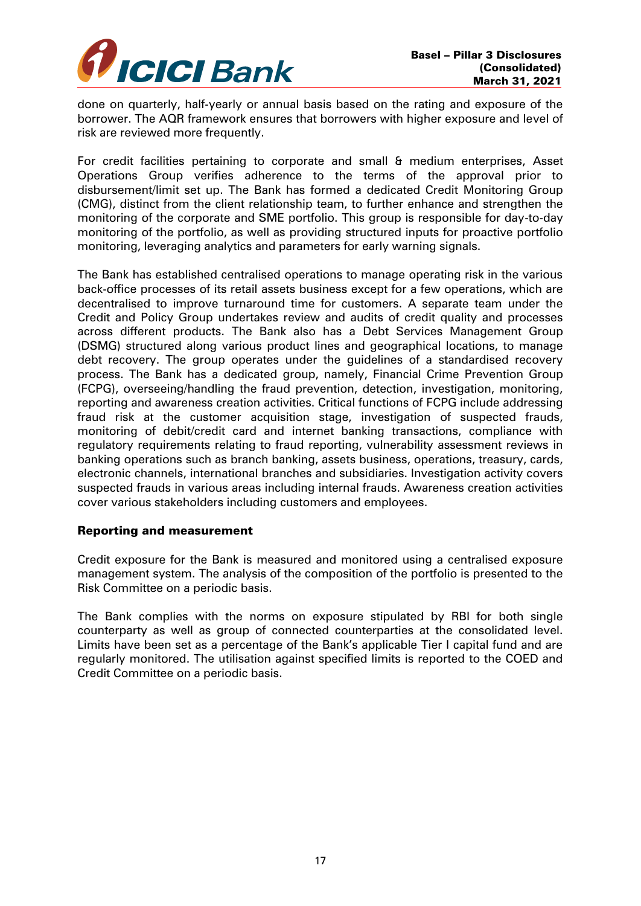

done on quarterly, half-yearly or annual basis based on the rating and exposure of the borrower. The AQR framework ensures that borrowers with higher exposure and level of risk are reviewed more frequently.

For credit facilities pertaining to corporate and small & medium enterprises, Asset Operations Group verifies adherence to the terms of the approval prior to disbursement/limit set up. The Bank has formed a dedicated Credit Monitoring Group (CMG), distinct from the client relationship team, to further enhance and strengthen the monitoring of the corporate and SME portfolio. This group is responsible for day-to-day monitoring of the portfolio, as well as providing structured inputs for proactive portfolio monitoring, leveraging analytics and parameters for early warning signals.

The Bank has established centralised operations to manage operating risk in the various back-office processes of its retail assets business except for a few operations, which are decentralised to improve turnaround time for customers. A separate team under the Credit and Policy Group undertakes review and audits of credit quality and processes across different products. The Bank also has a Debt Services Management Group (DSMG) structured along various product lines and geographical locations, to manage debt recovery. The group operates under the guidelines of a standardised recovery process. The Bank has a dedicated group, namely, Financial Crime Prevention Group (FCPG), overseeing/handling the fraud prevention, detection, investigation, monitoring, reporting and awareness creation activities. Critical functions of FCPG include addressing fraud risk at the customer acquisition stage, investigation of suspected frauds, monitoring of debit/credit card and internet banking transactions, compliance with regulatory requirements relating to fraud reporting, vulnerability assessment reviews in banking operations such as branch banking, assets business, operations, treasury, cards, electronic channels, international branches and subsidiaries. Investigation activity covers suspected frauds in various areas including internal frauds. Awareness creation activities cover various stakeholders including customers and employees.

#### Reporting and measurement

Credit exposure for the Bank is measured and monitored using a centralised exposure management system. The analysis of the composition of the portfolio is presented to the Risk Committee on a periodic basis.

The Bank complies with the norms on exposure stipulated by RBI for both single counterparty as well as group of connected counterparties at the consolidated level. Limits have been set as a percentage of the Bank's applicable Tier I capital fund and are regularly monitored. The utilisation against specified limits is reported to the COED and Credit Committee on a periodic basis.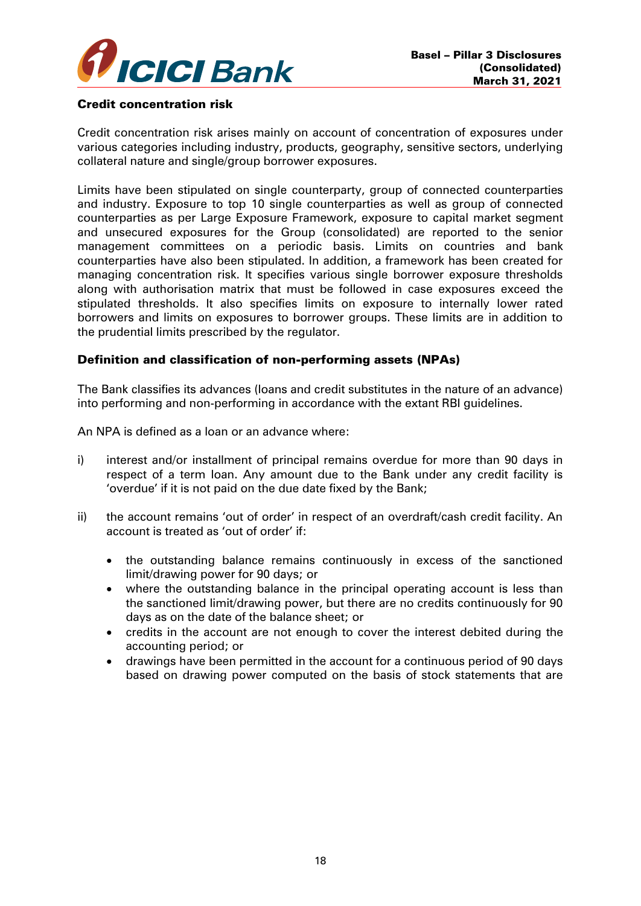

#### Credit concentration risk

Credit concentration risk arises mainly on account of concentration of exposures under various categories including industry, products, geography, sensitive sectors, underlying collateral nature and single/group borrower exposures.

Limits have been stipulated on single counterparty, group of connected counterparties and industry. Exposure to top 10 single counterparties as well as group of connected counterparties as per Large Exposure Framework, exposure to capital market segment and unsecured exposures for the Group (consolidated) are reported to the senior management committees on a periodic basis. Limits on countries and bank counterparties have also been stipulated. In addition, a framework has been created for managing concentration risk. It specifies various single borrower exposure thresholds along with authorisation matrix that must be followed in case exposures exceed the stipulated thresholds. It also specifies limits on exposure to internally lower rated borrowers and limits on exposures to borrower groups. These limits are in addition to the prudential limits prescribed by the regulator.

### Definition and classification of non-performing assets (NPAs)

The Bank classifies its advances (loans and credit substitutes in the nature of an advance) into performing and non-performing in accordance with the extant RBI guidelines.

An NPA is defined as a loan or an advance where:

- i) interest and/or installment of principal remains overdue for more than 90 days in respect of a term loan. Any amount due to the Bank under any credit facility is 'overdue' if it is not paid on the due date fixed by the Bank;
- ii) the account remains 'out of order' in respect of an overdraft/cash credit facility. An account is treated as 'out of order' if:
	- the outstanding balance remains continuously in excess of the sanctioned limit/drawing power for 90 days; or
	- where the outstanding balance in the principal operating account is less than the sanctioned limit/drawing power, but there are no credits continuously for 90 days as on the date of the balance sheet; or
	- credits in the account are not enough to cover the interest debited during the accounting period; or
	- drawings have been permitted in the account for a continuous period of 90 days based on drawing power computed on the basis of stock statements that are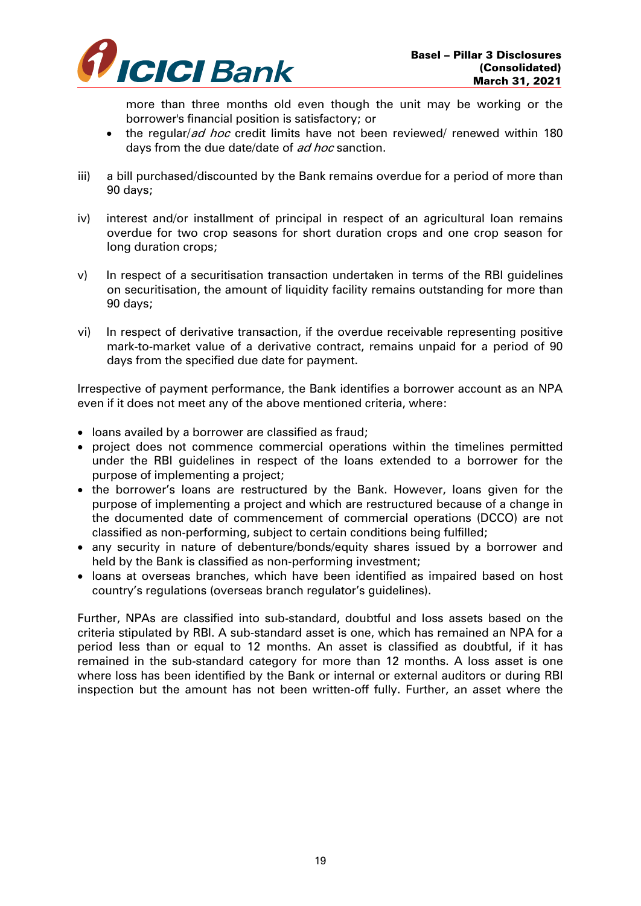

more than three months old even though the unit may be working or the borrower's financial position is satisfactory; or

- the regular/*ad hoc* credit limits have not been reviewed/ renewed within 180 days from the due date/date of ad hoc sanction.
- iii) a bill purchased/discounted by the Bank remains overdue for a period of more than 90 days;
- iv) interest and/or installment of principal in respect of an agricultural loan remains overdue for two crop seasons for short duration crops and one crop season for long duration crops;
- v) In respect of a securitisation transaction undertaken in terms of the RBI guidelines on securitisation, the amount of liquidity facility remains outstanding for more than 90 days;
- vi) In respect of derivative transaction, if the overdue receivable representing positive mark-to-market value of a derivative contract, remains unpaid for a period of 90 days from the specified due date for payment.

Irrespective of payment performance, the Bank identifies a borrower account as an NPA even if it does not meet any of the above mentioned criteria, where:

- loans availed by a borrower are classified as fraud;
- project does not commence commercial operations within the timelines permitted under the RBI guidelines in respect of the loans extended to a borrower for the purpose of implementing a project;
- the borrower's loans are restructured by the Bank. However, loans given for the purpose of implementing a project and which are restructured because of a change in the documented date of commencement of commercial operations (DCCO) are not classified as non-performing, subject to certain conditions being fulfilled;
- any security in nature of debenture/bonds/equity shares issued by a borrower and held by the Bank is classified as non-performing investment;
- loans at overseas branches, which have been identified as impaired based on host country's regulations (overseas branch regulator's guidelines).

Further, NPAs are classified into sub-standard, doubtful and loss assets based on the criteria stipulated by RBI. A sub-standard asset is one, which has remained an NPA for a period less than or equal to 12 months. An asset is classified as doubtful, if it has remained in the sub-standard category for more than 12 months. A loss asset is one where loss has been identified by the Bank or internal or external auditors or during RBI inspection but the amount has not been written-off fully. Further, an asset where the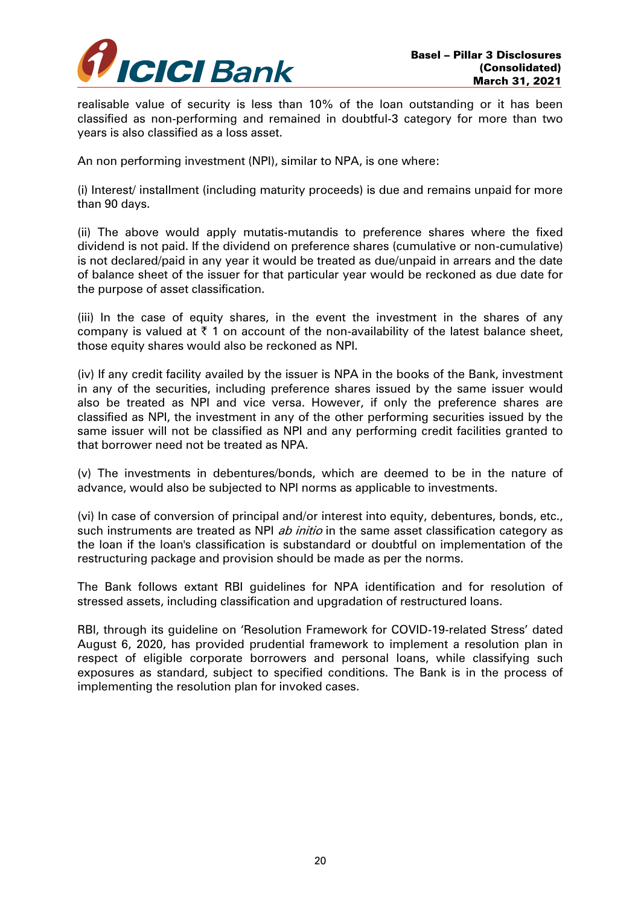

realisable value of security is less than 10% of the loan outstanding or it has been classified as non-performing and remained in doubtful-3 category for more than two years is also classified as a loss asset.

An non performing investment (NPI), similar to NPA, is one where:

(i) Interest/ installment (including maturity proceeds) is due and remains unpaid for more than 90 days.

(ii) The above would apply mutatis-mutandis to preference shares where the fixed dividend is not paid. If the dividend on preference shares (cumulative or non-cumulative) is not declared/paid in any year it would be treated as due/unpaid in arrears and the date of balance sheet of the issuer for that particular year would be reckoned as due date for the purpose of asset classification.

(iii) In the case of equity shares, in the event the investment in the shares of any company is valued at  $\bar{\tau}$  1 on account of the non-availability of the latest balance sheet, those equity shares would also be reckoned as NPI.

(iv) If any credit facility availed by the issuer is NPA in the books of the Bank, investment in any of the securities, including preference shares issued by the same issuer would also be treated as NPI and vice versa. However, if only the preference shares are classified as NPI, the investment in any of the other performing securities issued by the same issuer will not be classified as NPI and any performing credit facilities granted to that borrower need not be treated as NPA.

(v) The investments in debentures/bonds, which are deemed to be in the nature of advance, would also be subjected to NPI norms as applicable to investments.

(vi) In case of conversion of principal and/or interest into equity, debentures, bonds, etc., such instruments are treated as NPI *ab initio* in the same asset classification category as the loan if the loan's classification is substandard or doubtful on implementation of the restructuring package and provision should be made as per the norms.

The Bank follows extant RBI guidelines for NPA identification and for resolution of stressed assets, including classification and upgradation of restructured loans.

RBI, through its guideline on 'Resolution Framework for COVID-19-related Stress' dated August 6, 2020, has provided prudential framework to implement a resolution plan in respect of eligible corporate borrowers and personal loans, while classifying such exposures as standard, subject to specified conditions. The Bank is in the process of implementing the resolution plan for invoked cases.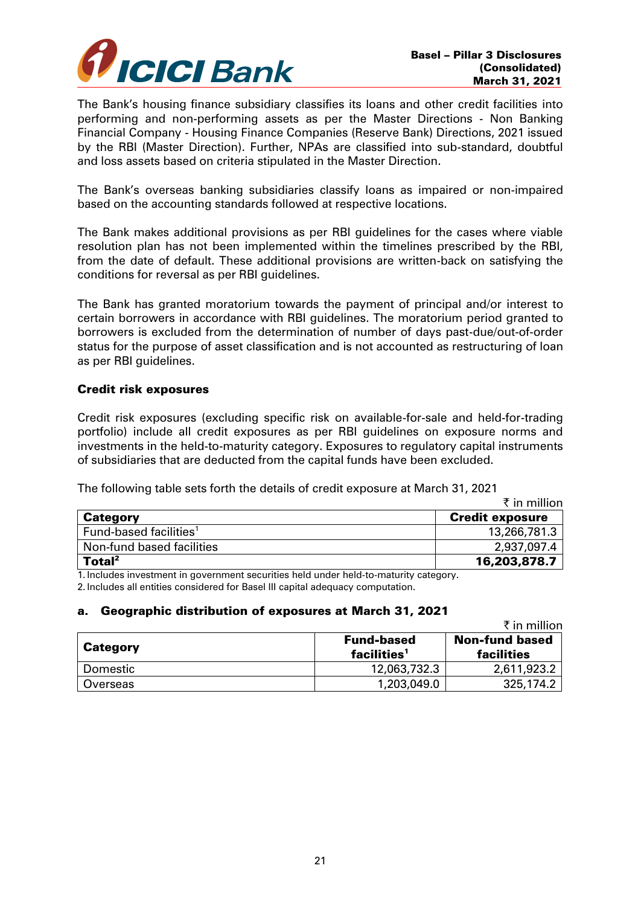

The Bank's housing finance subsidiary classifies its loans and other credit facilities into performing and non-performing assets as per the Master Directions - Non Banking Financial Company - Housing Finance Companies (Reserve Bank) Directions, 2021 issued by the RBI (Master Direction). Further, NPAs are classified into sub-standard, doubtful and loss assets based on criteria stipulated in the Master Direction.

The Bank's overseas banking subsidiaries classify loans as impaired or non-impaired based on the accounting standards followed at respective locations.

The Bank makes additional provisions as per RBI guidelines for the cases where viable resolution plan has not been implemented within the timelines prescribed by the RBI, from the date of default. These additional provisions are written-back on satisfying the conditions for reversal as per RBI guidelines.

The Bank has granted moratorium towards the payment of principal and/or interest to certain borrowers in accordance with RBI guidelines. The moratorium period granted to borrowers is excluded from the determination of number of days past-due/out-of-order status for the purpose of asset classification and is not accounted as restructuring of loan as per RBI guidelines.

### Credit risk exposures

Credit risk exposures (excluding specific risk on available-for-sale and held-for-trading portfolio) include all credit exposures as per RBI guidelines on exposure norms and investments in the held-to-maturity category. Exposures to regulatory capital instruments of subsidiaries that are deducted from the capital funds have been excluded.

The following table sets forth the details of credit exposure at March 31, 2021

|                                    | ₹ in million           |
|------------------------------------|------------------------|
| <b>Category</b>                    | <b>Credit exposure</b> |
| Fund-based facilities <sup>1</sup> | 13,266,781.3           |
| Non-fund based facilities          | 2,937,097.4            |
| Total <sup>2</sup>                 | 16,203,878.7           |

1. Includes investment in government securities held under held-to-maturity category. 2. Includes all entities considered for Basel III capital adequacy computation.

## a. Geographic distribution of exposures at March 31, 2021

 $\bar{\tau}$  in million Category **Fund-based Fund-based**  $facilities<sup>1</sup>$ Non-fund based facilities Domestic 12,063,732.3 2,611,923.2 Overseas 25,174.2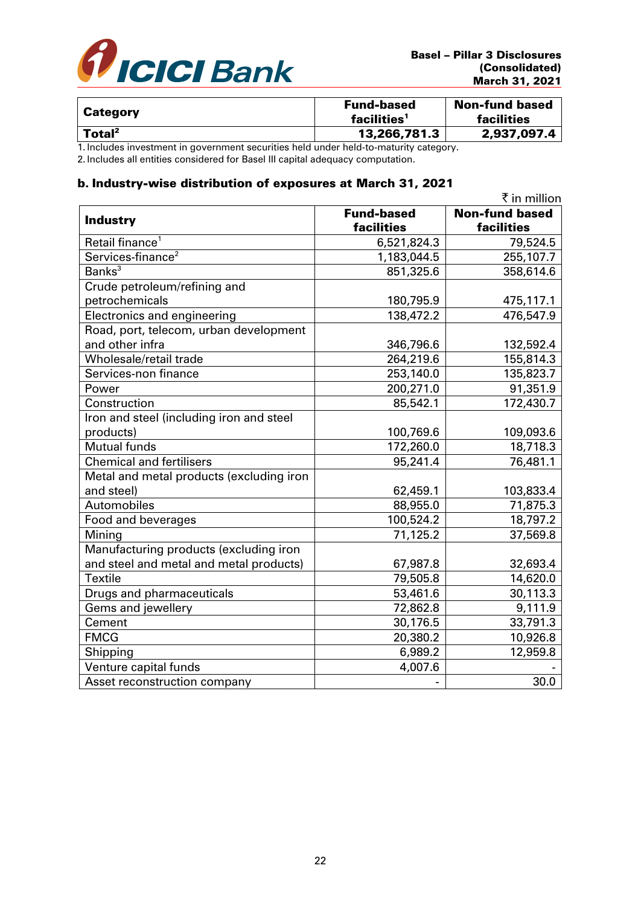

| <b>Category</b>    | <b>Fund-based</b><br>facilities <sup>1</sup> | <b>Non-fund based</b><br>facilities |
|--------------------|----------------------------------------------|-------------------------------------|
| Total <sup>2</sup> | 13,266,781.3                                 | 2,937,097.4                         |

1. Includes investment in government securities held under held-to-maturity category.

2. Includes all entities considered for Basel III capital adequacy computation.

## b. Industry-wise distribution of exposures at March 31, 2021

|                                          |                   | ₹ in million          |
|------------------------------------------|-------------------|-----------------------|
| <b>Industry</b>                          | <b>Fund-based</b> | <b>Non-fund based</b> |
|                                          | facilities        | facilities            |
| Retail finance <sup>1</sup>              | 6,521,824.3       | 79,524.5              |
| Services-finance <sup>2</sup>            | 1,183,044.5       | 255,107.7             |
| Banks <sup>3</sup>                       | 851,325.6         | 358,614.6             |
| Crude petroleum/refining and             |                   |                       |
| petrochemicals                           | 180,795.9         | 475,117.1             |
| Electronics and engineering              | 138,472.2         | 476,547.9             |
| Road, port, telecom, urban development   |                   |                       |
| and other infra                          | 346,796.6         | 132,592.4             |
| Wholesale/retail trade                   | 264,219.6         | 155,814.3             |
| Services-non finance                     | 253,140.0         | 135,823.7             |
| Power                                    | 200,271.0         | $\overline{9}1,351.9$ |
| Construction                             | 85,542.1          | 172,430.7             |
| Iron and steel (including iron and steel |                   |                       |
| products)                                | 100,769.6         | 109,093.6             |
| Mutual funds                             | 172,260.0         | 18,718.3              |
| <b>Chemical and fertilisers</b>          | 95,241.4          | 76,481.1              |
| Metal and metal products (excluding iron |                   |                       |
| and steel)                               | 62,459.1          | 103,833.4             |
| Automobiles                              | 88,955.0          | 71,875.3              |
| Food and beverages                       | 100,524.2         | 18,797.2              |
| Mining                                   | 71,125.2          | 37,569.8              |
| Manufacturing products (excluding iron   |                   |                       |
| and steel and metal and metal products)  | 67,987.8          | 32,693.4              |
| <b>Textile</b>                           | 79,505.8          | 14,620.0              |
| Drugs and pharmaceuticals                | 53,461.6          | 30,113.3              |
| Gems and jewellery                       | 72,862.8          | 9,111.9               |
| Cement                                   | 30,176.5          | 33,791.3              |
| <b>FMCG</b>                              | 20,380.2          | 10,926.8              |
| Shipping                                 | 6,989.2           | 12,959.8              |
| Venture capital funds                    | 4,007.6           |                       |
| Asset reconstruction company             |                   | 30.0                  |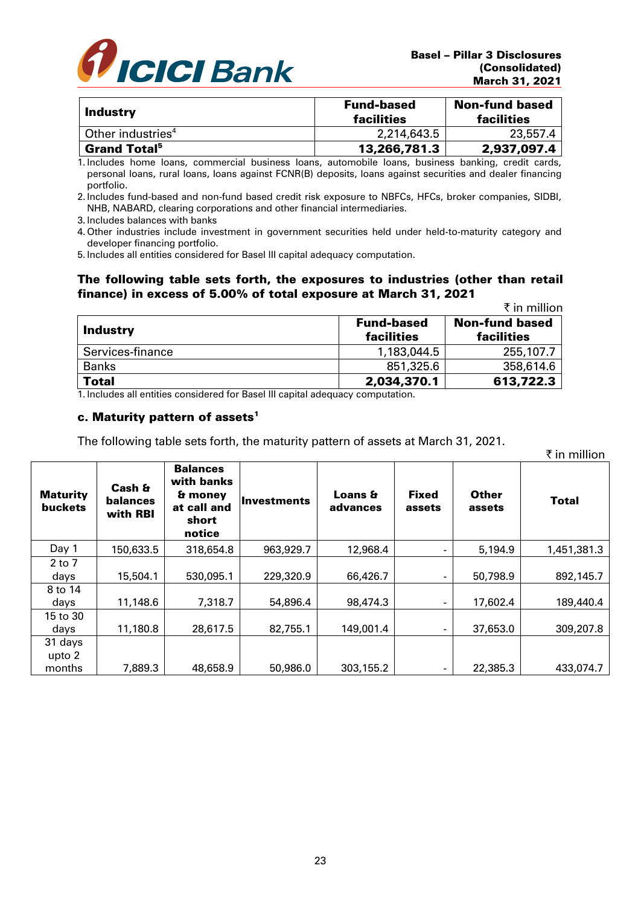

 $\mathbf{F}$  in million

| <b>Industry</b>                 | <b>Fund-based</b><br>facilities | <b>Non-fund based</b><br>facilities |
|---------------------------------|---------------------------------|-------------------------------------|
| Other industries <sup>4</sup>   | 2,214,643.5                     | 23,557.4                            |
| <b>Grand Total</b> <sup>5</sup> | 13,266,781.3                    | 2,937,097.4                         |

1. Includes home loans, commercial business loans, automobile loans, business banking, credit cards, personal loans, rural loans, loans against FCNR(B) deposits, loans against securities and dealer financing portfolio.

2. Includes fund-based and non-fund based credit risk exposure to NBFCs, HFCs, broker companies, SIDBI, NHB, NABARD, clearing corporations and other financial intermediaries.

3. Includes balances with banks

4. Other industries include investment in government securities held under held-to-maturity category and developer financing portfolio.

5. Includes all entities considered for Basel III capital adequacy computation.

#### The following table sets forth, the exposures to industries (other than retail finance) in excess of 5.00% of total exposure at March 31, 2021

|                  |                                 | ₹ in million                        |
|------------------|---------------------------------|-------------------------------------|
| <b>Industry</b>  | <b>Fund-based</b><br>facilities | <b>Non-fund based</b><br>facilities |
| Services-finance | 1,183,044.5                     | 255,107.7                           |
| <b>Banks</b>     | 851,325.6                       | 358,614.6                           |
| <b>Total</b>     | 2,034,370.1                     | 613,722.3                           |

1. Includes all entities considered for Basel III capital adequacy computation.

#### c. Maturity pattern of assets<sup>1</sup>

The following table sets forth, the maturity pattern of assets at March 31, 2021.

|                                   |                                       |                                                                            |              |                     |                        |                        | х ш шшоп     |
|-----------------------------------|---------------------------------------|----------------------------------------------------------------------------|--------------|---------------------|------------------------|------------------------|--------------|
| <b>Maturity</b><br><b>buckets</b> | Cash &<br><b>balances</b><br>with RBI | <b>Balances</b><br>with banks<br>& money<br>at call and<br>short<br>notice | llnvestments | Loans &<br>advances | <b>Fixed</b><br>assets | <b>Other</b><br>assets | <b>Total</b> |
| Day 1                             | 150,633.5                             | 318,654.8                                                                  | 963,929.7    | 12,968.4            | ۰                      | 5,194.9                | 1,451,381.3  |
| $2$ to $7$<br>days                | 15,504.1                              | 530,095.1                                                                  | 229,320.9    | 66,426.7            | ٠                      | 50,798.9               | 892,145.7    |
| 8 to 14<br>days                   | 11,148.6                              | 7,318.7                                                                    | 54,896.4     | 98,474.3            | ٠                      | 17,602.4               | 189,440.4    |
| 15 to 30<br>days                  | 11,180.8                              | 28,617.5                                                                   | 82,755.1     | 149,001.4           | ۰                      | 37,653.0               | 309,207.8    |
| 31 days<br>upto 2                 |                                       |                                                                            |              |                     |                        |                        |              |
| months                            | 7,889.3                               | 48,658.9                                                                   | 50,986.0     | 303,155.2           |                        | 22,385.3               | 433,074.7    |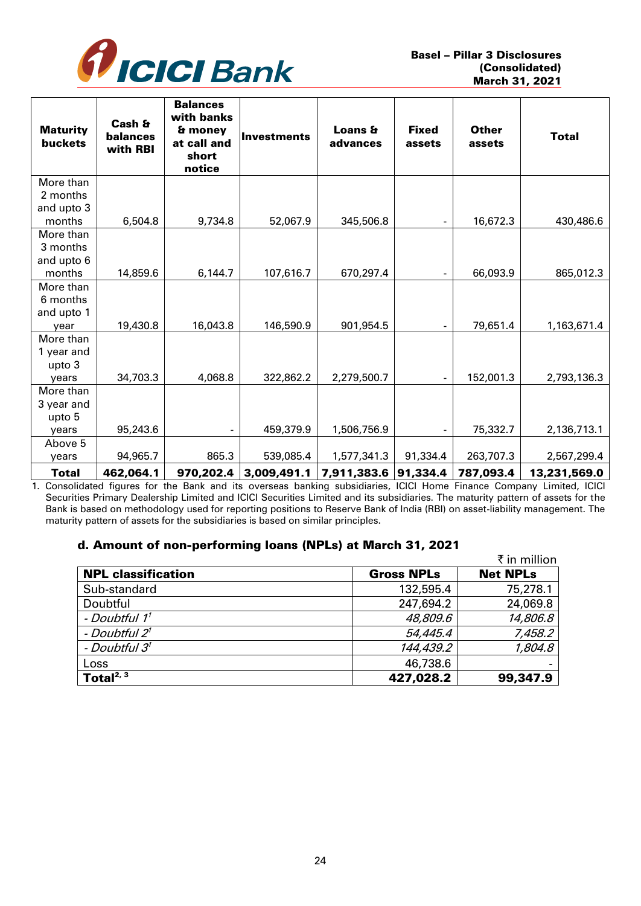

| <b>Maturity</b><br><b>buckets</b> | Cash &<br>balances<br>with RBI | <b>Balances</b><br>with banks<br>& money<br>at call and<br>short<br>notice | Investments | Loans &<br>advances | <b>Fixed</b><br>assets | <b>Other</b><br>assets | <b>Total</b> |
|-----------------------------------|--------------------------------|----------------------------------------------------------------------------|-------------|---------------------|------------------------|------------------------|--------------|
| More than                         |                                |                                                                            |             |                     |                        |                        |              |
| 2 months                          |                                |                                                                            |             |                     |                        |                        |              |
| and upto 3                        |                                |                                                                            |             |                     |                        |                        |              |
| months                            | 6,504.8                        | 9,734.8                                                                    | 52,067.9    | 345,506.8           |                        | 16,672.3               | 430,486.6    |
| More than                         |                                |                                                                            |             |                     |                        |                        |              |
| 3 months                          |                                |                                                                            |             |                     |                        |                        |              |
| and upto 6                        |                                |                                                                            |             |                     |                        |                        |              |
| months                            | 14,859.6                       | 6,144.7                                                                    | 107,616.7   | 670,297.4           |                        | 66,093.9               | 865,012.3    |
| More than                         |                                |                                                                            |             |                     |                        |                        |              |
| 6 months                          |                                |                                                                            |             |                     |                        |                        |              |
| and upto 1                        | 19,430.8                       | 16,043.8                                                                   | 146,590.9   | 901,954.5           |                        | 79,651.4               | 1,163,671.4  |
| year<br>More than                 |                                |                                                                            |             |                     |                        |                        |              |
| 1 year and                        |                                |                                                                            |             |                     |                        |                        |              |
| upto 3                            |                                |                                                                            |             |                     |                        |                        |              |
| years                             | 34,703.3                       | 4,068.8                                                                    | 322,862.2   | 2,279,500.7         |                        | 152,001.3              | 2,793,136.3  |
| More than                         |                                |                                                                            |             |                     |                        |                        |              |
| 3 year and                        |                                |                                                                            |             |                     |                        |                        |              |
| upto 5                            |                                |                                                                            |             |                     |                        |                        |              |
| years                             | 95,243.6                       |                                                                            | 459,379.9   | 1,506,756.9         |                        | 75,332.7               | 2,136,713.1  |
| Above 5                           |                                |                                                                            |             |                     |                        |                        |              |
| years                             | 94,965.7                       | 865.3                                                                      | 539,085.4   | 1,577,341.3         | 91,334.4               | 263,707.3              | 2,567,299.4  |
| Total                             | 462,064.1                      | 970,202.4                                                                  | 3,009,491.1 | 7,911,383.6         | 91,334.4               | 787,093.4              | 13,231,569.0 |

1. Consolidated figures for the Bank and its overseas banking subsidiaries, ICICI Home Finance Company Limited, ICICI Securities Primary Dealership Limited and ICICI Securities Limited and its subsidiaries. The maturity pattern of assets for the Bank is based on methodology used for reporting positions to Reserve Bank of India (RBI) on asset-liability management. The maturity pattern of assets for the subsidiaries is based on similar principles.

## d. Amount of non-performing loans (NPLs) at March 31, 2021

|                           |                   | ₹ in million    |
|---------------------------|-------------------|-----------------|
| <b>NPL classification</b> | <b>Gross NPLs</b> | <b>Net NPLs</b> |
| Sub-standard              | 132,595.4         | 75,278.1        |
| Doubtful                  | 247,694.2         | 24,069.8        |
| - Doubtful 1 <sup>1</sup> | 48,809.6          | 14,806.8        |
| - Doubtful 2 <sup>1</sup> | 54,445.4          | 7,458.2         |
| - Doubtful 3 <sup>1</sup> | 144,439.2         | 1,804.8         |
| Loss                      | 46,738.6          |                 |
| Total $^{2, 3}$           | 427,028.2         | 99,347.9        |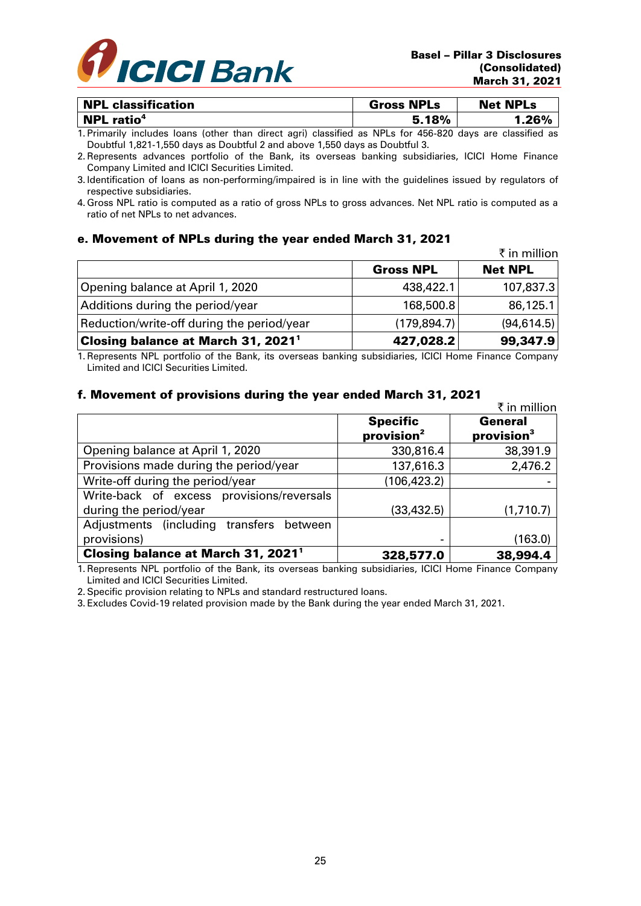

| <b>NPL classification</b>     | <b>Gross NPLs</b> | <b>Net NPLs</b> |
|-------------------------------|-------------------|-----------------|
| <b>NPL</b> ratio <sup>4</sup> | 5.18%             | .26%            |

1. Primarily includes loans (other than direct agri) classified as NPLs for 456-820 days are classified as Doubtful 1,821-1,550 days as Doubtful 2 and above 1,550 days as Doubtful 3.

2. Represents advances portfolio of the Bank, its overseas banking subsidiaries, ICICI Home Finance Company Limited and ICICI Securities Limited.

- 3. Identification of loans as non-performing/impaired is in line with the guidelines issued by regulators of respective subsidiaries.
- 4. Gross NPL ratio is computed as a ratio of gross NPLs to gross advances. Net NPL ratio is computed as a ratio of net NPLs to net advances.

### e. Movement of NPLs during the year ended March 31, 2021

|                                                |                  | ₹ in million   |
|------------------------------------------------|------------------|----------------|
|                                                | <b>Gross NPL</b> | <b>Net NPL</b> |
| Opening balance at April 1, 2020               | 438,422.1        | 107,837.3      |
| Additions during the period/year               | 168,500.8        | 86,125.1       |
| Reduction/write-off during the period/year     | (179, 894.7)     | (94, 614.5)    |
| Closing balance at March 31, 2021 <sup>1</sup> | 427,028.2        | 99,347.9       |

1. Represents NPL portfolio of the Bank, its overseas banking subsidiaries, ICICI Home Finance Company Limited and ICICI Securities Limited.

## f. Movement of provisions during the year ended March 31, 2021

|                                                                     |                                           | ₹ in million                      |
|---------------------------------------------------------------------|-------------------------------------------|-----------------------------------|
|                                                                     | <b>Specific</b><br>provision <sup>2</sup> | General<br>provision <sup>3</sup> |
| Opening balance at April 1, 2020                                    | 330,816.4                                 | 38,391.9                          |
| Provisions made during the period/year                              | 137,616.3                                 | 2,476.2                           |
| Write-off during the period/year                                    | (106, 423.2)                              |                                   |
| Write-back of excess provisions/reversals<br>during the period/year | (33, 432.5)                               | (1,710.7)                         |
| Adjustments (including transfers between                            |                                           |                                   |
| provisions)                                                         |                                           | (163.0)                           |
| Closing balance at March 31, 2021 <sup>1</sup>                      | 328,577.0                                 | 38,994.4                          |

1. Represents NPL portfolio of the Bank, its overseas banking subsidiaries, ICICI Home Finance Company Limited and ICICI Securities Limited.

2. Specific provision relating to NPLs and standard restructured loans.

3. Excludes Covid-19 related provision made by the Bank during the year ended March 31, 2021.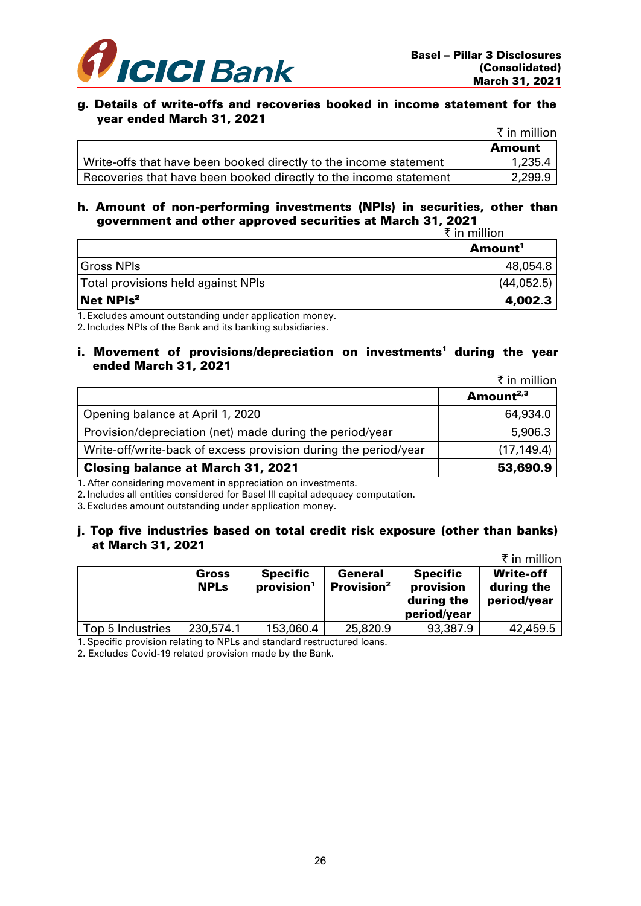

#### g. Details of write-offs and recoveries booked in income statement for the year ended March 31, 2021

|                                                                   | ₹ in million |
|-------------------------------------------------------------------|--------------|
|                                                                   | Amount       |
| Write-offs that have been booked directly to the income statement | 1,235.4      |
| Recoveries that have been booked directly to the income statement | 2,299.9      |

### h. Amount of non-performing investments (NPIs) in securities, other than government and other approved securities at March 31, 2021

|                                                                                       | ₹ in million        |  |
|---------------------------------------------------------------------------------------|---------------------|--|
|                                                                                       | Amount <sup>1</sup> |  |
| l Gross NPIs                                                                          | 48,054.8            |  |
| Total provisions held against NPIs                                                    | (44, 052.5)         |  |
| Net NPIs <sup>2</sup>                                                                 | 4,002.3             |  |
| 4 - 南田 - Houston of contract and contract of contract and the contract of contract of |                     |  |

1. Excludes amount outstanding under application money.

2. Includes NPIs of the Bank and its banking subsidiaries.

### i. Movement of provisions/depreciation on investments<sup>1</sup> during the year ended March 31, 2021

 $\bar{\tau}$  in million

|                                                                 | . <del>.</del> |
|-----------------------------------------------------------------|----------------|
|                                                                 | Amount $2,3$   |
| Opening balance at April 1, 2020                                | 64,934.0       |
| Provision/depreciation (net) made during the period/year        | 5,906.3        |
| Write-off/write-back of excess provision during the period/year | (17, 149.4)    |
| <b>Closing balance at March 31, 2021</b>                        | 53,690.9       |

1. After considering movement in appreciation on investments.

2. Includes all entities considered for Basel III capital adequacy computation.

3. Excludes amount outstanding under application money.

### j. Top five industries based on total credit risk exposure (other than banks) at March 31, 2021

|                  |                      |                                           |                                   |                                                           | ₹ in million                                  |
|------------------|----------------------|-------------------------------------------|-----------------------------------|-----------------------------------------------------------|-----------------------------------------------|
|                  | Gross<br><b>NPLs</b> | <b>Specific</b><br>provision <sup>1</sup> | General<br>Provision <sup>2</sup> | <b>Specific</b><br>provision<br>during the<br>period/year | <b>Write-off</b><br>during the<br>period/year |
| Top 5 Industries | 230,574.1            | 153,060.4                                 | 25,820.9                          | 93,387.9                                                  | 42,459.5                                      |

1. Specific provision relating to NPLs and standard restructured loans.

2. Excludes Covid-19 related provision made by the Bank.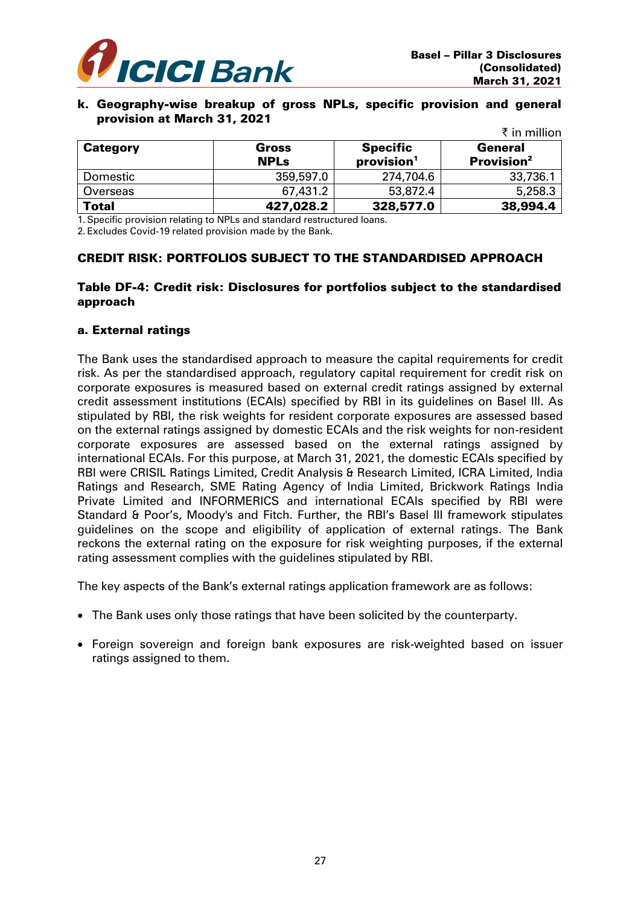

#### k. Geography-wise breakup of gross NPLs, specific provision and general provision at March 31, 2021

|                 |             |                        | ₹ in million           |
|-----------------|-------------|------------------------|------------------------|
| <b>Category</b> | Gross       | <b>Specific</b>        | General                |
|                 | <b>NPLs</b> | provision <sup>1</sup> | Provision <sup>2</sup> |
| Domestic        | 359,597.0   | 274,704.6              | 33,736.1               |
| Overseas        | 67,431.2    | 53,872.4               | 5,258.3                |
| <b>Total</b>    | 427,028.2   | 328,577.0              | 38,994.4               |

1. Specific provision relating to NPLs and standard restructured loans.

2. Excludes Covid-19 related provision made by the Bank.

## CREDIT RISK: PORTFOLIOS SUBJECT TO THE STANDARDISED APPROACH

## Table DF-4: Credit risk: Disclosures for portfolios subject to the standardised approach

### a. External ratings

The Bank uses the standardised approach to measure the capital requirements for credit risk. As per the standardised approach, regulatory capital requirement for credit risk on corporate exposures is measured based on external credit ratings assigned by external credit assessment institutions (ECAIs) specified by RBI in its guidelines on Basel III. As stipulated by RBI, the risk weights for resident corporate exposures are assessed based on the external ratings assigned by domestic ECAIs and the risk weights for non-resident corporate exposures are assessed based on the external ratings assigned by international ECAIs. For this purpose, at March 31, 2021, the domestic ECAIs specified by RBI were CRISIL Ratings Limited, Credit Analysis & Research Limited, ICRA Limited, India Ratings and Research, SME Rating Agency of India Limited, Brickwork Ratings India Private Limited and INFORMERICS and international ECAIs specified by RBI were Standard & Poor's, Moody's and Fitch. Further, the RBI's Basel III framework stipulates guidelines on the scope and eligibility of application of external ratings. The Bank reckons the external rating on the exposure for risk weighting purposes, if the external rating assessment complies with the guidelines stipulated by RBI.

The key aspects of the Bank's external ratings application framework are as follows:

- The Bank uses only those ratings that have been solicited by the counterparty.
- Foreign sovereign and foreign bank exposures are risk-weighted based on issuer ratings assigned to them.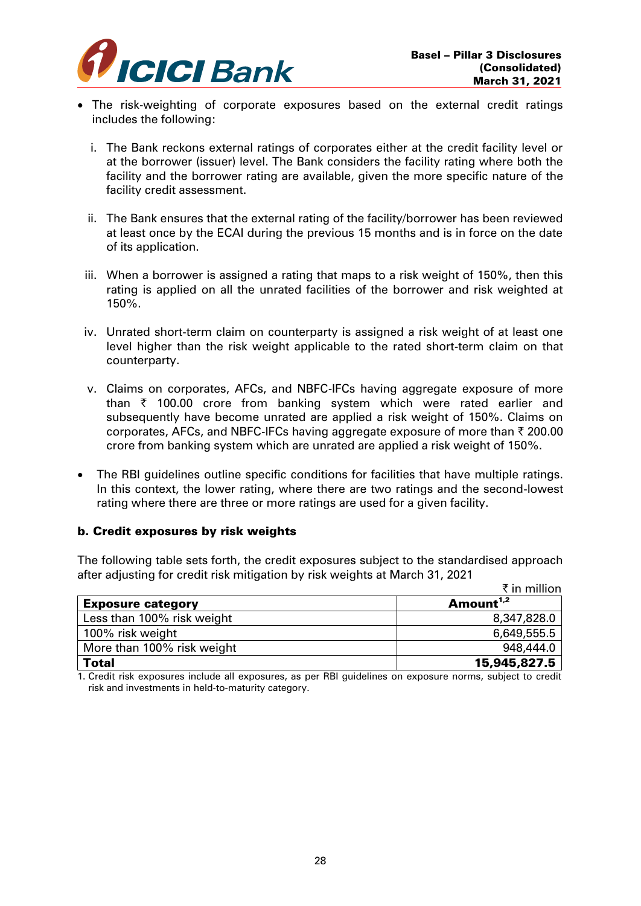

- The risk-weighting of corporate exposures based on the external credit ratings includes the following:
	- i. The Bank reckons external ratings of corporates either at the credit facility level or at the borrower (issuer) level. The Bank considers the facility rating where both the facility and the borrower rating are available, given the more specific nature of the facility credit assessment.
	- ii. The Bank ensures that the external rating of the facility/borrower has been reviewed at least once by the ECAI during the previous 15 months and is in force on the date of its application.
	- iii. When a borrower is assigned a rating that maps to a risk weight of 150%, then this rating is applied on all the unrated facilities of the borrower and risk weighted at 150%.
- iv. Unrated short-term claim on counterparty is assigned a risk weight of at least one level higher than the risk weight applicable to the rated short-term claim on that counterparty.
- v. Claims on corporates, AFCs, and NBFC-IFCs having aggregate exposure of more than  $\bar{\tau}$  100.00 crore from banking system which were rated earlier and subsequently have become unrated are applied a risk weight of 150%. Claims on corporates, AFCs, and NBFC-IFCs having aggregate exposure of more than  $\bar{\tau}$  200.00 crore from banking system which are unrated are applied a risk weight of 150%.
- The RBI guidelines outline specific conditions for facilities that have multiple ratings. In this context, the lower rating, where there are two ratings and the second-lowest rating where there are three or more ratings are used for a given facility.

## b. Credit exposures by risk weights

The following table sets forth, the credit exposures subject to the standardised approach after adjusting for credit risk mitigation by risk weights at March 31, 2021

|                            | ₹ in million          |
|----------------------------|-----------------------|
| <b>Exposure category</b>   | Amount <sup>1,2</sup> |
| Less than 100% risk weight | 8,347,828.0           |
| 100% risk weight           | 6,649,555.5           |
| More than 100% risk weight | 948,444.0             |
| <b>Total</b>               | 15,945,827.5          |

1. Credit risk exposures include all exposures, as per RBI guidelines on exposure norms, subject to credit risk and investments in held-to-maturity category.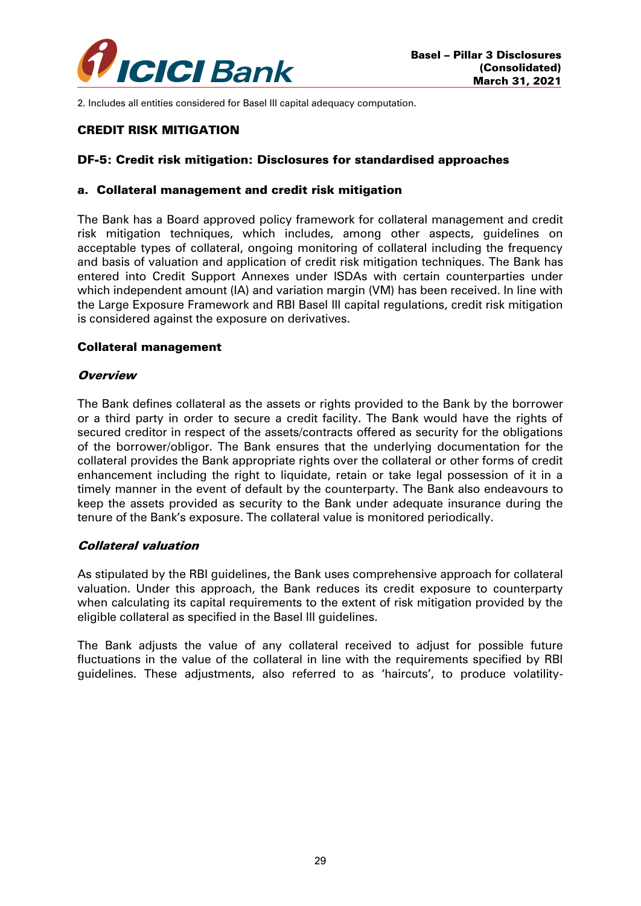

2. Includes all entities considered for Basel III capital adequacy computation.

### CREDIT RISK MITIGATION

### DF-5: Credit risk mitigation: Disclosures for standardised approaches

#### a. Collateral management and credit risk mitigation

The Bank has a Board approved policy framework for collateral management and credit risk mitigation techniques, which includes, among other aspects, guidelines on acceptable types of collateral, ongoing monitoring of collateral including the frequency and basis of valuation and application of credit risk mitigation techniques. The Bank has entered into Credit Support Annexes under ISDAs with certain counterparties under which independent amount (IA) and variation margin (VM) has been received. In line with the Large Exposure Framework and RBI Basel III capital regulations, credit risk mitigation is considered against the exposure on derivatives.

#### Collateral management

#### **Overview**

The Bank defines collateral as the assets or rights provided to the Bank by the borrower or a third party in order to secure a credit facility. The Bank would have the rights of secured creditor in respect of the assets/contracts offered as security for the obligations of the borrower/obligor. The Bank ensures that the underlying documentation for the collateral provides the Bank appropriate rights over the collateral or other forms of credit enhancement including the right to liquidate, retain or take legal possession of it in a timely manner in the event of default by the counterparty. The Bank also endeavours to keep the assets provided as security to the Bank under adequate insurance during the tenure of the Bank's exposure. The collateral value is monitored periodically.

#### Collateral valuation

As stipulated by the RBI guidelines, the Bank uses comprehensive approach for collateral valuation. Under this approach, the Bank reduces its credit exposure to counterparty when calculating its capital requirements to the extent of risk mitigation provided by the eligible collateral as specified in the Basel III guidelines.

The Bank adjusts the value of any collateral received to adjust for possible future fluctuations in the value of the collateral in line with the requirements specified by RBI guidelines. These adjustments, also referred to as 'haircuts', to produce volatility-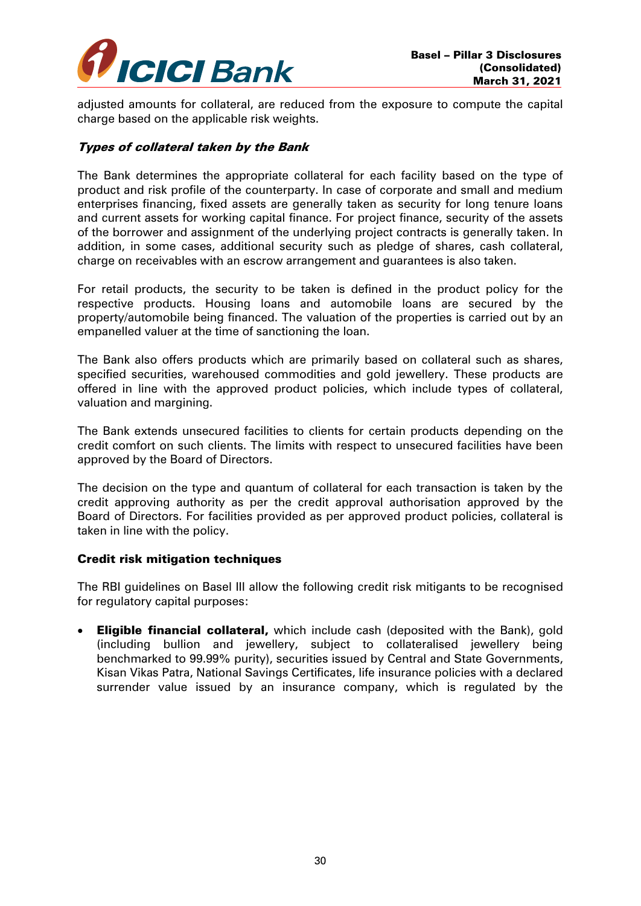

adjusted amounts for collateral, are reduced from the exposure to compute the capital charge based on the applicable risk weights.

## Types of collateral taken by the Bank

The Bank determines the appropriate collateral for each facility based on the type of product and risk profile of the counterparty. In case of corporate and small and medium enterprises financing, fixed assets are generally taken as security for long tenure loans and current assets for working capital finance. For project finance, security of the assets of the borrower and assignment of the underlying project contracts is generally taken. In addition, in some cases, additional security such as pledge of shares, cash collateral, charge on receivables with an escrow arrangement and guarantees is also taken.

For retail products, the security to be taken is defined in the product policy for the respective products. Housing loans and automobile loans are secured by the property/automobile being financed. The valuation of the properties is carried out by an empanelled valuer at the time of sanctioning the loan.

The Bank also offers products which are primarily based on collateral such as shares, specified securities, warehoused commodities and gold jewellery. These products are offered in line with the approved product policies, which include types of collateral, valuation and margining.

The Bank extends unsecured facilities to clients for certain products depending on the credit comfort on such clients. The limits with respect to unsecured facilities have been approved by the Board of Directors.

The decision on the type and quantum of collateral for each transaction is taken by the credit approving authority as per the credit approval authorisation approved by the Board of Directors. For facilities provided as per approved product policies, collateral is taken in line with the policy.

## Credit risk mitigation techniques

The RBI guidelines on Basel III allow the following credit risk mitigants to be recognised for regulatory capital purposes:

**Eligible financial collateral,** which include cash (deposited with the Bank), gold (including bullion and jewellery, subject to collateralised jewellery being benchmarked to 99.99% purity), securities issued by Central and State Governments, Kisan Vikas Patra, National Savings Certificates, life insurance policies with a declared surrender value issued by an insurance company, which is regulated by the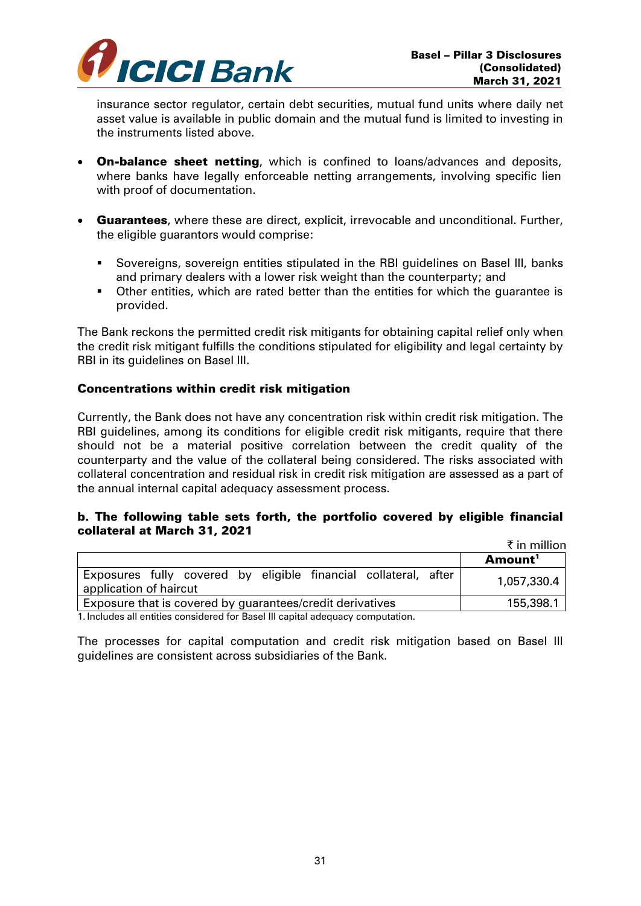

insurance sector regulator, certain debt securities, mutual fund units where daily net asset value is available in public domain and the mutual fund is limited to investing in the instruments listed above.

- On-balance sheet netting, which is confined to loans/advances and deposits, where banks have legally enforceable netting arrangements, involving specific lien with proof of documentation.
- **Guarantees**, where these are direct, explicit, irrevocable and unconditional. Further, the eligible guarantors would comprise:
	- Sovereigns, sovereign entities stipulated in the RBI guidelines on Basel III, banks and primary dealers with a lower risk weight than the counterparty; and
	- Other entities, which are rated better than the entities for which the guarantee is provided.

The Bank reckons the permitted credit risk mitigants for obtaining capital relief only when the credit risk mitigant fulfills the conditions stipulated for eligibility and legal certainty by RBI in its guidelines on Basel III.

## Concentrations within credit risk mitigation

Currently, the Bank does not have any concentration risk within credit risk mitigation. The RBI guidelines, among its conditions for eligible credit risk mitigants, require that there should not be a material positive correlation between the credit quality of the counterparty and the value of the collateral being considered. The risks associated with collateral concentration and residual risk in credit risk mitigation are assessed as a part of the annual internal capital adequacy assessment process.

## b. The following table sets forth, the portfolio covered by eligible financial collateral at March 31, 2021

|                                                                                           | ₹ in million        |  |
|-------------------------------------------------------------------------------------------|---------------------|--|
|                                                                                           | Amount <sup>1</sup> |  |
| Exposures fully covered by eligible financial collateral, after<br>application of haircut | 1,057,330.4         |  |
| Exposure that is covered by guarantees/credit derivatives                                 | 155,398.1           |  |
| 1. Includes all estitues considered for Desal III control edgements commutation           |                     |  |

1. Includes all entities considered for Basel III capital adequacy computation.

The processes for capital computation and credit risk mitigation based on Basel III guidelines are consistent across subsidiaries of the Bank.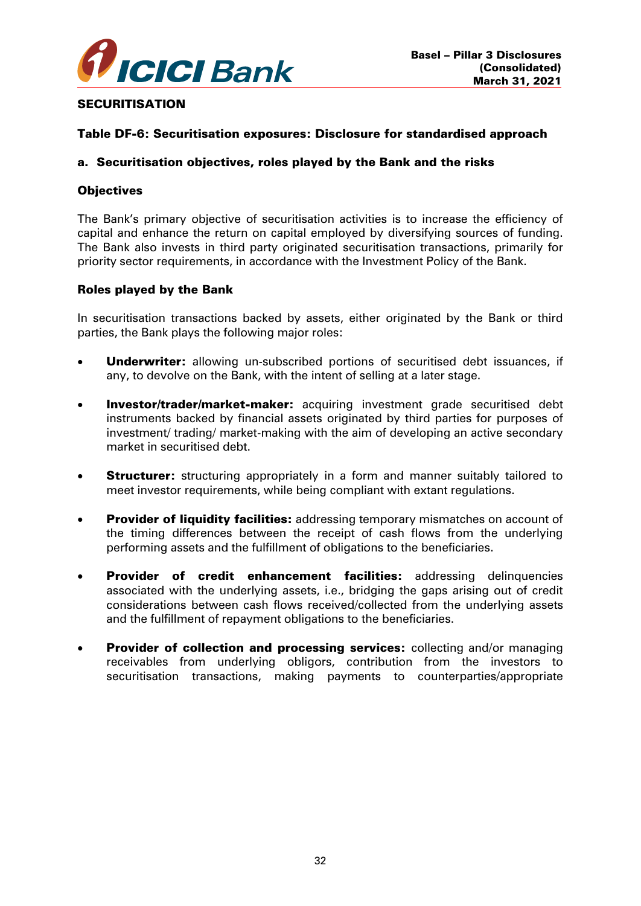

### **SECURITISATION**

### Table DF-6: Securitisation exposures: Disclosure for standardised approach

#### a. Securitisation objectives, roles played by the Bank and the risks

### **Objectives**

The Bank's primary objective of securitisation activities is to increase the efficiency of capital and enhance the return on capital employed by diversifying sources of funding. The Bank also invests in third party originated securitisation transactions, primarily for priority sector requirements, in accordance with the Investment Policy of the Bank.

### Roles played by the Bank

In securitisation transactions backed by assets, either originated by the Bank or third parties, the Bank plays the following major roles:

- **Underwriter:** allowing un-subscribed portions of securitised debt issuances, if any, to devolve on the Bank, with the intent of selling at a later stage.
- Investor/trader/market-maker: acquiring investment grade securitised debt instruments backed by financial assets originated by third parties for purposes of investment/ trading/ market-making with the aim of developing an active secondary market in securitised debt.
- **Structurer:** structuring appropriately in a form and manner suitably tailored to meet investor requirements, while being compliant with extant regulations.
- **Provider of liquidity facilities:** addressing temporary mismatches on account of the timing differences between the receipt of cash flows from the underlying performing assets and the fulfillment of obligations to the beneficiaries.
- Provider of credit enhancement facilities: addressing delinquencies associated with the underlying assets, i.e., bridging the gaps arising out of credit considerations between cash flows received/collected from the underlying assets and the fulfillment of repayment obligations to the beneficiaries.
- Provider of collection and processing services: collecting and/or managing receivables from underlying obligors, contribution from the investors to securitisation transactions, making payments to counterparties/appropriate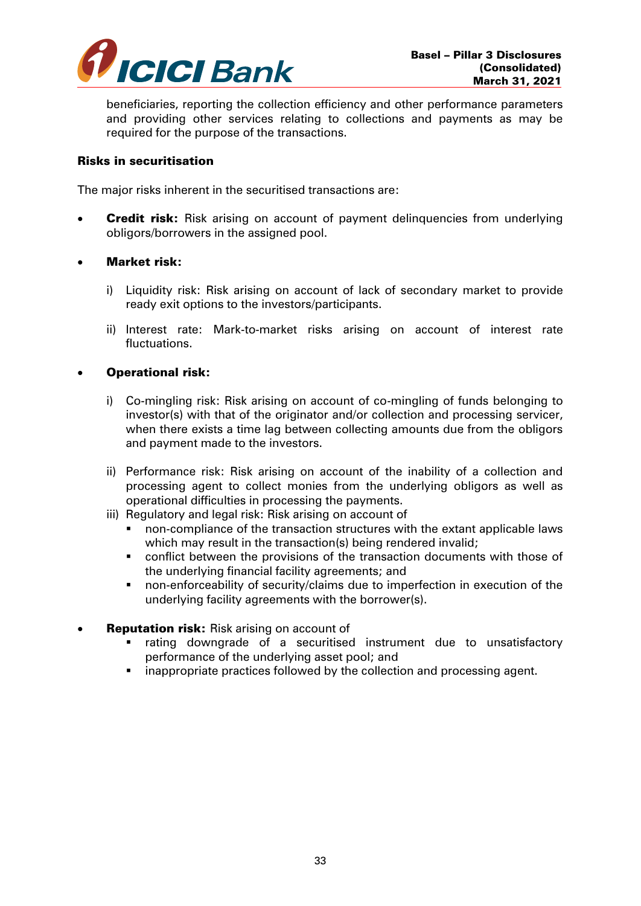

beneficiaries, reporting the collection efficiency and other performance parameters and providing other services relating to collections and payments as may be required for the purpose of the transactions.

### Risks in securitisation

The major risks inherent in the securitised transactions are:

**Credit risk:** Risk arising on account of payment delinguencies from underlying obligors/borrowers in the assigned pool.

## Market risk:

- i) Liquidity risk: Risk arising on account of lack of secondary market to provide ready exit options to the investors/participants.
- ii) Interest rate: Mark-to-market risks arising on account of interest rate fluctuations.

### Operational risk:

- i) Co-mingling risk: Risk arising on account of co-mingling of funds belonging to investor(s) with that of the originator and/or collection and processing servicer, when there exists a time lag between collecting amounts due from the obligors and payment made to the investors.
- ii) Performance risk: Risk arising on account of the inability of a collection and processing agent to collect monies from the underlying obligors as well as operational difficulties in processing the payments.
- iii) Regulatory and legal risk: Risk arising on account of
	- non-compliance of the transaction structures with the extant applicable laws which may result in the transaction(s) being rendered invalid;
	- conflict between the provisions of the transaction documents with those of the underlying financial facility agreements; and
	- non-enforceability of security/claims due to imperfection in execution of the underlying facility agreements with the borrower(s).
- **Reputation risk:** Risk arising on account of
	- rating downgrade of a securitised instrument due to unsatisfactory performance of the underlying asset pool; and
	- inappropriate practices followed by the collection and processing agent.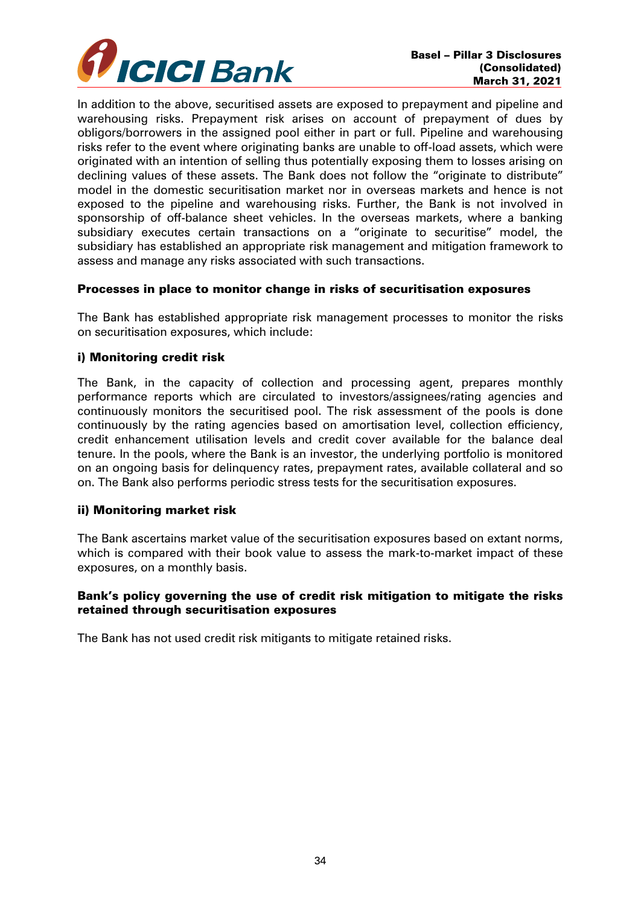

In addition to the above, securitised assets are exposed to prepayment and pipeline and warehousing risks. Prepayment risk arises on account of prepayment of dues by obligors/borrowers in the assigned pool either in part or full. Pipeline and warehousing risks refer to the event where originating banks are unable to off-load assets, which were originated with an intention of selling thus potentially exposing them to losses arising on declining values of these assets. The Bank does not follow the "originate to distribute" model in the domestic securitisation market nor in overseas markets and hence is not exposed to the pipeline and warehousing risks. Further, the Bank is not involved in sponsorship of off-balance sheet vehicles. In the overseas markets, where a banking subsidiary executes certain transactions on a "originate to securitise" model, the subsidiary has established an appropriate risk management and mitigation framework to assess and manage any risks associated with such transactions.

### Processes in place to monitor change in risks of securitisation exposures

The Bank has established appropriate risk management processes to monitor the risks on securitisation exposures, which include:

### i) Monitoring credit risk

The Bank, in the capacity of collection and processing agent, prepares monthly performance reports which are circulated to investors/assignees/rating agencies and continuously monitors the securitised pool. The risk assessment of the pools is done continuously by the rating agencies based on amortisation level, collection efficiency, credit enhancement utilisation levels and credit cover available for the balance deal tenure. In the pools, where the Bank is an investor, the underlying portfolio is monitored on an ongoing basis for delinquency rates, prepayment rates, available collateral and so on. The Bank also performs periodic stress tests for the securitisation exposures.

#### ii) Monitoring market risk

The Bank ascertains market value of the securitisation exposures based on extant norms, which is compared with their book value to assess the mark-to-market impact of these exposures, on a monthly basis.

## Bank's policy governing the use of credit risk mitigation to mitigate the risks retained through securitisation exposures

The Bank has not used credit risk mitigants to mitigate retained risks.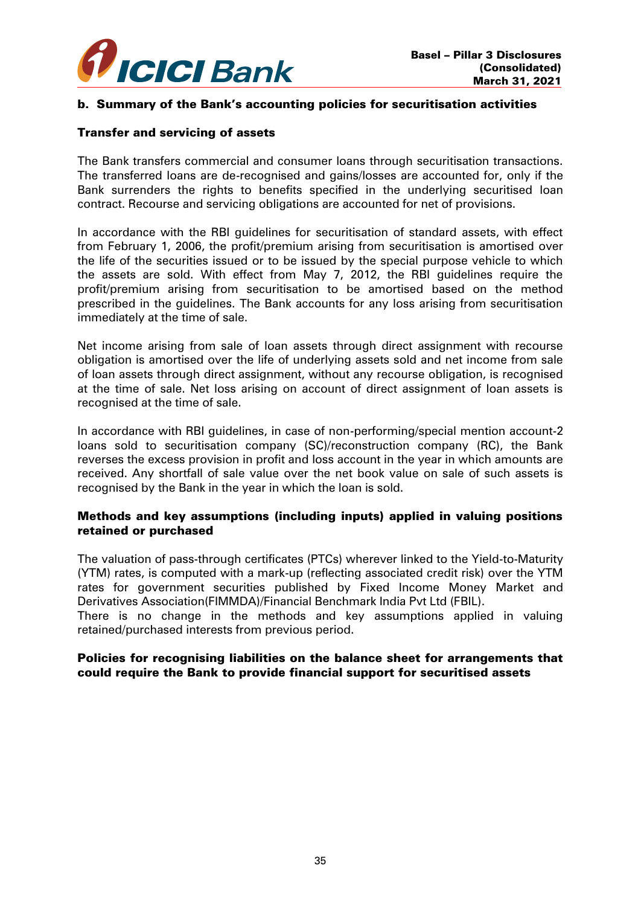

## b. Summary of the Bank's accounting policies for securitisation activities

#### Transfer and servicing of assets

The Bank transfers commercial and consumer loans through securitisation transactions. The transferred loans are de-recognised and gains/losses are accounted for, only if the Bank surrenders the rights to benefits specified in the underlying securitised loan contract. Recourse and servicing obligations are accounted for net of provisions.

In accordance with the RBI guidelines for securitisation of standard assets, with effect from February 1, 2006, the profit/premium arising from securitisation is amortised over the life of the securities issued or to be issued by the special purpose vehicle to which the assets are sold. With effect from May 7, 2012, the RBI guidelines require the profit/premium arising from securitisation to be amortised based on the method prescribed in the guidelines. The Bank accounts for any loss arising from securitisation immediately at the time of sale.

Net income arising from sale of loan assets through direct assignment with recourse obligation is amortised over the life of underlying assets sold and net income from sale of loan assets through direct assignment, without any recourse obligation, is recognised at the time of sale. Net loss arising on account of direct assignment of loan assets is recognised at the time of sale.

In accordance with RBI guidelines, in case of non-performing/special mention account-2 loans sold to securitisation company (SC)/reconstruction company (RC), the Bank reverses the excess provision in profit and loss account in the year in which amounts are received. Any shortfall of sale value over the net book value on sale of such assets is recognised by the Bank in the year in which the loan is sold.

## Methods and key assumptions (including inputs) applied in valuing positions retained or purchased

The valuation of pass-through certificates (PTCs) wherever linked to the Yield-to-Maturity (YTM) rates, is computed with a mark-up (reflecting associated credit risk) over the YTM rates for government securities published by Fixed Income Money Market and Derivatives Association(FIMMDA)/Financial Benchmark India Pvt Ltd (FBIL).

There is no change in the methods and key assumptions applied in valuing retained/purchased interests from previous period.

## Policies for recognising liabilities on the balance sheet for arrangements that could require the Bank to provide financial support for securitised assets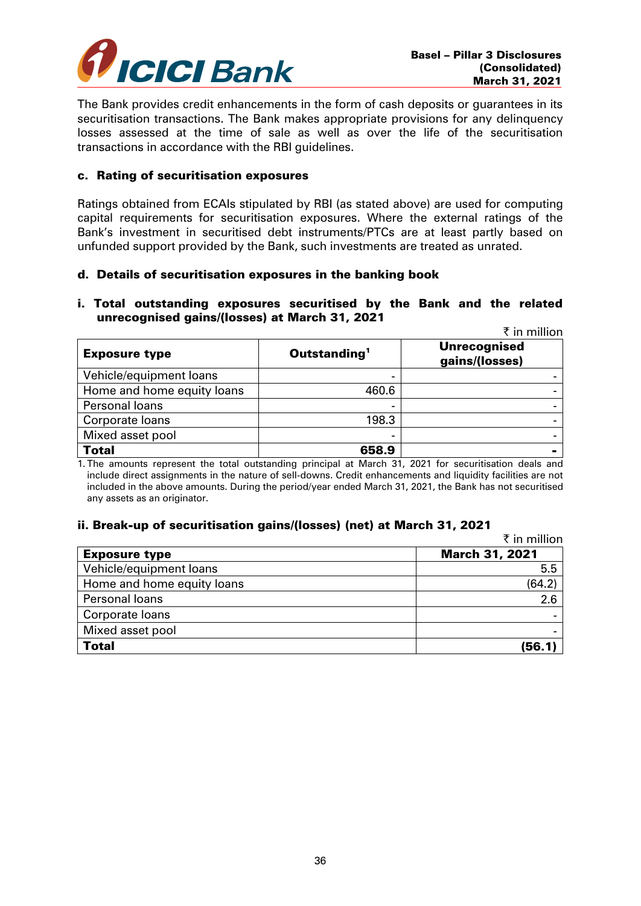

The Bank provides credit enhancements in the form of cash deposits or guarantees in its securitisation transactions. The Bank makes appropriate provisions for any delinquency losses assessed at the time of sale as well as over the life of the securitisation transactions in accordance with the RBI guidelines.

#### c. Rating of securitisation exposures

Ratings obtained from ECAIs stipulated by RBI (as stated above) are used for computing capital requirements for securitisation exposures. Where the external ratings of the Bank's investment in securitised debt instruments/PTCs are at least partly based on unfunded support provided by the Bank, such investments are treated as unrated.

### d. Details of securitisation exposures in the banking book

#### i. Total outstanding exposures securitised by the Bank and the related unrecognised gains/(losses) at March 31, 2021  $\overline{f}$  in maillion

|                            |                          | к штинноп                             |
|----------------------------|--------------------------|---------------------------------------|
| <b>Exposure type</b>       | Outstanding <sup>1</sup> | <b>Unrecognised</b><br>gains/(losses) |
| Vehicle/equipment loans    |                          |                                       |
| Home and home equity loans | 460.6                    |                                       |
| Personal loans             |                          |                                       |
| Corporate loans            | 198.3                    |                                       |
| Mixed asset pool           |                          |                                       |
| <b>Total</b>               | 658.9                    |                                       |

1. The amounts represent the total outstanding principal at March 31, 2021 for securitisation deals and include direct assignments in the nature of sell-downs. Credit enhancements and liquidity facilities are not included in the above amounts. During the period/year ended March 31, 2021, the Bank has not securitised any assets as an originator.

## ii. Break-up of securitisation gains/(losses) (net) at March 31, 2021

|                            | ₹ in million          |
|----------------------------|-----------------------|
| <b>Exposure type</b>       | <b>March 31, 2021</b> |
| Vehicle/equipment loans    | 5.5                   |
| Home and home equity loans | (64.2)                |
| Personal loans             | 2.6                   |
| Corporate loans            |                       |
| Mixed asset pool           |                       |
| <b>Total</b>               | (56.1)                |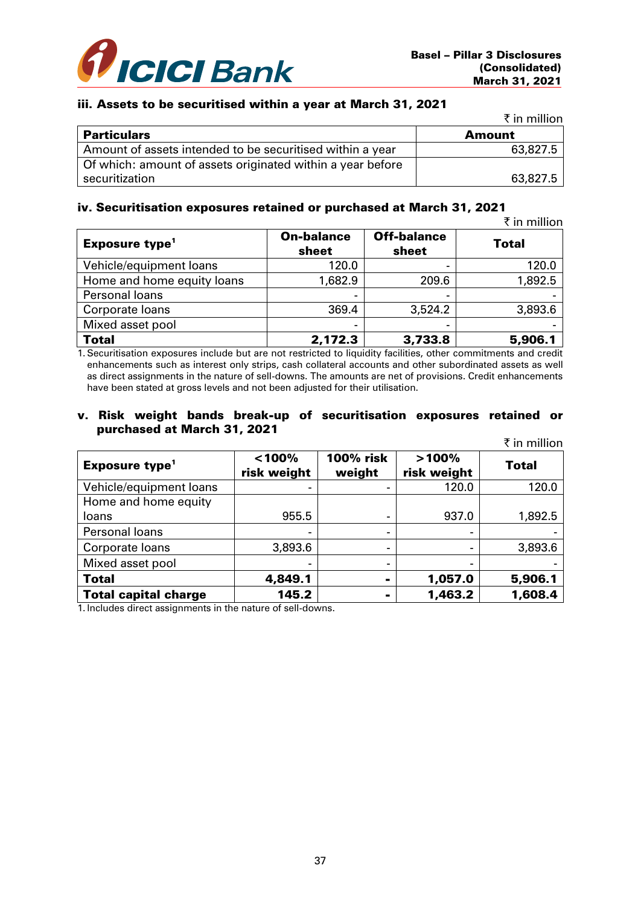

## iii. Assets to be securitised within a year at March 31, 2021

|                                                            | ₹ in million  |
|------------------------------------------------------------|---------------|
| <b>Particulars</b>                                         | <b>Amount</b> |
| Amount of assets intended to be securitised within a year  | 63,827.5      |
| Of which: amount of assets originated within a year before |               |
| securitization                                             | 63,827.5      |

#### iv. Securitisation exposures retained or purchased at March 31, 2021

 $\bar{\tau}$  in million

| Exposure type <sup>1</sup> | <b>On-balance</b><br>sheet | <b>Off-balance</b><br>sheet | <b>Total</b> |
|----------------------------|----------------------------|-----------------------------|--------------|
| Vehicle/equipment loans    | 120.0                      |                             | 120.0        |
| Home and home equity loans | 1,682.9                    | 209.6                       | 1,892.5      |
| Personal loans             |                            |                             |              |
| Corporate loans            | 369.4                      | 3,524.2                     | 3,893.6      |
| Mixed asset pool           | $\overline{\phantom{0}}$   |                             |              |
| <b>Total</b>               | 2,172.3                    | 3,733.8                     | 5,906.1      |

1. Securitisation exposures include but are not restricted to liquidity facilities, other commitments and credit enhancements such as interest only strips, cash collateral accounts and other subordinated assets as well as direct assignments in the nature of sell-downs. The amounts are net of provisions. Credit enhancements have been stated at gross levels and not been adjusted for their utilisation.

#### v. Risk weight bands break-up of securitisation exposures retained or purchased at March 31, 2021

|                                  |                       |                            |                      | ₹ in million |
|----------------------------------|-----------------------|----------------------------|----------------------|--------------|
| <b>Exposure type<sup>1</sup></b> | < 100%<br>risk weight | <b>100% risk</b><br>weight | >100%<br>risk weight | Total        |
| Vehicle/equipment loans          |                       |                            | 120.0                | 120.0        |
| Home and home equity             |                       |                            |                      |              |
| loans                            | 955.5                 | -                          | 937.0                | 1,892.5      |
| Personal loans                   |                       | -                          |                      |              |
| Corporate loans                  | 3,893.6               | -                          |                      | 3,893.6      |
| Mixed asset pool                 |                       | -                          |                      |              |
| <b>Total</b>                     | 4,849.1               | $\blacksquare$             | 1,057.0              | 5,906.1      |
| <b>Total capital charge</b>      | 145.2                 |                            | 1,463.2              | 1,608.4      |

1. Includes direct assignments in the nature of sell-downs.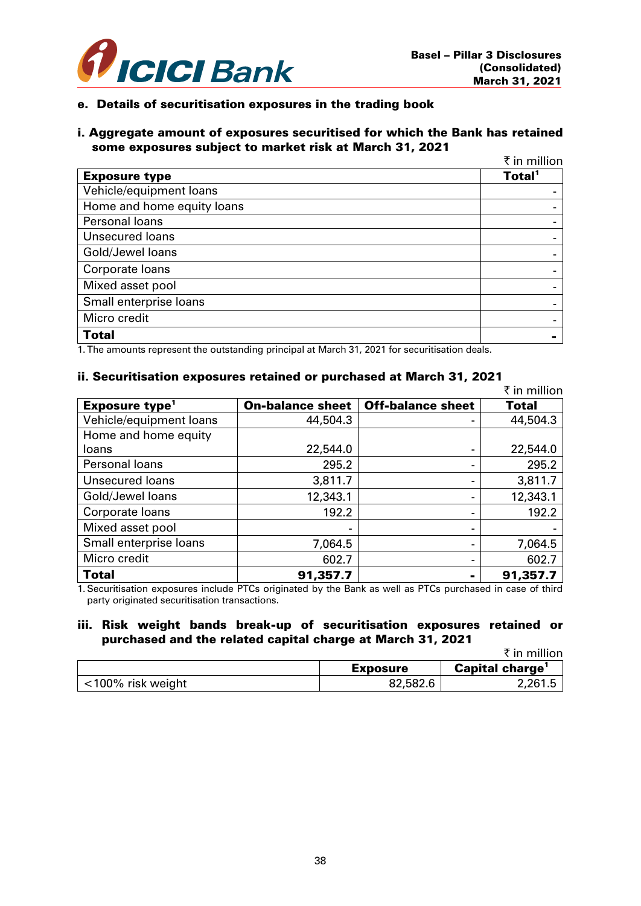

#### e. Details of securitisation exposures in the trading book

#### i. Aggregate amount of exposures securitised for which the Bank has retained some exposures subject to market risk at March 31, 2021

|                            | ₹ in million       |
|----------------------------|--------------------|
| <b>Exposure type</b>       | Total <sup>1</sup> |
| Vehicle/equipment loans    |                    |
| Home and home equity loans |                    |
| Personal loans             |                    |
| <b>Unsecured loans</b>     |                    |
| Gold/Jewel loans           |                    |
| Corporate loans            |                    |
| Mixed asset pool           |                    |
| Small enterprise loans     |                    |
| Micro credit               |                    |
| <b>Total</b>               | -                  |

1. The amounts represent the outstanding principal at March 31, 2021 for securitisation deals.

# ii. Securitisation exposures retained or purchased at March 31, 2021

|                            |                         |                          | ₹ in million |
|----------------------------|-------------------------|--------------------------|--------------|
| Exposure type <sup>1</sup> | <b>On-balance sheet</b> | <b>Off-balance sheet</b> | Total        |
| Vehicle/equipment loans    | 44,504.3                |                          | 44,504.3     |
| Home and home equity       |                         |                          |              |
| loans                      | 22,544.0                |                          | 22,544.0     |
| Personal loans             | 295.2                   |                          | 295.2        |
| <b>Unsecured loans</b>     | 3,811.7                 |                          | 3,811.7      |
| Gold/Jewel loans           | 12,343.1                |                          | 12,343.1     |
| Corporate loans            | 192.2                   |                          | 192.2        |
| Mixed asset pool           |                         |                          |              |
| Small enterprise loans     | 7,064.5                 |                          | 7,064.5      |
| Micro credit               | 602.7                   |                          | 602.7        |
| <b>Total</b>               | 91,357.7                |                          | 91,357.7     |

1. Securitisation exposures include PTCs originated by the Bank as well as PTCs purchased in case of third party originated securitisation transactions.

#### iii. Risk weight bands break-up of securitisation exposures retained or purchased and the related capital charge at March 31, 2021

|                   |                 | ₹ in million          |
|-------------------|-----------------|-----------------------|
|                   | <b>Exposure</b> | <b>Capital charge</b> |
| <100% risk weight | 82,582.6        | 2,261.5               |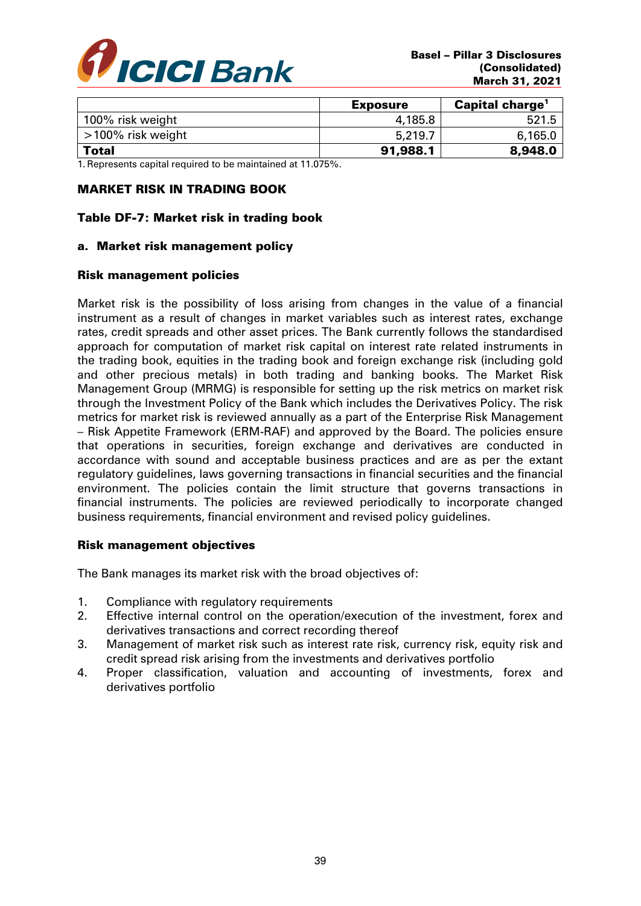

|                   | <b>Exposure</b> | <b>Capital charge</b> |
|-------------------|-----------------|-----------------------|
| 100% risk weight  | 4,185.8         | 521.5                 |
| >100% risk weight | 5,219.7         | 6,165.0               |
| <b>Total</b>      | 91,988.1        | 8,948.0               |

1. Represents capital required to be maintained at 11.075%.

## MARKET RISK IN TRADING BOOK

# Table DF-7: Market risk in trading book

#### a. Market risk management policy

#### Risk management policies

Market risk is the possibility of loss arising from changes in the value of a financial instrument as a result of changes in market variables such as interest rates, exchange rates, credit spreads and other asset prices. The Bank currently follows the standardised approach for computation of market risk capital on interest rate related instruments in the trading book, equities in the trading book and foreign exchange risk (including gold and other precious metals) in both trading and banking books. The Market Risk Management Group (MRMG) is responsible for setting up the risk metrics on market risk through the Investment Policy of the Bank which includes the Derivatives Policy. The risk metrics for market risk is reviewed annually as a part of the Enterprise Risk Management – Risk Appetite Framework (ERM-RAF) and approved by the Board. The policies ensure that operations in securities, foreign exchange and derivatives are conducted in accordance with sound and acceptable business practices and are as per the extant regulatory guidelines, laws governing transactions in financial securities and the financial environment. The policies contain the limit structure that governs transactions in financial instruments. The policies are reviewed periodically to incorporate changed business requirements, financial environment and revised policy guidelines.

## Risk management objectives

The Bank manages its market risk with the broad objectives of:

- 1. Compliance with regulatory requirements
- 2. Effective internal control on the operation/execution of the investment, forex and derivatives transactions and correct recording thereof
- 3. Management of market risk such as interest rate risk, currency risk, equity risk and credit spread risk arising from the investments and derivatives portfolio
- 4. Proper classification, valuation and accounting of investments, forex and derivatives portfolio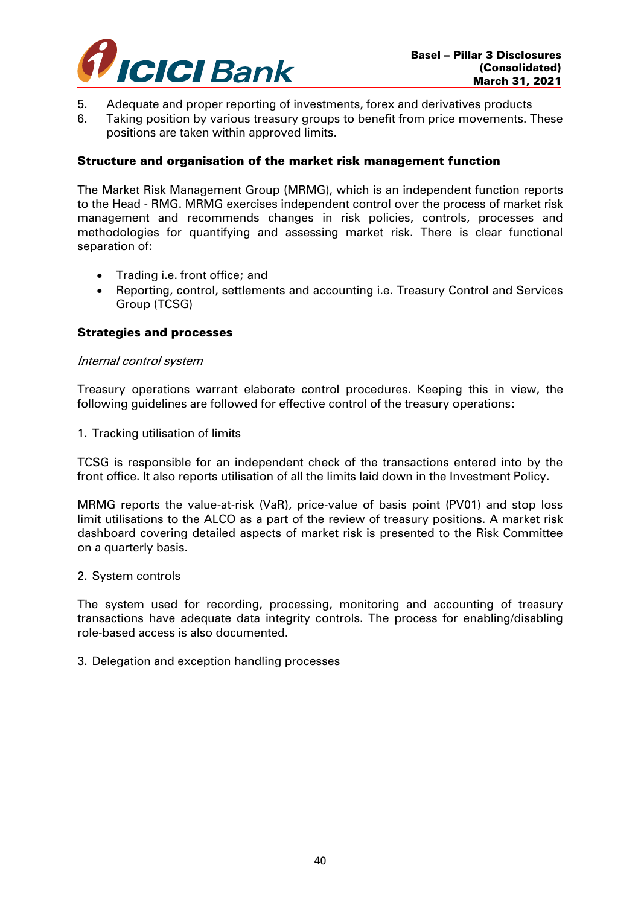

- 5. Adequate and proper reporting of investments, forex and derivatives products
- 6. Taking position by various treasury groups to benefit from price movements. These positions are taken within approved limits.

#### Structure and organisation of the market risk management function

The Market Risk Management Group (MRMG), which is an independent function reports to the Head - RMG. MRMG exercises independent control over the process of market risk management and recommends changes in risk policies, controls, processes and methodologies for quantifying and assessing market risk. There is clear functional separation of:

- Trading i.e. front office; and
- Reporting, control, settlements and accounting i.e. Treasury Control and Services Group (TCSG)

#### Strategies and processes

#### Internal control system

Treasury operations warrant elaborate control procedures. Keeping this in view, the following guidelines are followed for effective control of the treasury operations:

1. Tracking utilisation of limits

TCSG is responsible for an independent check of the transactions entered into by the front office. It also reports utilisation of all the limits laid down in the Investment Policy.

MRMG reports the value-at-risk (VaR), price-value of basis point (PV01) and stop loss limit utilisations to the ALCO as a part of the review of treasury positions. A market risk dashboard covering detailed aspects of market risk is presented to the Risk Committee on a quarterly basis.

#### 2. System controls

The system used for recording, processing, monitoring and accounting of treasury transactions have adequate data integrity controls. The process for enabling/disabling role-based access is also documented.

#### 3. Delegation and exception handling processes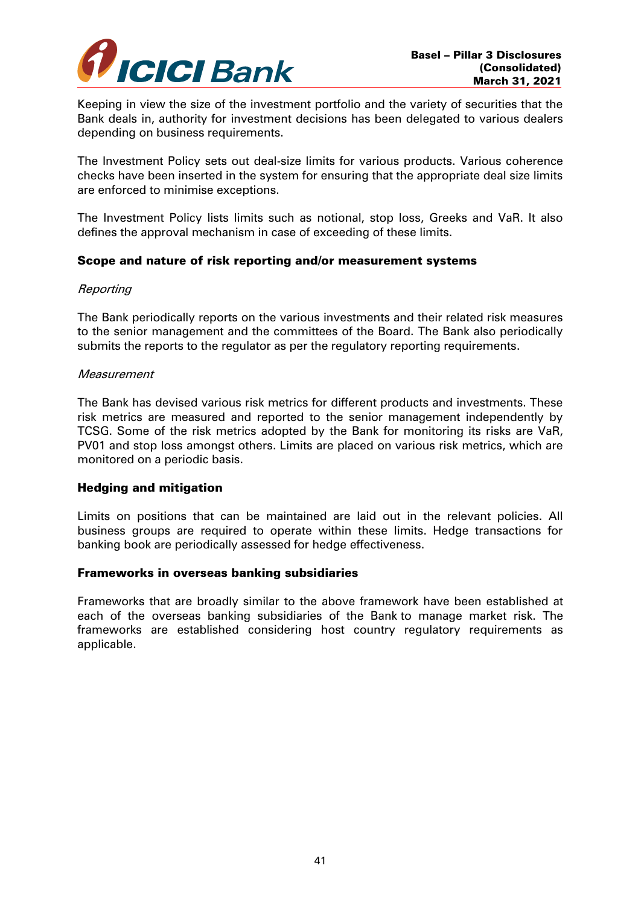

Keeping in view the size of the investment portfolio and the variety of securities that the Bank deals in, authority for investment decisions has been delegated to various dealers depending on business requirements.

The Investment Policy sets out deal-size limits for various products. Various coherence checks have been inserted in the system for ensuring that the appropriate deal size limits are enforced to minimise exceptions.

The Investment Policy lists limits such as notional, stop loss, Greeks and VaR. It also defines the approval mechanism in case of exceeding of these limits.

## Scope and nature of risk reporting and/or measurement systems

#### **Reporting**

The Bank periodically reports on the various investments and their related risk measures to the senior management and the committees of the Board. The Bank also periodically submits the reports to the regulator as per the regulatory reporting requirements.

#### **Measurement**

The Bank has devised various risk metrics for different products and investments. These risk metrics are measured and reported to the senior management independently by TCSG. Some of the risk metrics adopted by the Bank for monitoring its risks are VaR, PV01 and stop loss amongst others. Limits are placed on various risk metrics, which are monitored on a periodic basis.

#### Hedging and mitigation

Limits on positions that can be maintained are laid out in the relevant policies. All business groups are required to operate within these limits. Hedge transactions for banking book are periodically assessed for hedge effectiveness.

#### Frameworks in overseas banking subsidiaries

Frameworks that are broadly similar to the above framework have been established at each of the overseas banking subsidiaries of the Bank to manage market risk. The frameworks are established considering host country regulatory requirements as applicable.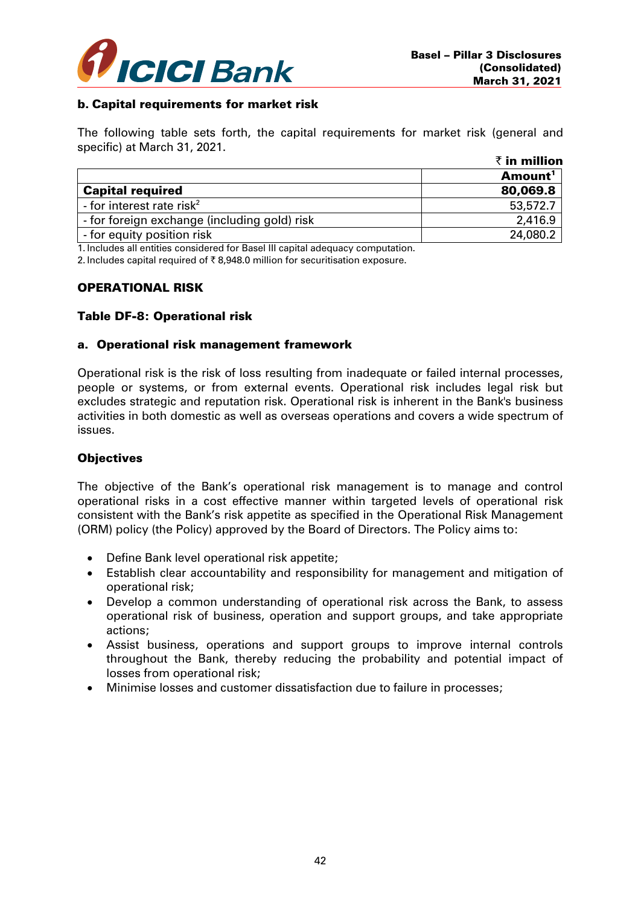

## b. Capital requirements for market risk

The following table sets forth, the capital requirements for market risk (general and specific) at March 31, 2021.

|                                              | $\bar{\tau}$ in million |  |
|----------------------------------------------|-------------------------|--|
|                                              | Amount <sup>1</sup>     |  |
| <b>Capital required</b>                      | 80,069.8                |  |
| - for interest rate risk <sup>2</sup>        | 53,572.7                |  |
| - for foreign exchange (including gold) risk | 2,416.9                 |  |
| - for equity position risk                   | 24,080.2                |  |

1. Includes all entities considered for Basel III capital adequacy computation.

2. Includes capital required of  $\bar{\tau}$  8.948.0 million for securitisation exposure.

#### OPERATIONAL RISK

#### Table DF-8: Operational risk

#### a. Operational risk management framework

Operational risk is the risk of loss resulting from inadequate or failed internal processes, people or systems, or from external events. Operational risk includes legal risk but excludes strategic and reputation risk. Operational risk is inherent in the Bank's business activities in both domestic as well as overseas operations and covers a wide spectrum of issues.

#### **Objectives**

The objective of the Bank's operational risk management is to manage and control operational risks in a cost effective manner within targeted levels of operational risk consistent with the Bank's risk appetite as specified in the Operational Risk Management (ORM) policy (the Policy) approved by the Board of Directors. The Policy aims to:

- Define Bank level operational risk appetite;
- Establish clear accountability and responsibility for management and mitigation of operational risk;
- Develop a common understanding of operational risk across the Bank, to assess operational risk of business, operation and support groups, and take appropriate actions;
- Assist business, operations and support groups to improve internal controls throughout the Bank, thereby reducing the probability and potential impact of losses from operational risk;
- Minimise losses and customer dissatisfaction due to failure in processes;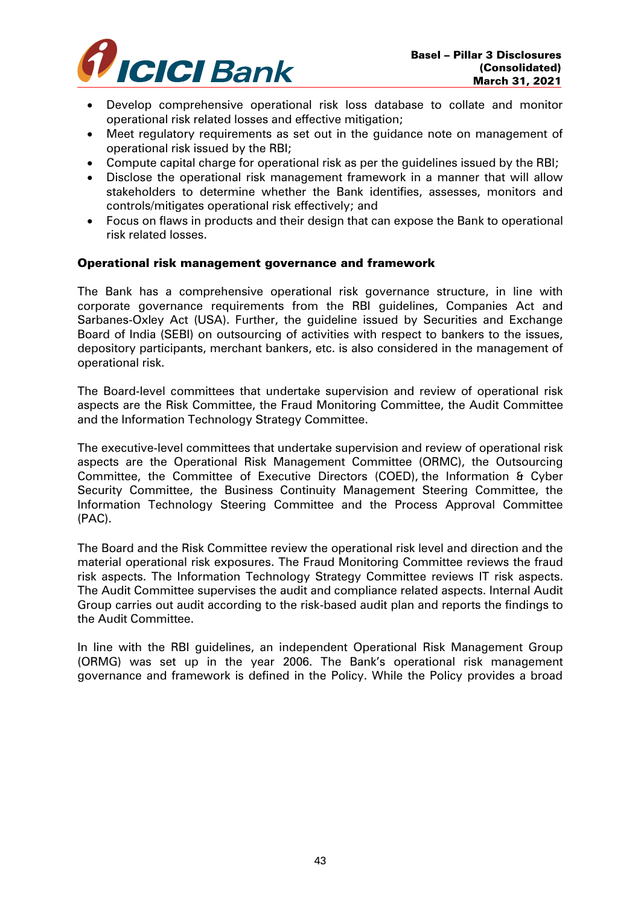

- Develop comprehensive operational risk loss database to collate and monitor operational risk related losses and effective mitigation;
- Meet regulatory requirements as set out in the guidance note on management of operational risk issued by the RBI;
- Compute capital charge for operational risk as per the guidelines issued by the RBI;
- Disclose the operational risk management framework in a manner that will allow stakeholders to determine whether the Bank identifies, assesses, monitors and controls/mitigates operational risk effectively; and
- Focus on flaws in products and their design that can expose the Bank to operational risk related losses.

#### Operational risk management governance and framework

The Bank has a comprehensive operational risk governance structure, in line with corporate governance requirements from the RBI guidelines, Companies Act and Sarbanes-Oxley Act (USA). Further, the guideline issued by Securities and Exchange Board of India (SEBI) on outsourcing of activities with respect to bankers to the issues, depository participants, merchant bankers, etc. is also considered in the management of operational risk.

The Board-level committees that undertake supervision and review of operational risk aspects are the Risk Committee, the Fraud Monitoring Committee, the Audit Committee and the Information Technology Strategy Committee.

The executive-level committees that undertake supervision and review of operational risk aspects are the Operational Risk Management Committee (ORMC), the Outsourcing Committee, the Committee of Executive Directors (COED), the Information & Cyber Security Committee, the Business Continuity Management Steering Committee, the Information Technology Steering Committee and the Process Approval Committee (PAC).

The Board and the Risk Committee review the operational risk level and direction and the material operational risk exposures. The Fraud Monitoring Committee reviews the fraud risk aspects. The Information Technology Strategy Committee reviews IT risk aspects. The Audit Committee supervises the audit and compliance related aspects. Internal Audit Group carries out audit according to the risk-based audit plan and reports the findings to the Audit Committee.

In line with the RBI guidelines, an independent Operational Risk Management Group (ORMG) was set up in the year 2006. The Bank's operational risk management governance and framework is defined in the Policy. While the Policy provides a broad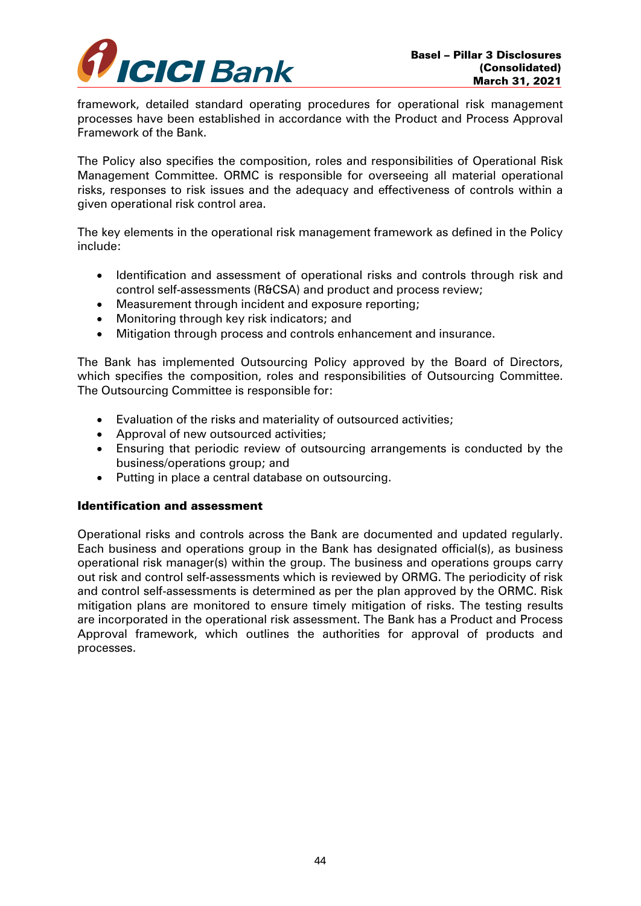

framework, detailed standard operating procedures for operational risk management processes have been established in accordance with the Product and Process Approval Framework of the Bank.

The Policy also specifies the composition, roles and responsibilities of Operational Risk Management Committee. ORMC is responsible for overseeing all material operational risks, responses to risk issues and the adequacy and effectiveness of controls within a given operational risk control area.

The key elements in the operational risk management framework as defined in the Policy include:

- Identification and assessment of operational risks and controls through risk and control self-assessments (R&CSA) and product and process review;
- Measurement through incident and exposure reporting;
- Monitoring through key risk indicators; and
- Mitigation through process and controls enhancement and insurance.

The Bank has implemented Outsourcing Policy approved by the Board of Directors, which specifies the composition, roles and responsibilities of Outsourcing Committee. The Outsourcing Committee is responsible for:

- Evaluation of the risks and materiality of outsourced activities;
- Approval of new outsourced activities;
- Ensuring that periodic review of outsourcing arrangements is conducted by the business/operations group; and
- Putting in place a central database on outsourcing.

## Identification and assessment

Operational risks and controls across the Bank are documented and updated regularly. Each business and operations group in the Bank has designated official(s), as business operational risk manager(s) within the group. The business and operations groups carry out risk and control self-assessments which is reviewed by ORMG. The periodicity of risk and control self-assessments is determined as per the plan approved by the ORMC. Risk mitigation plans are monitored to ensure timely mitigation of risks. The testing results are incorporated in the operational risk assessment. The Bank has a Product and Process Approval framework, which outlines the authorities for approval of products and processes.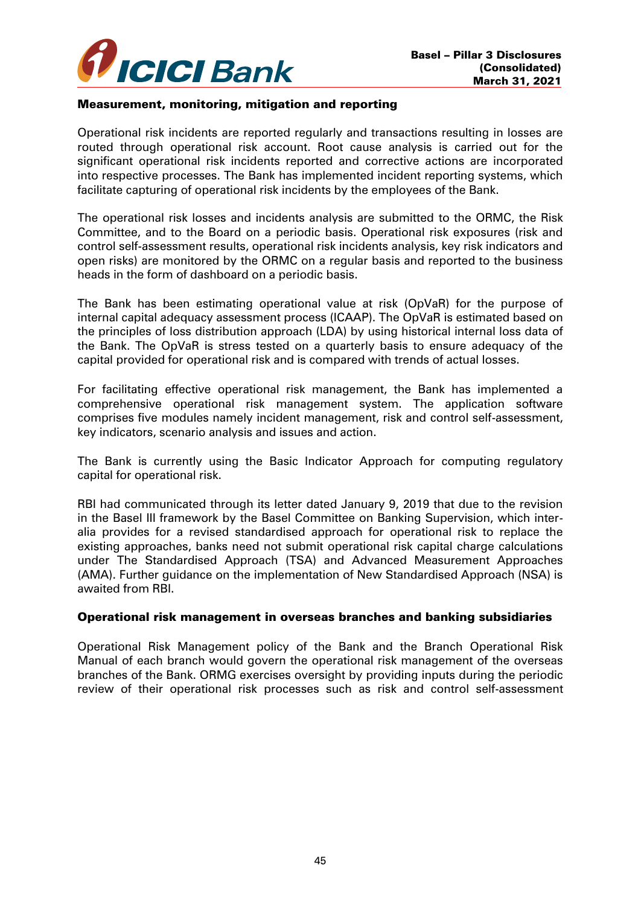

#### Measurement, monitoring, mitigation and reporting

Operational risk incidents are reported regularly and transactions resulting in losses are routed through operational risk account. Root cause analysis is carried out for the significant operational risk incidents reported and corrective actions are incorporated into respective processes. The Bank has implemented incident reporting systems, which facilitate capturing of operational risk incidents by the employees of the Bank.

The operational risk losses and incidents analysis are submitted to the ORMC, the Risk Committee, and to the Board on a periodic basis. Operational risk exposures (risk and control self-assessment results, operational risk incidents analysis, key risk indicators and open risks) are monitored by the ORMC on a regular basis and reported to the business heads in the form of dashboard on a periodic basis.

The Bank has been estimating operational value at risk (OpVaR) for the purpose of internal capital adequacy assessment process (ICAAP). The OpVaR is estimated based on the principles of loss distribution approach (LDA) by using historical internal loss data of the Bank. The OpVaR is stress tested on a quarterly basis to ensure adequacy of the capital provided for operational risk and is compared with trends of actual losses.

For facilitating effective operational risk management, the Bank has implemented a comprehensive operational risk management system. The application software comprises five modules namely incident management, risk and control self-assessment, key indicators, scenario analysis and issues and action.

The Bank is currently using the Basic Indicator Approach for computing regulatory capital for operational risk.

RBI had communicated through its letter dated January 9, 2019 that due to the revision in the Basel III framework by the Basel Committee on Banking Supervision, which interalia provides for a revised standardised approach for operational risk to replace the existing approaches, banks need not submit operational risk capital charge calculations under The Standardised Approach (TSA) and Advanced Measurement Approaches (AMA). Further guidance on the implementation of New Standardised Approach (NSA) is awaited from RBI.

#### Operational risk management in overseas branches and banking subsidiaries

Operational Risk Management policy of the Bank and the Branch Operational Risk Manual of each branch would govern the operational risk management of the overseas branches of the Bank. ORMG exercises oversight by providing inputs during the periodic review of their operational risk processes such as risk and control self-assessment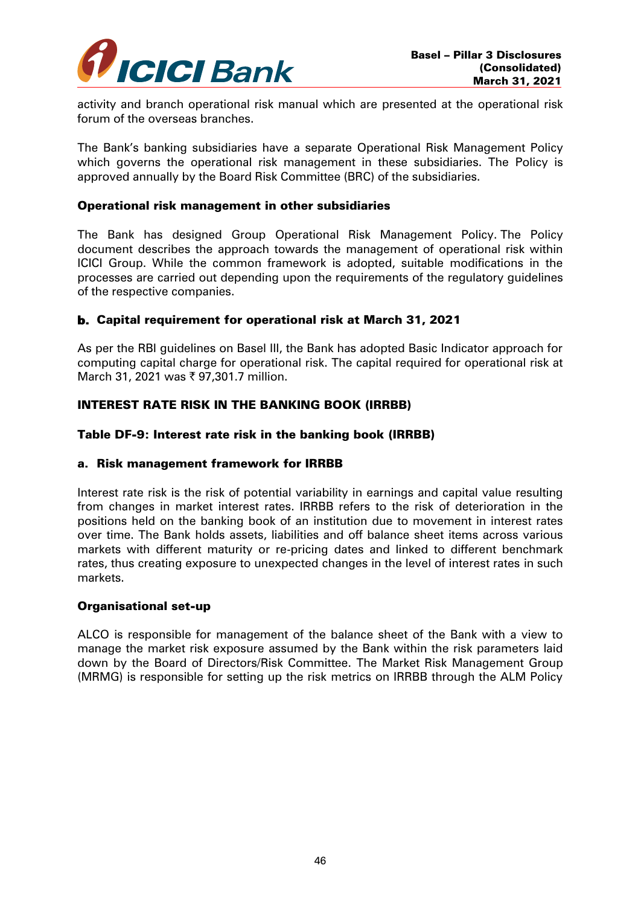

activity and branch operational risk manual which are presented at the operational risk forum of the overseas branches.

The Bank's banking subsidiaries have a separate Operational Risk Management Policy which governs the operational risk management in these subsidiaries. The Policy is approved annually by the Board Risk Committee (BRC) of the subsidiaries.

#### Operational risk management in other subsidiaries

The Bank has designed Group Operational Risk Management Policy. The Policy document describes the approach towards the management of operational risk within ICICI Group. While the common framework is adopted, suitable modifications in the processes are carried out depending upon the requirements of the regulatory guidelines of the respective companies.

## b. Capital requirement for operational risk at March 31, 2021

As per the RBI guidelines on Basel III, the Bank has adopted Basic Indicator approach for computing capital charge for operational risk. The capital required for operational risk at March 31, 2021 was ₹ 97,301.7 million.

# INTEREST RATE RISK IN THE BANKING BOOK (IRRBB)

#### Table DF-9: Interest rate risk in the banking book (IRRBB)

#### a. Risk management framework for IRRBB

Interest rate risk is the risk of potential variability in earnings and capital value resulting from changes in market interest rates. IRRBB refers to the risk of deterioration in the positions held on the banking book of an institution due to movement in interest rates over time. The Bank holds assets, liabilities and off balance sheet items across various markets with different maturity or re-pricing dates and linked to different benchmark rates, thus creating exposure to unexpected changes in the level of interest rates in such markets.

#### Organisational set-up

ALCO is responsible for management of the balance sheet of the Bank with a view to manage the market risk exposure assumed by the Bank within the risk parameters laid down by the Board of Directors/Risk Committee. The Market Risk Management Group (MRMG) is responsible for setting up the risk metrics on IRRBB through the ALM Policy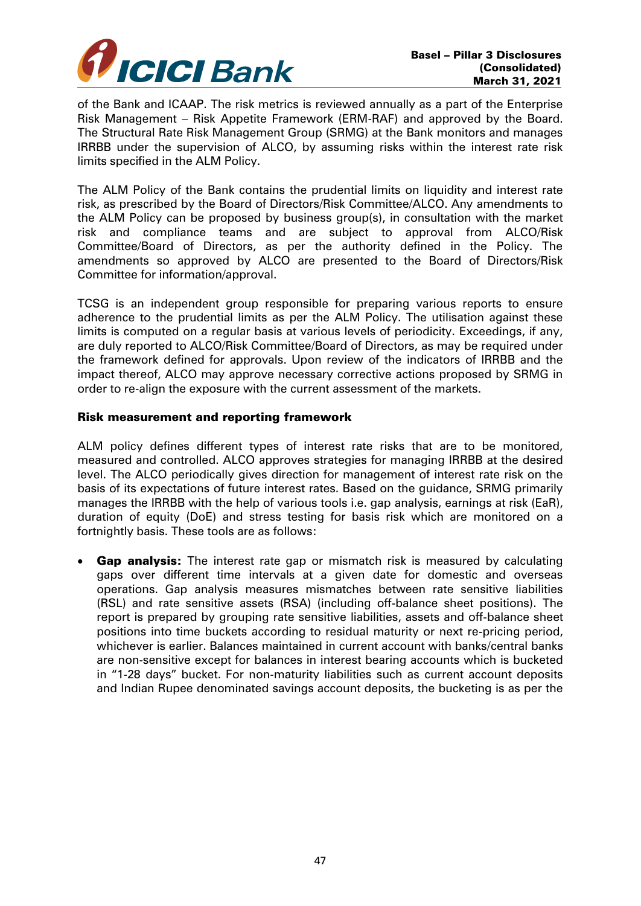

of the Bank and ICAAP. The risk metrics is reviewed annually as a part of the Enterprise Risk Management – Risk Appetite Framework (ERM-RAF) and approved by the Board. The Structural Rate Risk Management Group (SRMG) at the Bank monitors and manages IRRBB under the supervision of ALCO, by assuming risks within the interest rate risk limits specified in the ALM Policy.

The ALM Policy of the Bank contains the prudential limits on liquidity and interest rate risk, as prescribed by the Board of Directors/Risk Committee/ALCO. Any amendments to the ALM Policy can be proposed by business group(s), in consultation with the market risk and compliance teams and are subject to approval from ALCO/Risk Committee/Board of Directors, as per the authority defined in the Policy. The amendments so approved by ALCO are presented to the Board of Directors/Risk Committee for information/approval.

TCSG is an independent group responsible for preparing various reports to ensure adherence to the prudential limits as per the ALM Policy. The utilisation against these limits is computed on a regular basis at various levels of periodicity. Exceedings, if any, are duly reported to ALCO/Risk Committee/Board of Directors, as may be required under the framework defined for approvals. Upon review of the indicators of IRRBB and the impact thereof, ALCO may approve necessary corrective actions proposed by SRMG in order to re-align the exposure with the current assessment of the markets.

#### Risk measurement and reporting framework

ALM policy defines different types of interest rate risks that are to be monitored, measured and controlled. ALCO approves strategies for managing IRRBB at the desired level. The ALCO periodically gives direction for management of interest rate risk on the basis of its expectations of future interest rates. Based on the guidance, SRMG primarily manages the IRRBB with the help of various tools i.e. gap analysis, earnings at risk (EaR), duration of equity (DoE) and stress testing for basis risk which are monitored on a fortnightly basis. These tools are as follows:

• Gap analysis: The interest rate gap or mismatch risk is measured by calculating gaps over different time intervals at a given date for domestic and overseas operations. Gap analysis measures mismatches between rate sensitive liabilities (RSL) and rate sensitive assets (RSA) (including off-balance sheet positions). The report is prepared by grouping rate sensitive liabilities, assets and off-balance sheet positions into time buckets according to residual maturity or next re-pricing period, whichever is earlier. Balances maintained in current account with banks/central banks are non-sensitive except for balances in interest bearing accounts which is bucketed in "1-28 days" bucket. For non-maturity liabilities such as current account deposits and Indian Rupee denominated savings account deposits, the bucketing is as per the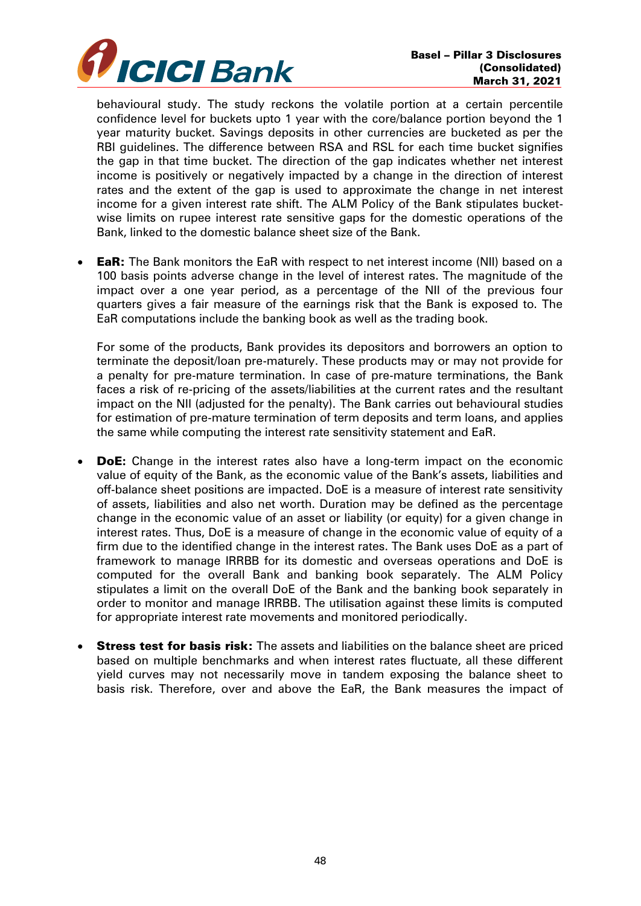

behavioural study. The study reckons the volatile portion at a certain percentile confidence level for buckets upto 1 year with the core/balance portion beyond the 1 year maturity bucket. Savings deposits in other currencies are bucketed as per the RBI guidelines. The difference between RSA and RSL for each time bucket signifies the gap in that time bucket. The direction of the gap indicates whether net interest income is positively or negatively impacted by a change in the direction of interest rates and the extent of the gap is used to approximate the change in net interest income for a given interest rate shift. The ALM Policy of the Bank stipulates bucketwise limits on rupee interest rate sensitive gaps for the domestic operations of the Bank, linked to the domestic balance sheet size of the Bank.

**EaR:** The Bank monitors the EaR with respect to net interest income (NII) based on a 100 basis points adverse change in the level of interest rates. The magnitude of the impact over a one year period, as a percentage of the NII of the previous four quarters gives a fair measure of the earnings risk that the Bank is exposed to. The EaR computations include the banking book as well as the trading book.

For some of the products, Bank provides its depositors and borrowers an option to terminate the deposit/loan pre-maturely. These products may or may not provide for a penalty for pre-mature termination. In case of pre-mature terminations, the Bank faces a risk of re-pricing of the assets/liabilities at the current rates and the resultant impact on the NII (adjusted for the penalty). The Bank carries out behavioural studies for estimation of pre-mature termination of term deposits and term loans, and applies the same while computing the interest rate sensitivity statement and EaR.

- DoE**:** Change in the interest rates also have a long-term impact on the economic value of equity of the Bank, as the economic value of the Bank's assets, liabilities and off-balance sheet positions are impacted. DoE is a measure of interest rate sensitivity of assets, liabilities and also net worth. Duration may be defined as the percentage change in the economic value of an asset or liability (or equity) for a given change in interest rates. Thus, DoE is a measure of change in the economic value of equity of a firm due to the identified change in the interest rates. The Bank uses DoE as a part of framework to manage IRRBB for its domestic and overseas operations and DoE is computed for the overall Bank and banking book separately. The ALM Policy stipulates a limit on the overall DoE of the Bank and the banking book separately in order to monitor and manage IRRBB. The utilisation against these limits is computed for appropriate interest rate movements and monitored periodically.
- **Stress test for basis risk:** The assets and liabilities on the balance sheet are priced based on multiple benchmarks and when interest rates fluctuate, all these different yield curves may not necessarily move in tandem exposing the balance sheet to basis risk. Therefore, over and above the EaR, the Bank measures the impact of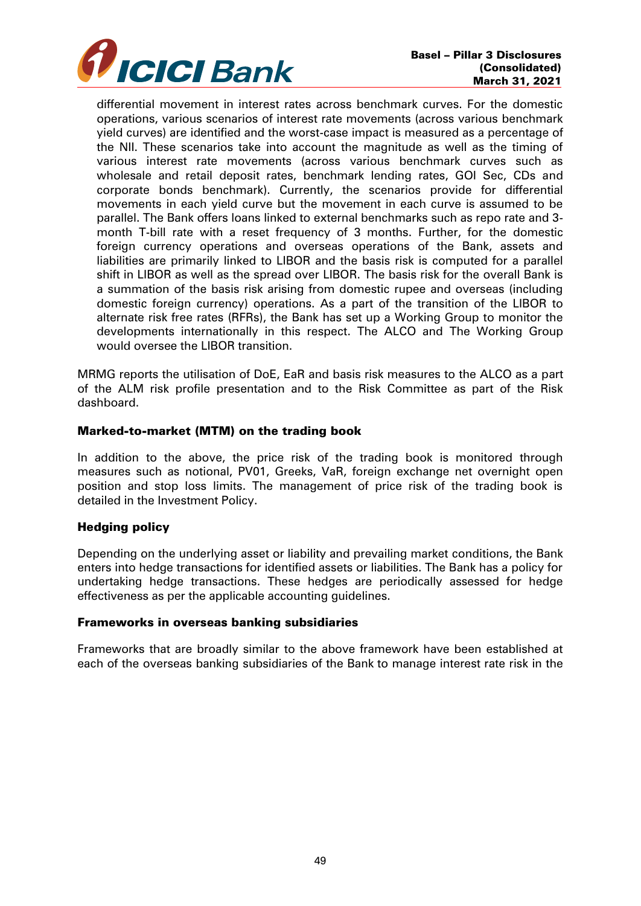

differential movement in interest rates across benchmark curves. For the domestic operations, various scenarios of interest rate movements (across various benchmark yield curves) are identified and the worst-case impact is measured as a percentage of the NII. These scenarios take into account the magnitude as well as the timing of various interest rate movements (across various benchmark curves such as wholesale and retail deposit rates, benchmark lending rates, GOI Sec, CDs and corporate bonds benchmark). Currently, the scenarios provide for differential movements in each yield curve but the movement in each curve is assumed to be parallel. The Bank offers loans linked to external benchmarks such as repo rate and 3 month T-bill rate with a reset frequency of 3 months. Further, for the domestic foreign currency operations and overseas operations of the Bank, assets and liabilities are primarily linked to LIBOR and the basis risk is computed for a parallel shift in LIBOR as well as the spread over LIBOR. The basis risk for the overall Bank is a summation of the basis risk arising from domestic rupee and overseas (including domestic foreign currency) operations. As a part of the transition of the LIBOR to alternate risk free rates (RFRs), the Bank has set up a Working Group to monitor the developments internationally in this respect. The ALCO and The Working Group would oversee the LIBOR transition.

MRMG reports the utilisation of DoE, EaR and basis risk measures to the ALCO as a part of the ALM risk profile presentation and to the Risk Committee as part of the Risk dashboard.

#### Marked-to-market (MTM) on the trading book

In addition to the above, the price risk of the trading book is monitored through measures such as notional, PV01, Greeks, VaR, foreign exchange net overnight open position and stop loss limits. The management of price risk of the trading book is detailed in the Investment Policy.

## Hedging policy

Depending on the underlying asset or liability and prevailing market conditions, the Bank enters into hedge transactions for identified assets or liabilities. The Bank has a policy for undertaking hedge transactions. These hedges are periodically assessed for hedge effectiveness as per the applicable accounting guidelines.

#### Frameworks in overseas banking subsidiaries

Frameworks that are broadly similar to the above framework have been established at each of the overseas banking subsidiaries of the Bank to manage interest rate risk in the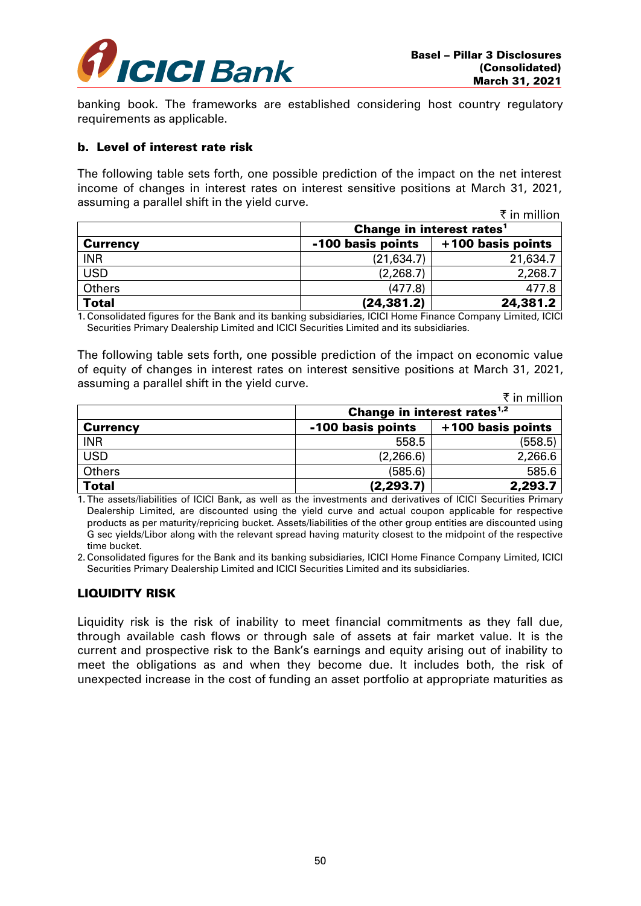

banking book. The frameworks are established considering host country regulatory requirements as applicable.

#### b. Level of interest rate risk

The following table sets forth, one possible prediction of the impact on the net interest income of changes in interest rates on interest sensitive positions at March 31, 2021, assuming a parallel shift in the yield curve.

|                 |                   | ₹ in million                                |  |  |
|-----------------|-------------------|---------------------------------------------|--|--|
|                 |                   | <b>Change in interest rates<sup>1</sup></b> |  |  |
| <b>Currency</b> | -100 basis points | +100 basis points                           |  |  |
| <b>INR</b>      | (21, 634.7)       | 21,634.7                                    |  |  |
| <b>USD</b>      | (2, 268.7)        | 2,268.7                                     |  |  |
| <b>Others</b>   | (477.8)           | 477.8                                       |  |  |
| <b>Total</b>    | (24, 381.2)       | 24,381.2                                    |  |  |

1. Consolidated figures for the Bank and its banking subsidiaries, ICICI Home Finance Company Limited, ICICI Securities Primary Dealership Limited and ICICI Securities Limited and its subsidiaries.

The following table sets forth, one possible prediction of the impact on economic value of equity of changes in interest rates on interest sensitive positions at March 31, 2021, assuming a parallel shift in the yield curve.

|                 |                   | ₹ in million                            |  |  |
|-----------------|-------------------|-----------------------------------------|--|--|
|                 |                   | Change in interest rates <sup>1,2</sup> |  |  |
| <b>Currency</b> | -100 basis points | +100 basis points                       |  |  |
| <b>INR</b>      | 558.5             | (558.5)                                 |  |  |
| <b>USD</b>      | (2,266.6)         | 2,266.6                                 |  |  |
| Others          | (585.6)           | 585.6                                   |  |  |
| <b>Total</b>    | (2, 293.7)        | 2,293.7                                 |  |  |

1. The assets/liabilities of ICICI Bank, as well as the investments and derivatives of ICICI Securities Primary Dealership Limited, are discounted using the yield curve and actual coupon applicable for respective products as per maturity/repricing bucket. Assets/liabilities of the other group entities are discounted using G sec yields/Libor along with the relevant spread having maturity closest to the midpoint of the respective time bucket.

2. Consolidated figures for the Bank and its banking subsidiaries, ICICI Home Finance Company Limited, ICICI Securities Primary Dealership Limited and ICICI Securities Limited and its subsidiaries.

## LIQUIDITY RISK

Liquidity risk is the risk of inability to meet financial commitments as they fall due, through available cash flows or through sale of assets at fair market value. It is the current and prospective risk to the Bank's earnings and equity arising out of inability to meet the obligations as and when they become due. It includes both, the risk of unexpected increase in the cost of funding an asset portfolio at appropriate maturities as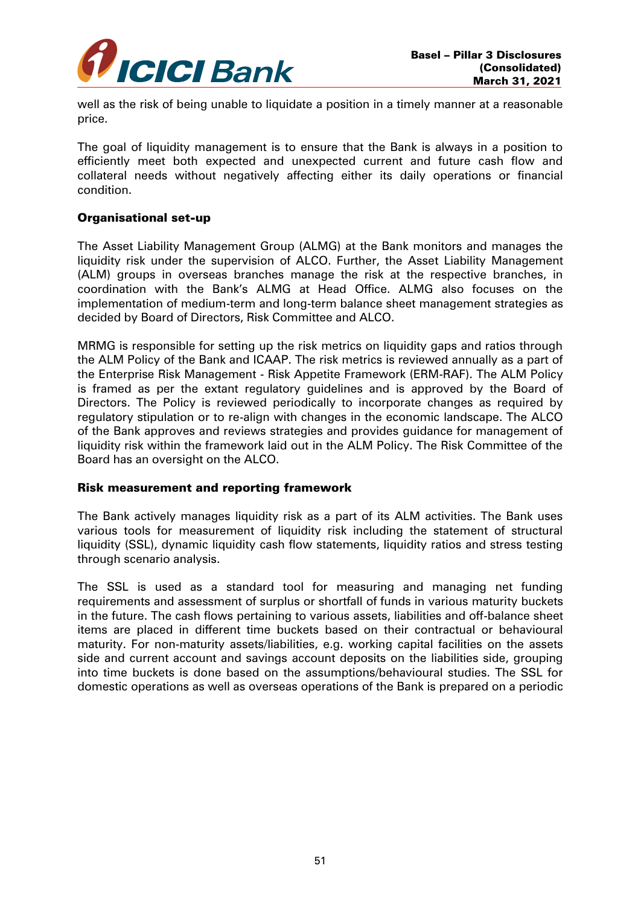

well as the risk of being unable to liquidate a position in a timely manner at a reasonable price.

The goal of liquidity management is to ensure that the Bank is always in a position to efficiently meet both expected and unexpected current and future cash flow and collateral needs without negatively affecting either its daily operations or financial condition.

## Organisational set-up

The Asset Liability Management Group (ALMG) at the Bank monitors and manages the liquidity risk under the supervision of ALCO. Further, the Asset Liability Management (ALM) groups in overseas branches manage the risk at the respective branches, in coordination with the Bank's ALMG at Head Office. ALMG also focuses on the implementation of medium-term and long-term balance sheet management strategies as decided by Board of Directors, Risk Committee and ALCO.

MRMG is responsible for setting up the risk metrics on liquidity gaps and ratios through the ALM Policy of the Bank and ICAAP. The risk metrics is reviewed annually as a part of the Enterprise Risk Management - Risk Appetite Framework (ERM-RAF). The ALM Policy is framed as per the extant regulatory guidelines and is approved by the Board of Directors. The Policy is reviewed periodically to incorporate changes as required by regulatory stipulation or to re-align with changes in the economic landscape. The ALCO of the Bank approves and reviews strategies and provides guidance for management of liquidity risk within the framework laid out in the ALM Policy. The Risk Committee of the Board has an oversight on the ALCO.

#### Risk measurement and reporting framework

The Bank actively manages liquidity risk as a part of its ALM activities. The Bank uses various tools for measurement of liquidity risk including the statement of structural liquidity (SSL), dynamic liquidity cash flow statements, liquidity ratios and stress testing through scenario analysis.

The SSL is used as a standard tool for measuring and managing net funding requirements and assessment of surplus or shortfall of funds in various maturity buckets in the future. The cash flows pertaining to various assets, liabilities and off-balance sheet items are placed in different time buckets based on their contractual or behavioural maturity. For non-maturity assets/liabilities, e.g. working capital facilities on the assets side and current account and savings account deposits on the liabilities side, grouping into time buckets is done based on the assumptions/behavioural studies. The SSL for domestic operations as well as overseas operations of the Bank is prepared on a periodic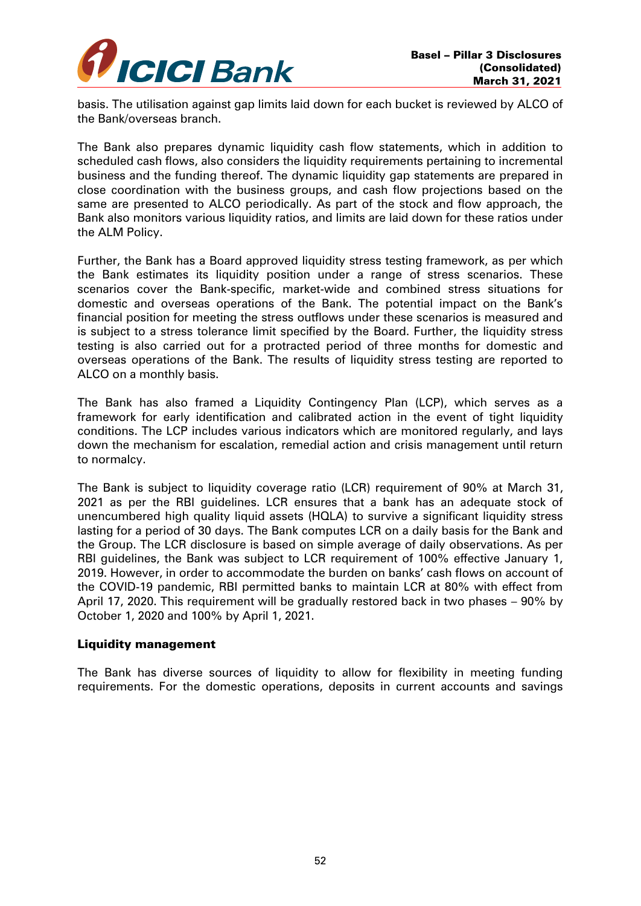

basis. The utilisation against gap limits laid down for each bucket is reviewed by ALCO of the Bank/overseas branch.

The Bank also prepares dynamic liquidity cash flow statements, which in addition to scheduled cash flows, also considers the liquidity requirements pertaining to incremental business and the funding thereof. The dynamic liquidity gap statements are prepared in close coordination with the business groups, and cash flow projections based on the same are presented to ALCO periodically. As part of the stock and flow approach, the Bank also monitors various liquidity ratios, and limits are laid down for these ratios under the ALM Policy.

Further, the Bank has a Board approved liquidity stress testing framework, as per which the Bank estimates its liquidity position under a range of stress scenarios. These scenarios cover the Bank-specific, market-wide and combined stress situations for domestic and overseas operations of the Bank. The potential impact on the Bank's financial position for meeting the stress outflows under these scenarios is measured and is subject to a stress tolerance limit specified by the Board. Further, the liquidity stress testing is also carried out for a protracted period of three months for domestic and overseas operations of the Bank. The results of liquidity stress testing are reported to ALCO on a monthly basis.

The Bank has also framed a Liquidity Contingency Plan (LCP), which serves as a framework for early identification and calibrated action in the event of tight liquidity conditions. The LCP includes various indicators which are monitored regularly, and lays down the mechanism for escalation, remedial action and crisis management until return to normalcy.

The Bank is subject to liquidity coverage ratio (LCR) requirement of 90% at March 31, 2021 as per the RBI guidelines. LCR ensures that a bank has an adequate stock of unencumbered high quality liquid assets (HQLA) to survive a significant liquidity stress lasting for a period of 30 days. The Bank computes LCR on a daily basis for the Bank and the Group. The LCR disclosure is based on simple average of daily observations. As per RBI guidelines, the Bank was subject to LCR requirement of 100% effective January 1, 2019. However, in order to accommodate the burden on banks' cash flows on account of the COVID-19 pandemic, RBI permitted banks to maintain LCR at 80% with effect from April 17, 2020. This requirement will be gradually restored back in two phases – 90% by October 1, 2020 and 100% by April 1, 2021.

#### Liquidity management

The Bank has diverse sources of liquidity to allow for flexibility in meeting funding requirements. For the domestic operations, deposits in current accounts and savings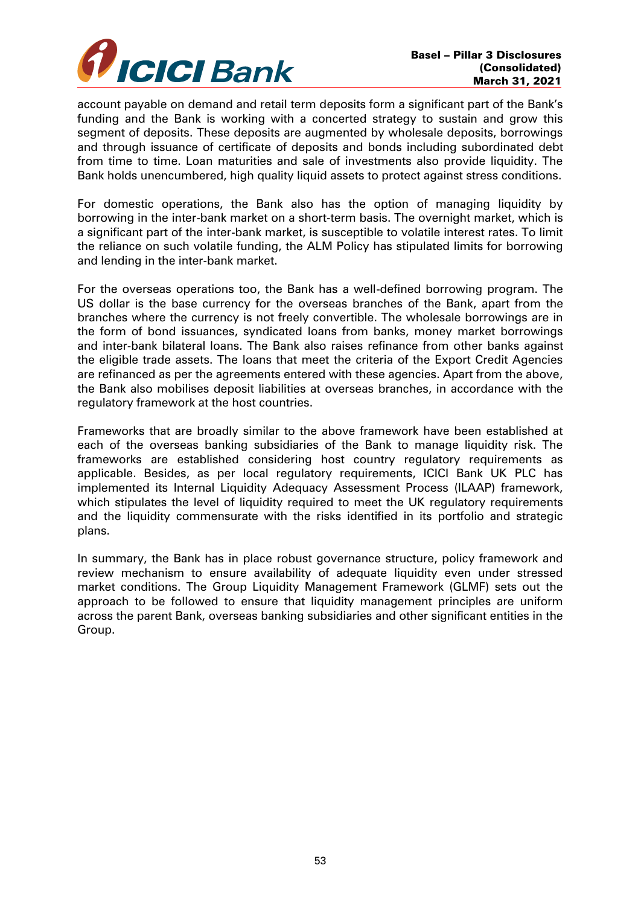

account payable on demand and retail term deposits form a significant part of the Bank's funding and the Bank is working with a concerted strategy to sustain and grow this segment of deposits. These deposits are augmented by wholesale deposits, borrowings and through issuance of certificate of deposits and bonds including subordinated debt from time to time. Loan maturities and sale of investments also provide liquidity. The Bank holds unencumbered, high quality liquid assets to protect against stress conditions.

For domestic operations, the Bank also has the option of managing liquidity by borrowing in the inter-bank market on a short-term basis. The overnight market, which is a significant part of the inter-bank market, is susceptible to volatile interest rates. To limit the reliance on such volatile funding, the ALM Policy has stipulated limits for borrowing and lending in the inter-bank market.

For the overseas operations too, the Bank has a well-defined borrowing program. The US dollar is the base currency for the overseas branches of the Bank, apart from the branches where the currency is not freely convertible. The wholesale borrowings are in the form of bond issuances, syndicated loans from banks, money market borrowings and inter-bank bilateral loans. The Bank also raises refinance from other banks against the eligible trade assets. The loans that meet the criteria of the Export Credit Agencies are refinanced as per the agreements entered with these agencies. Apart from the above, the Bank also mobilises deposit liabilities at overseas branches, in accordance with the regulatory framework at the host countries.

Frameworks that are broadly similar to the above framework have been established at each of the overseas banking subsidiaries of the Bank to manage liquidity risk. The frameworks are established considering host country regulatory requirements as applicable. Besides, as per local regulatory requirements, ICICI Bank UK PLC has implemented its Internal Liquidity Adequacy Assessment Process (ILAAP) framework, which stipulates the level of liquidity required to meet the UK regulatory requirements and the liquidity commensurate with the risks identified in its portfolio and strategic plans.

In summary, the Bank has in place robust governance structure, policy framework and review mechanism to ensure availability of adequate liquidity even under stressed market conditions. The Group Liquidity Management Framework (GLMF) sets out the approach to be followed to ensure that liquidity management principles are uniform across the parent Bank, overseas banking subsidiaries and other significant entities in the Group.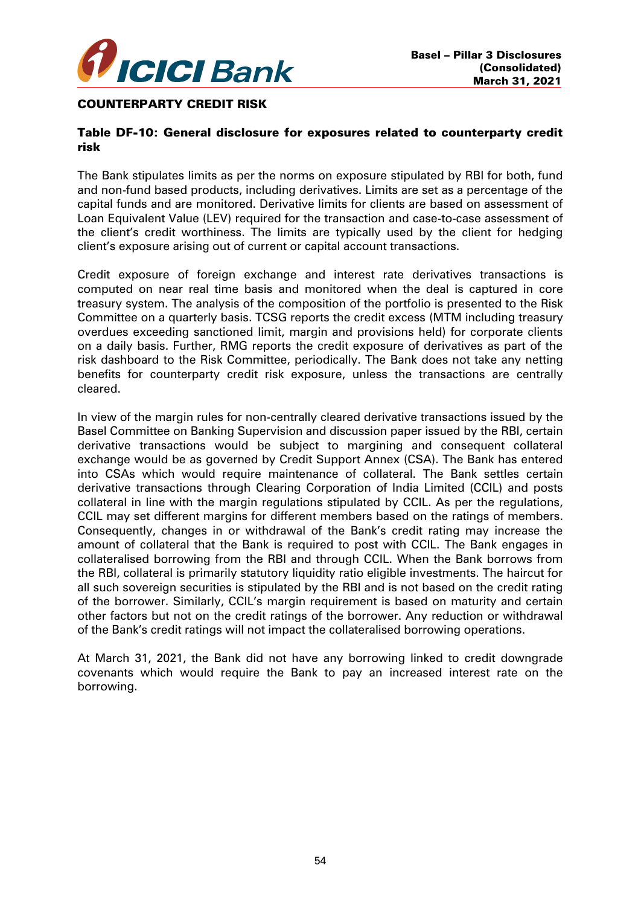

#### COUNTERPARTY CREDIT RISK

## Table DF-10: General disclosure for exposures related to counterparty credit risk

The Bank stipulates limits as per the norms on exposure stipulated by RBI for both, fund and non-fund based products, including derivatives. Limits are set as a percentage of the capital funds and are monitored. Derivative limits for clients are based on assessment of Loan Equivalent Value (LEV) required for the transaction and case-to-case assessment of the client's credit worthiness. The limits are typically used by the client for hedging client's exposure arising out of current or capital account transactions.

Credit exposure of foreign exchange and interest rate derivatives transactions is computed on near real time basis and monitored when the deal is captured in core treasury system. The analysis of the composition of the portfolio is presented to the Risk Committee on a quarterly basis. TCSG reports the credit excess (MTM including treasury overdues exceeding sanctioned limit, margin and provisions held) for corporate clients on a daily basis. Further, RMG reports the credit exposure of derivatives as part of the risk dashboard to the Risk Committee, periodically. The Bank does not take any netting benefits for counterparty credit risk exposure, unless the transactions are centrally cleared.

In view of the margin rules for non-centrally cleared derivative transactions issued by the Basel Committee on Banking Supervision and discussion paper issued by the RBI, certain derivative transactions would be subject to margining and consequent collateral exchange would be as governed by Credit Support Annex (CSA). The Bank has entered into CSAs which would require maintenance of collateral. The Bank settles certain derivative transactions through Clearing Corporation of India Limited (CCIL) and posts collateral in line with the margin regulations stipulated by CCIL. As per the regulations, CCIL may set different margins for different members based on the ratings of members. Consequently, changes in or withdrawal of the Bank's credit rating may increase the amount of collateral that the Bank is required to post with CCIL. The Bank engages in collateralised borrowing from the RBI and through CCIL. When the Bank borrows from the RBI, collateral is primarily statutory liquidity ratio eligible investments. The haircut for all such sovereign securities is stipulated by the RBI and is not based on the credit rating of the borrower. Similarly, CCIL's margin requirement is based on maturity and certain other factors but not on the credit ratings of the borrower. Any reduction or withdrawal of the Bank's credit ratings will not impact the collateralised borrowing operations.

At March 31, 2021, the Bank did not have any borrowing linked to credit downgrade covenants which would require the Bank to pay an increased interest rate on the borrowing.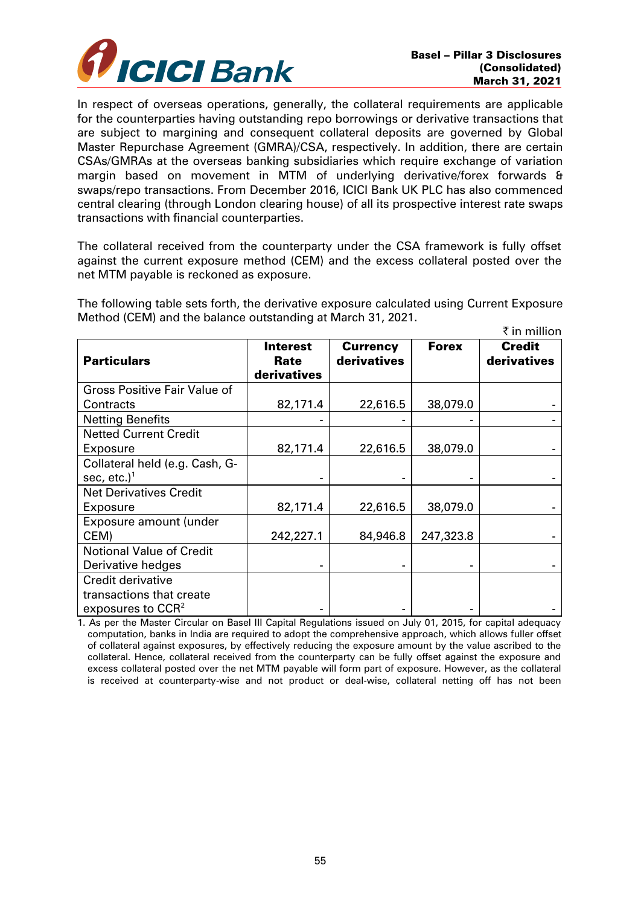

In respect of overseas operations, generally, the collateral requirements are applicable for the counterparties having outstanding repo borrowings or derivative transactions that are subject to margining and consequent collateral deposits are governed by Global Master Repurchase Agreement (GMRA)/CSA, respectively. In addition, there are certain CSAs/GMRAs at the overseas banking subsidiaries which require exchange of variation margin based on movement in MTM of underlying derivative/forex forwards & swaps/repo transactions. From December 2016, ICICI Bank UK PLC has also commenced central clearing (through London clearing house) of all its prospective interest rate swaps transactions with financial counterparties.

The collateral received from the counterparty under the CSA framework is fully offset against the current exposure method (CEM) and the excess collateral posted over the net MTM payable is reckoned as exposure.

The following table sets forth, the derivative exposure calculated using Current Exposure Method (CEM) and the balance outstanding at March 31, 2021.

|                                     |                                 |                                |              | ₹ in million                 |
|-------------------------------------|---------------------------------|--------------------------------|--------------|------------------------------|
| <b>Particulars</b>                  | Interest<br>Rate<br>derivatives | <b>Currency</b><br>derivatives | <b>Forex</b> | <b>Credit</b><br>derivatives |
| <b>Gross Positive Fair Value of</b> |                                 |                                |              |                              |
| Contracts                           | 82,171.4                        | 22,616.5                       | 38,079.0     |                              |
| <b>Netting Benefits</b>             |                                 |                                |              |                              |
| <b>Netted Current Credit</b>        |                                 |                                |              |                              |
| Exposure                            | 82,171.4                        | 22,616.5                       | 38,079.0     |                              |
| Collateral held (e.g. Cash, G-      |                                 |                                |              |                              |
| sec, etc.) $1$                      |                                 |                                |              |                              |
| <b>Net Derivatives Credit</b>       |                                 |                                |              |                              |
| Exposure                            | 82,171.4                        | 22,616.5                       | 38,079.0     |                              |
| Exposure amount (under              |                                 |                                |              |                              |
| CEM)                                | 242,227.1                       | 84,946.8                       | 247,323.8    |                              |
| <b>Notional Value of Credit</b>     |                                 |                                |              |                              |
| Derivative hedges                   |                                 |                                |              |                              |
| Credit derivative                   |                                 |                                |              |                              |
| transactions that create            |                                 |                                |              |                              |
| exposures to $CCR2$                 |                                 |                                |              |                              |

1. As per the Master Circular on Basel III Capital Regulations issued on July 01, 2015, for capital adequacy computation, banks in India are required to adopt the comprehensive approach, which allows fuller offset of collateral against exposures, by effectively reducing the exposure amount by the value ascribed to the collateral. Hence, collateral received from the counterparty can be fully offset against the exposure and excess collateral posted over the net MTM payable will form part of exposure. However, as the collateral is received at counterparty-wise and not product or deal-wise, collateral netting off has not been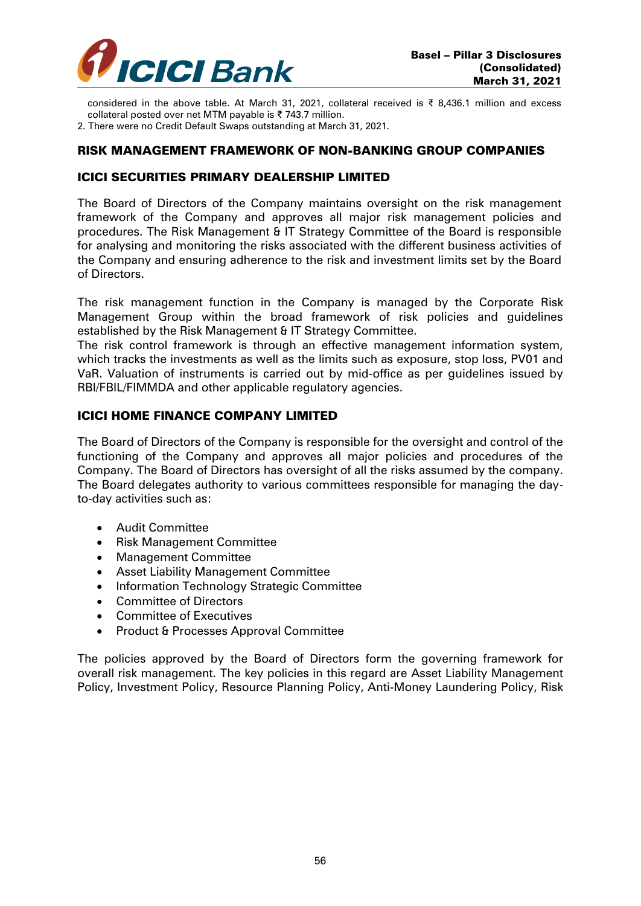

considered in the above table. At March 31, 2021, collateral received is ₹ 8,436.1 million and excess collateral posted over net MTM payable is ₹ 743.7 million.

2. There were no Credit Default Swaps outstanding at March 31, 2021.

#### RISK MANAGEMENT FRAMEWORK OF NON-BANKING GROUP COMPANIES

#### ICICI SECURITIES PRIMARY DEALERSHIP LIMITED

The Board of Directors of the Company maintains oversight on the risk management framework of the Company and approves all major risk management policies and procedures. The Risk Management & IT Strategy Committee of the Board is responsible for analysing and monitoring the risks associated with the different business activities of the Company and ensuring adherence to the risk and investment limits set by the Board of Directors.

The risk management function in the Company is managed by the Corporate Risk Management Group within the broad framework of risk policies and guidelines established by the Risk Management & IT Strategy Committee.

The risk control framework is through an effective management information system, which tracks the investments as well as the limits such as exposure, stop loss, PV01 and VaR. Valuation of instruments is carried out by mid-office as per guidelines issued by RBI/FBIL/FIMMDA and other applicable regulatory agencies.

#### ICICI HOME FINANCE COMPANY LIMITED

The Board of Directors of the Company is responsible for the oversight and control of the functioning of the Company and approves all major policies and procedures of the Company. The Board of Directors has oversight of all the risks assumed by the company. The Board delegates authority to various committees responsible for managing the dayto-day activities such as:

- Audit Committee
- Risk Management Committee
- Management Committee
- Asset Liability Management Committee
- Information Technology Strategic Committee
- Committee of Directors
- Committee of Executives
- Product & Processes Approval Committee

The policies approved by the Board of Directors form the governing framework for overall risk management. The key policies in this regard are Asset Liability Management Policy, Investment Policy, Resource Planning Policy, Anti-Money Laundering Policy, Risk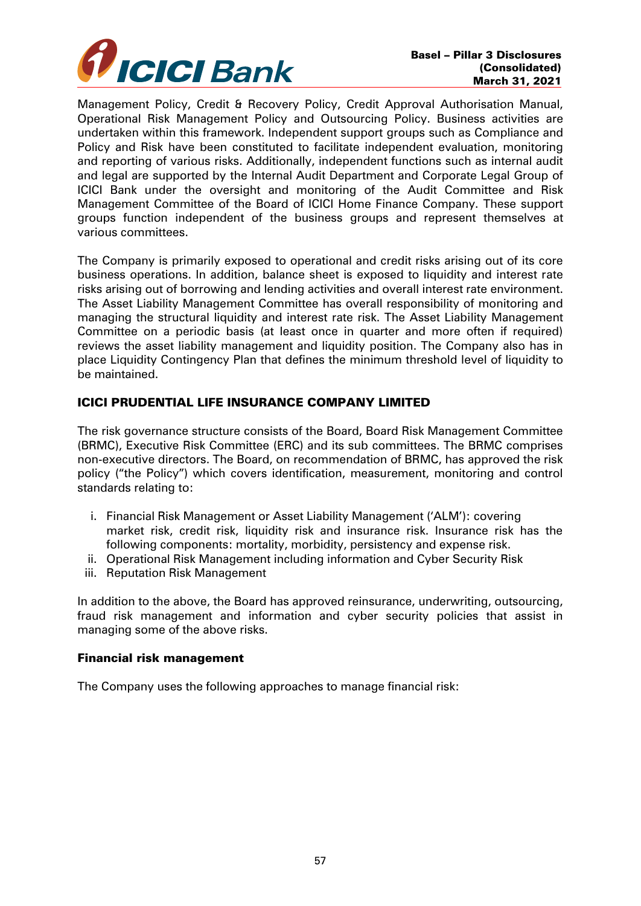

Management Policy, Credit & Recovery Policy, Credit Approval Authorisation Manual, Operational Risk Management Policy and Outsourcing Policy. Business activities are undertaken within this framework. Independent support groups such as Compliance and Policy and Risk have been constituted to facilitate independent evaluation, monitoring and reporting of various risks. Additionally, independent functions such as internal audit and legal are supported by the Internal Audit Department and Corporate Legal Group of ICICI Bank under the oversight and monitoring of the Audit Committee and Risk Management Committee of the Board of ICICI Home Finance Company. These support groups function independent of the business groups and represent themselves at various committees.

The Company is primarily exposed to operational and credit risks arising out of its core business operations. In addition, balance sheet is exposed to liquidity and interest rate risks arising out of borrowing and lending activities and overall interest rate environment. The Asset Liability Management Committee has overall responsibility of monitoring and managing the structural liquidity and interest rate risk. The Asset Liability Management Committee on a periodic basis (at least once in quarter and more often if required) reviews the asset liability management and liquidity position. The Company also has in place Liquidity Contingency Plan that defines the minimum threshold level of liquidity to be maintained.

# ICICI PRUDENTIAL LIFE INSURANCE COMPANY LIMITED

The risk governance structure consists of the Board, Board Risk Management Committee (BRMC), Executive Risk Committee (ERC) and its sub committees. The BRMC comprises non-executive directors. The Board, on recommendation of BRMC, has approved the risk policy ("the Policy") which covers identification, measurement, monitoring and control standards relating to:

- i. Financial Risk Management or Asset Liability Management ('ALM'): covering market risk, credit risk, liquidity risk and insurance risk. Insurance risk has the following components: mortality, morbidity, persistency and expense risk.
- ii. Operational Risk Management including information and Cyber Security Risk
- iii. Reputation Risk Management

In addition to the above, the Board has approved reinsurance, underwriting, outsourcing, fraud risk management and information and cyber security policies that assist in managing some of the above risks.

## Financial risk management

The Company uses the following approaches to manage financial risk: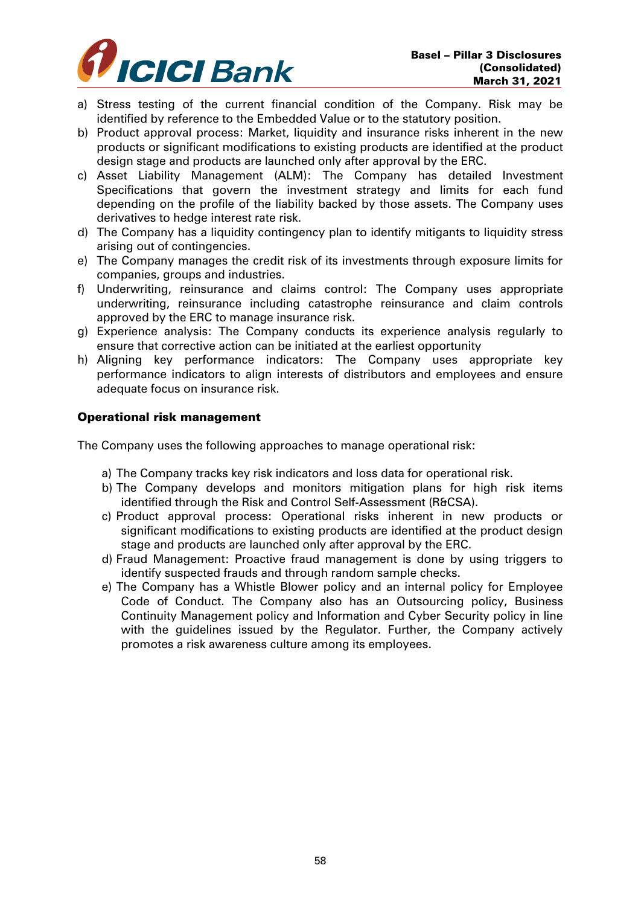

- a) Stress testing of the current financial condition of the Company. Risk may be identified by reference to the Embedded Value or to the statutory position.
- b) Product approval process: Market, liquidity and insurance risks inherent in the new products or significant modifications to existing products are identified at the product design stage and products are launched only after approval by the ERC.
- c) Asset Liability Management (ALM): The Company has detailed Investment Specifications that govern the investment strategy and limits for each fund depending on the profile of the liability backed by those assets. The Company uses derivatives to hedge interest rate risk.
- d) The Company has a liquidity contingency plan to identify mitigants to liquidity stress arising out of contingencies.
- e) The Company manages the credit risk of its investments through exposure limits for companies, groups and industries.
- f) Underwriting, reinsurance and claims control: The Company uses appropriate underwriting, reinsurance including catastrophe reinsurance and claim controls approved by the ERC to manage insurance risk.
- g) Experience analysis: The Company conducts its experience analysis regularly to ensure that corrective action can be initiated at the earliest opportunity
- h) Aligning key performance indicators: The Company uses appropriate key performance indicators to align interests of distributors and employees and ensure adequate focus on insurance risk.

## Operational risk management

The Company uses the following approaches to manage operational risk:

- a) The Company tracks key risk indicators and loss data for operational risk.
- b) The Company develops and monitors mitigation plans for high risk items identified through the Risk and Control Self-Assessment (R&CSA).
- c) Product approval process: Operational risks inherent in new products or significant modifications to existing products are identified at the product design stage and products are launched only after approval by the ERC.
- d) Fraud Management: Proactive fraud management is done by using triggers to identify suspected frauds and through random sample checks.
- e) The Company has a Whistle Blower policy and an internal policy for Employee Code of Conduct. The Company also has an Outsourcing policy, Business Continuity Management policy and Information and Cyber Security policy in line with the guidelines issued by the Regulator. Further, the Company actively promotes a risk awareness culture among its employees.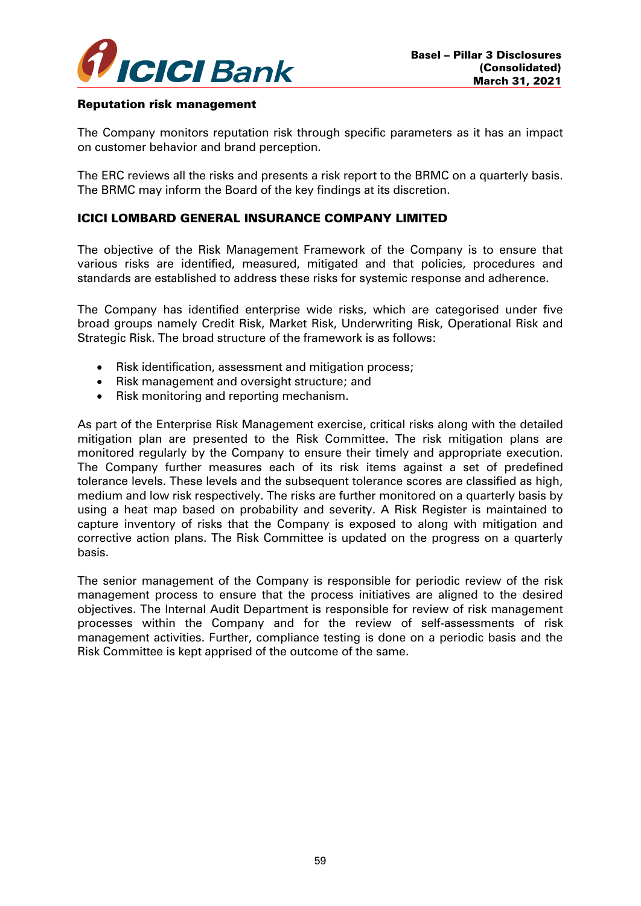

#### Reputation risk management

The Company monitors reputation risk through specific parameters as it has an impact on customer behavior and brand perception.

The ERC reviews all the risks and presents a risk report to the BRMC on a quarterly basis. The BRMC may inform the Board of the key findings at its discretion.

# ICICI LOMBARD GENERAL INSURANCE COMPANY LIMITED

The objective of the Risk Management Framework of the Company is to ensure that various risks are identified, measured, mitigated and that policies, procedures and standards are established to address these risks for systemic response and adherence.

The Company has identified enterprise wide risks, which are categorised under five broad groups namely Credit Risk, Market Risk, Underwriting Risk, Operational Risk and Strategic Risk. The broad structure of the framework is as follows:

- Risk identification, assessment and mitigation process;
- Risk management and oversight structure; and
- Risk monitoring and reporting mechanism.

As part of the Enterprise Risk Management exercise, critical risks along with the detailed mitigation plan are presented to the Risk Committee. The risk mitigation plans are monitored regularly by the Company to ensure their timely and appropriate execution. The Company further measures each of its risk items against a set of predefined tolerance levels. These levels and the subsequent tolerance scores are classified as high, medium and low risk respectively. The risks are further monitored on a quarterly basis by using a heat map based on probability and severity. A Risk Register is maintained to capture inventory of risks that the Company is exposed to along with mitigation and corrective action plans. The Risk Committee is updated on the progress on a quarterly basis.

The senior management of the Company is responsible for periodic review of the risk management process to ensure that the process initiatives are aligned to the desired objectives. The Internal Audit Department is responsible for review of risk management processes within the Company and for the review of self-assessments of risk management activities. Further, compliance testing is done on a periodic basis and the Risk Committee is kept apprised of the outcome of the same.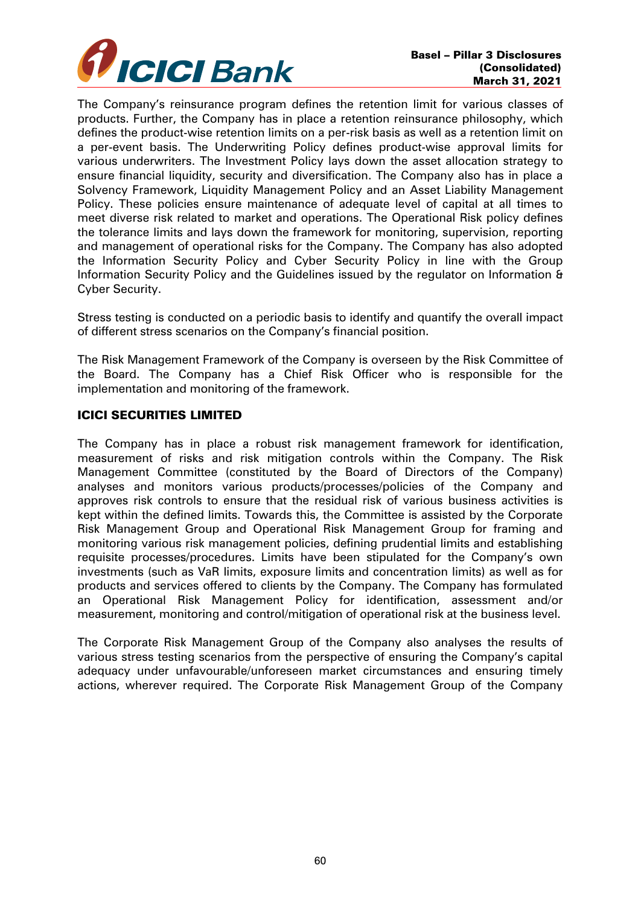

The Company's reinsurance program defines the retention limit for various classes of products. Further, the Company has in place a retention reinsurance philosophy, which defines the product-wise retention limits on a per-risk basis as well as a retention limit on a per-event basis. The Underwriting Policy defines product-wise approval limits for various underwriters. The Investment Policy lays down the asset allocation strategy to ensure financial liquidity, security and diversification. The Company also has in place a Solvency Framework, Liquidity Management Policy and an Asset Liability Management Policy. These policies ensure maintenance of adequate level of capital at all times to meet diverse risk related to market and operations. The Operational Risk policy defines the tolerance limits and lays down the framework for monitoring, supervision, reporting and management of operational risks for the Company. The Company has also adopted the Information Security Policy and Cyber Security Policy in line with the Group Information Security Policy and the Guidelines issued by the regulator on Information & Cyber Security.

Stress testing is conducted on a periodic basis to identify and quantify the overall impact of different stress scenarios on the Company's financial position.

The Risk Management Framework of the Company is overseen by the Risk Committee of the Board. The Company has a Chief Risk Officer who is responsible for the implementation and monitoring of the framework.

## ICICI SECURITIES LIMITED

The Company has in place a robust risk management framework for identification, measurement of risks and risk mitigation controls within the Company. The Risk Management Committee (constituted by the Board of Directors of the Company) analyses and monitors various products/processes/policies of the Company and approves risk controls to ensure that the residual risk of various business activities is kept within the defined limits. Towards this, the Committee is assisted by the Corporate Risk Management Group and Operational Risk Management Group for framing and monitoring various risk management policies, defining prudential limits and establishing requisite processes/procedures. Limits have been stipulated for the Company's own investments (such as VaR limits, exposure limits and concentration limits) as well as for products and services offered to clients by the Company. The Company has formulated an Operational Risk Management Policy for identification, assessment and/or measurement, monitoring and control/mitigation of operational risk at the business level.

The Corporate Risk Management Group of the Company also analyses the results of various stress testing scenarios from the perspective of ensuring the Company's capital adequacy under unfavourable/unforeseen market circumstances and ensuring timely actions, wherever required. The Corporate Risk Management Group of the Company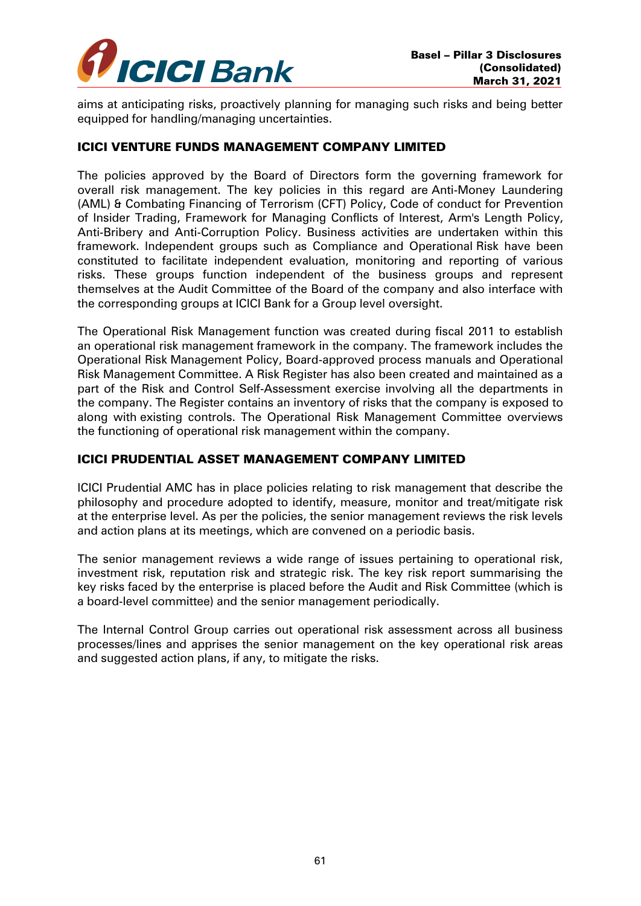

aims at anticipating risks, proactively planning for managing such risks and being better equipped for handling/managing uncertainties.

## ICICI VENTURE FUNDS MANAGEMENT COMPANY LIMITED

The policies approved by the Board of Directors form the governing framework for overall risk management. The key policies in this regard are Anti-Money Laundering (AML) & Combating Financing of Terrorism (CFT) Policy, Code of conduct for Prevention of Insider Trading, Framework for Managing Conflicts of Interest, Arm's Length Policy, Anti-Bribery and Anti-Corruption Policy. Business activities are undertaken within this framework. Independent groups such as Compliance and Operational Risk have been constituted to facilitate independent evaluation, monitoring and reporting of various risks. These groups function independent of the business groups and represent themselves at the Audit Committee of the Board of the company and also interface with the corresponding groups at ICICI Bank for a Group level oversight.

The Operational Risk Management function was created during fiscal 2011 to establish an operational risk management framework in the company. The framework includes the Operational Risk Management Policy, Board-approved process manuals and Operational Risk Management Committee. A Risk Register has also been created and maintained as a part of the Risk and Control Self-Assessment exercise involving all the departments in the company. The Register contains an inventory of risks that the company is exposed to along with existing controls. The Operational Risk Management Committee overviews the functioning of operational risk management within the company.

## ICICI PRUDENTIAL ASSET MANAGEMENT COMPANY LIMITED

ICICI Prudential AMC has in place policies relating to risk management that describe the philosophy and procedure adopted to identify, measure, monitor and treat/mitigate risk at the enterprise level. As per the policies, the senior management reviews the risk levels and action plans at its meetings, which are convened on a periodic basis.

The senior management reviews a wide range of issues pertaining to operational risk, investment risk, reputation risk and strategic risk. The key risk report summarising the key risks faced by the enterprise is placed before the Audit and Risk Committee (which is a board-level committee) and the senior management periodically.

The Internal Control Group carries out operational risk assessment across all business processes/lines and apprises the senior management on the key operational risk areas and suggested action plans, if any, to mitigate the risks.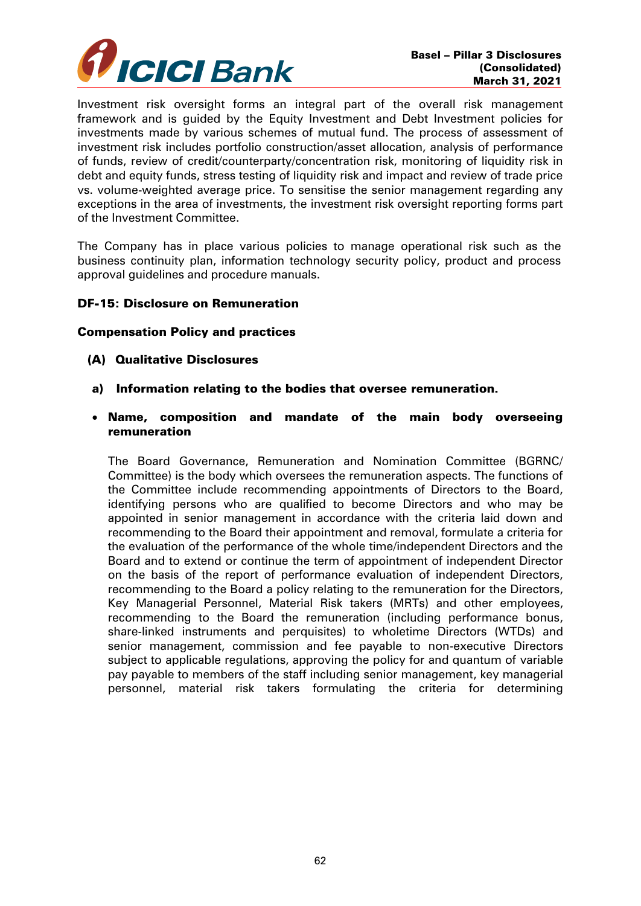

Investment risk oversight forms an integral part of the overall risk management framework and is guided by the Equity Investment and Debt Investment policies for investments made by various schemes of mutual fund. The process of assessment of investment risk includes portfolio construction/asset allocation, analysis of performance of funds, review of credit/counterparty/concentration risk, monitoring of liquidity risk in debt and equity funds, stress testing of liquidity risk and impact and review of trade price vs. volume-weighted average price. To sensitise the senior management regarding any exceptions in the area of investments, the investment risk oversight reporting forms part of the Investment Committee.

The Company has in place various policies to manage operational risk such as the business continuity plan, information technology security policy, product and process approval guidelines and procedure manuals.

#### DF-15: Disclosure on Remuneration

#### Compensation Policy and practices

- (A) Qualitative Disclosures
- a) Information relating to the bodies that oversee remuneration.
- Name, composition and mandate of the main body overseeing remuneration

The Board Governance, Remuneration and Nomination Committee (BGRNC/ Committee) is the body which oversees the remuneration aspects. The functions of the Committee include recommending appointments of Directors to the Board, identifying persons who are qualified to become Directors and who may be appointed in senior management in accordance with the criteria laid down and recommending to the Board their appointment and removal, formulate a criteria for the evaluation of the performance of the whole time/independent Directors and the Board and to extend or continue the term of appointment of independent Director on the basis of the report of performance evaluation of independent Directors, recommending to the Board a policy relating to the remuneration for the Directors, Key Managerial Personnel, Material Risk takers (MRTs) and other employees, recommending to the Board the remuneration (including performance bonus, share-linked instruments and perquisites) to wholetime Directors (WTDs) and senior management, commission and fee payable to non-executive Directors subject to applicable regulations, approving the policy for and quantum of variable pay payable to members of the staff including senior management, key managerial personnel, material risk takers formulating the criteria for determining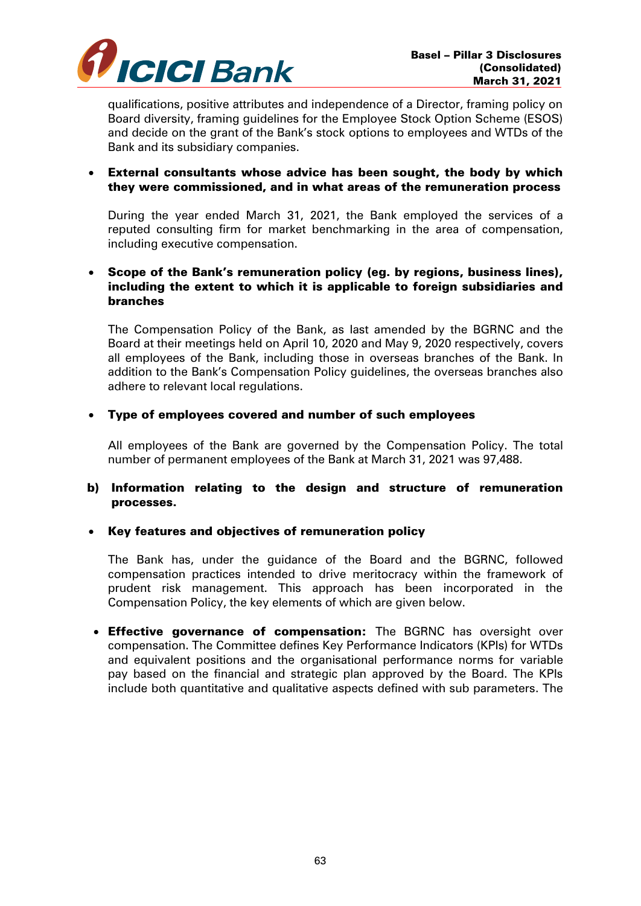

qualifications, positive attributes and independence of a Director, framing policy on Board diversity, framing guidelines for the Employee Stock Option Scheme (ESOS) and decide on the grant of the Bank's stock options to employees and WTDs of the Bank and its subsidiary companies.

## External consultants whose advice has been sought, the body by which they were commissioned, and in what areas of the remuneration process

During the year ended March 31, 2021, the Bank employed the services of a reputed consulting firm for market benchmarking in the area of compensation, including executive compensation.

#### Scope of the Bank's remuneration policy (eg. by regions, business lines), including the extent to which it is applicable to foreign subsidiaries and branches

The Compensation Policy of the Bank, as last amended by the BGRNC and the Board at their meetings held on April 10, 2020 and May 9, 2020 respectively, covers all employees of the Bank, including those in overseas branches of the Bank. In addition to the Bank's Compensation Policy guidelines, the overseas branches also adhere to relevant local regulations.

# Type of employees covered and number of such employees

All employees of the Bank are governed by the Compensation Policy. The total number of permanent employees of the Bank at March 31, 2021 was 97,488.

## b) Information relating to the design and structure of remuneration processes.

## • Key features and objectives of remuneration policy

The Bank has, under the guidance of the Board and the BGRNC, followed compensation practices intended to drive meritocracy within the framework of prudent risk management. This approach has been incorporated in the Compensation Policy, the key elements of which are given below.

• Effective governance of compensation: The BGRNC has oversight over compensation. The Committee defines Key Performance Indicators (KPIs) for WTDs and equivalent positions and the organisational performance norms for variable pay based on the financial and strategic plan approved by the Board. The KPIs include both quantitative and qualitative aspects defined with sub parameters. The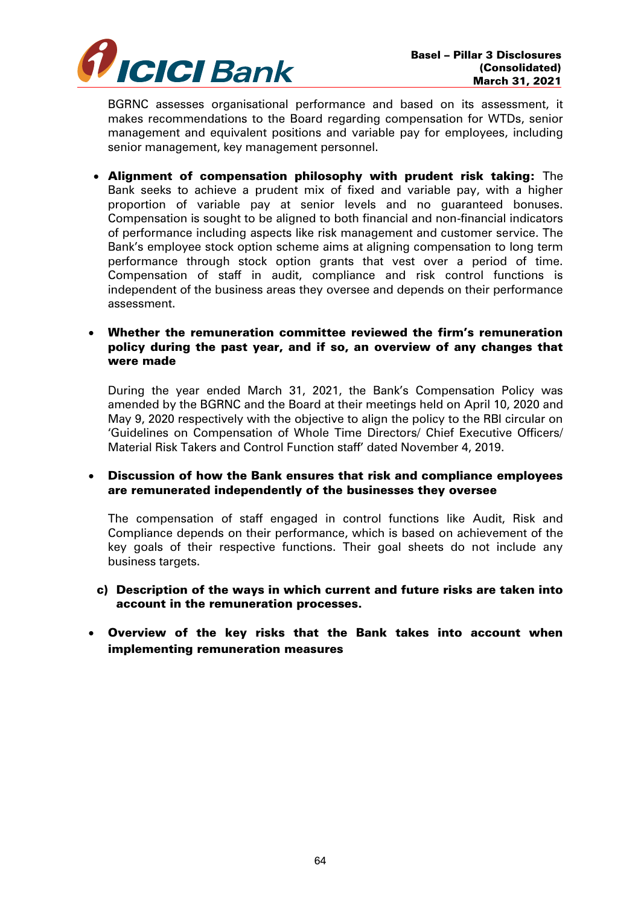

BGRNC assesses organisational performance and based on its assessment, it makes recommendations to the Board regarding compensation for WTDs, senior management and equivalent positions and variable pay for employees, including senior management, key management personnel.

 Alignment of compensation philosophy with prudent risk taking: The Bank seeks to achieve a prudent mix of fixed and variable pay, with a higher proportion of variable pay at senior levels and no guaranteed bonuses. Compensation is sought to be aligned to both financial and non-financial indicators of performance including aspects like risk management and customer service. The Bank's employee stock option scheme aims at aligning compensation to long term performance through stock option grants that vest over a period of time. Compensation of staff in audit, compliance and risk control functions is independent of the business areas they oversee and depends on their performance assessment.

# Whether the remuneration committee reviewed the firm's remuneration policy during the past year, and if so, an overview of any changes that were made

During the year ended March 31, 2021, the Bank's Compensation Policy was amended by the BGRNC and the Board at their meetings held on April 10, 2020 and May 9, 2020 respectively with the objective to align the policy to the RBI circular on 'Guidelines on Compensation of Whole Time Directors/ Chief Executive Officers/ Material Risk Takers and Control Function staff' dated November 4, 2019.

## Discussion of how the Bank ensures that risk and compliance employees are remunerated independently of the businesses they oversee

The compensation of staff engaged in control functions like Audit, Risk and Compliance depends on their performance, which is based on achievement of the key goals of their respective functions. Their goal sheets do not include any business targets.

## c) Description of the ways in which current and future risks are taken into account in the remuneration processes.

# Overview of the key risks that the Bank takes into account when implementing remuneration measures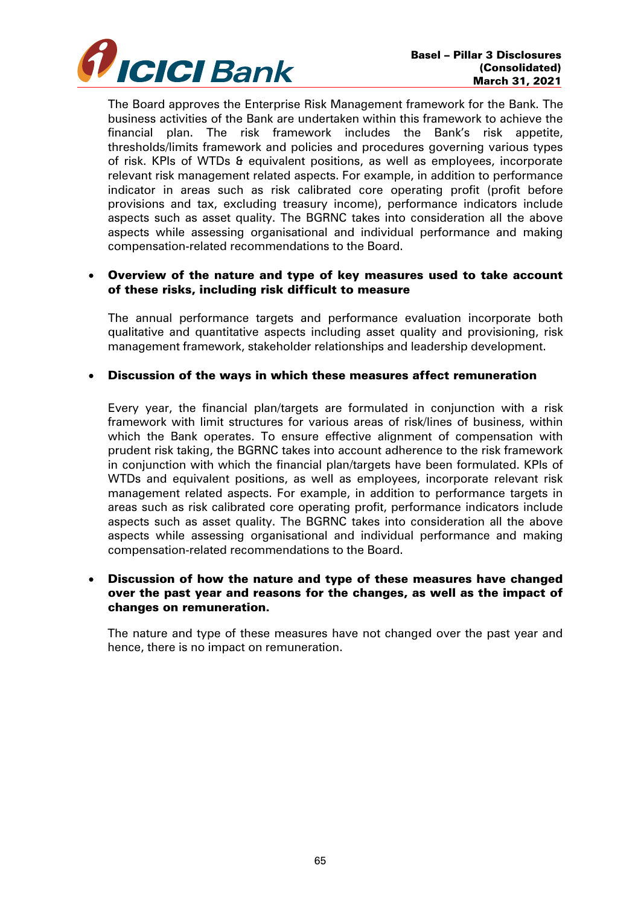

The Board approves the Enterprise Risk Management framework for the Bank. The business activities of the Bank are undertaken within this framework to achieve the financial plan. The risk framework includes the Bank's risk appetite, thresholds/limits framework and policies and procedures governing various types of risk. KPIs of WTDs & equivalent positions, as well as employees, incorporate relevant risk management related aspects. For example, in addition to performance indicator in areas such as risk calibrated core operating profit (profit before provisions and tax, excluding treasury income), performance indicators include aspects such as asset quality. The BGRNC takes into consideration all the above aspects while assessing organisational and individual performance and making compensation-related recommendations to the Board.

#### Overview of the nature and type of key measures used to take account of these risks, including risk difficult to measure

The annual performance targets and performance evaluation incorporate both qualitative and quantitative aspects including asset quality and provisioning, risk management framework, stakeholder relationships and leadership development.

#### Discussion of the ways in which these measures affect remuneration

Every year, the financial plan/targets are formulated in conjunction with a risk framework with limit structures for various areas of risk/lines of business, within which the Bank operates. To ensure effective alignment of compensation with prudent risk taking, the BGRNC takes into account adherence to the risk framework in conjunction with which the financial plan/targets have been formulated. KPIs of WTDs and equivalent positions, as well as employees, incorporate relevant risk management related aspects. For example, in addition to performance targets in areas such as risk calibrated core operating profit, performance indicators include aspects such as asset quality. The BGRNC takes into consideration all the above aspects while assessing organisational and individual performance and making compensation-related recommendations to the Board.

## Discussion of how the nature and type of these measures have changed over the past year and reasons for the changes, as well as the impact of changes on remuneration.

The nature and type of these measures have not changed over the past year and hence, there is no impact on remuneration.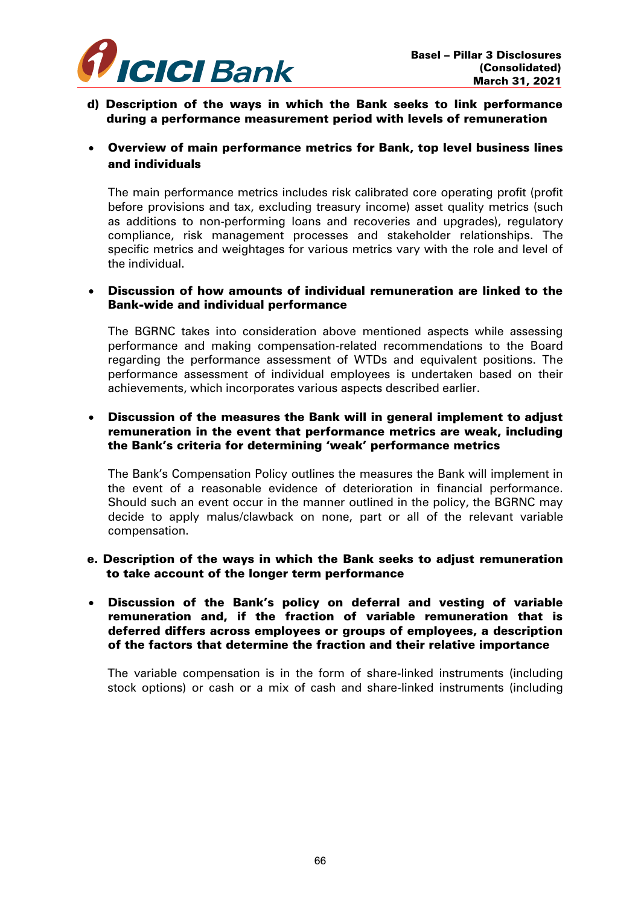

- d) Description of the ways in which the Bank seeks to link performance during a performance measurement period with levels of remuneration
- Overview of main performance metrics for Bank, top level business lines and individuals

The main performance metrics includes risk calibrated core operating profit (profit before provisions and tax, excluding treasury income) asset quality metrics (such as additions to non-performing loans and recoveries and upgrades), regulatory compliance, risk management processes and stakeholder relationships. The specific metrics and weightages for various metrics vary with the role and level of the individual.

#### Discussion of how amounts of individual remuneration are linked to the Bank-wide and individual performance

The BGRNC takes into consideration above mentioned aspects while assessing performance and making compensation-related recommendations to the Board regarding the performance assessment of WTDs and equivalent positions. The performance assessment of individual employees is undertaken based on their achievements, which incorporates various aspects described earlier.

# Discussion of the measures the Bank will in general implement to adjust remuneration in the event that performance metrics are weak, including the Bank's criteria for determining 'weak' performance metrics

The Bank's Compensation Policy outlines the measures the Bank will implement in the event of a reasonable evidence of deterioration in financial performance. Should such an event occur in the manner outlined in the policy, the BGRNC may decide to apply malus/clawback on none, part or all of the relevant variable compensation.

## e. Description of the ways in which the Bank seeks to adjust remuneration to take account of the longer term performance

#### Discussion of the Bank's policy on deferral and vesting of variable remuneration and, if the fraction of variable remuneration that is deferred differs across employees or groups of employees, a description of the factors that determine the fraction and their relative importance

The variable compensation is in the form of share-linked instruments (including stock options) or cash or a mix of cash and share-linked instruments (including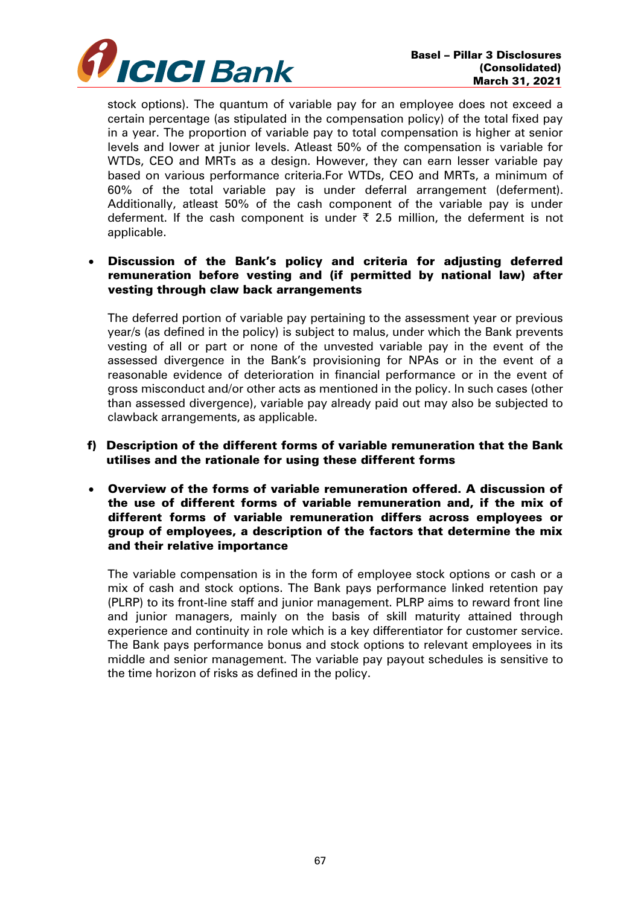

stock options). The quantum of variable pay for an employee does not exceed a certain percentage (as stipulated in the compensation policy) of the total fixed pay in a year. The proportion of variable pay to total compensation is higher at senior levels and lower at junior levels. Atleast 50% of the compensation is variable for WTDs, CEO and MRTs as a design. However, they can earn lesser variable pay based on various performance criteria.For WTDs, CEO and MRTs, a minimum of 60% of the total variable pay is under deferral arrangement (deferment). Additionally, atleast 50% of the cash component of the variable pay is under deferment. If the cash component is under  $\bar{\tau}$  2.5 million, the deferment is not applicable.

# Discussion of the Bank's policy and criteria for adjusting deferred remuneration before vesting and (if permitted by national law) after vesting through claw back arrangements

The deferred portion of variable pay pertaining to the assessment year or previous year/s (as defined in the policy) is subject to malus, under which the Bank prevents vesting of all or part or none of the unvested variable pay in the event of the assessed divergence in the Bank's provisioning for NPAs or in the event of a reasonable evidence of deterioration in financial performance or in the event of gross misconduct and/or other acts as mentioned in the policy. In such cases (other than assessed divergence), variable pay already paid out may also be subjected to clawback arrangements, as applicable.

#### f) Description of the different forms of variable remuneration that the Bank utilises and the rationale for using these different forms

 Overview of the forms of variable remuneration offered. A discussion of the use of different forms of variable remuneration and, if the mix of different forms of variable remuneration differs across employees or group of employees, a description of the factors that determine the mix and their relative importance

The variable compensation is in the form of employee stock options or cash or a mix of cash and stock options. The Bank pays performance linked retention pay (PLRP) to its front-line staff and junior management. PLRP aims to reward front line and junior managers, mainly on the basis of skill maturity attained through experience and continuity in role which is a key differentiator for customer service. The Bank pays performance bonus and stock options to relevant employees in its middle and senior management. The variable pay payout schedules is sensitive to the time horizon of risks as defined in the policy.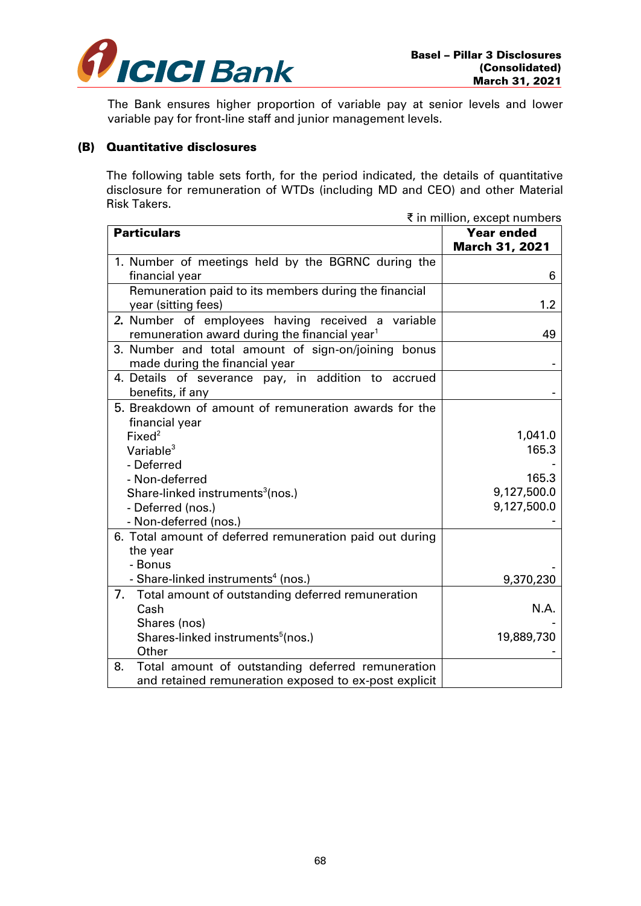

The Bank ensures higher proportion of variable pay at senior levels and lower variable pay for front-line staff and junior management levels.

#### (B) Quantitative disclosures

The following table sets forth, for the period indicated, the details of quantitative disclosure for remuneration of WTDs (including MD and CEO) and other Material Risk Takers.

|                                                                                                                | ₹ in million, except numbers               |
|----------------------------------------------------------------------------------------------------------------|--------------------------------------------|
| <b>Particulars</b>                                                                                             | <b>Year ended</b><br><b>March 31, 2021</b> |
| 1. Number of meetings held by the BGRNC during the<br>financial year                                           | 6                                          |
| Remuneration paid to its members during the financial<br>year (sitting fees)                                   | 1.2                                        |
| 2. Number of employees having received a variable<br>remuneration award during the financial year <sup>1</sup> | 49                                         |
| 3. Number and total amount of sign-on/joining bonus<br>made during the financial year                          |                                            |
| 4. Details of severance pay, in addition to<br>accrued<br>benefits, if any                                     |                                            |
| 5. Breakdown of amount of remuneration awards for the                                                          |                                            |
| financial year<br>Fixed <sup>2</sup>                                                                           | 1,041.0                                    |
| Variable $3$                                                                                                   | 165.3                                      |
| - Deferred                                                                                                     |                                            |
| - Non-deferred                                                                                                 | 165.3                                      |
| Share-linked instruments <sup>3</sup> (nos.)                                                                   | 9,127,500.0                                |
| - Deferred (nos.)                                                                                              | 9,127,500.0                                |
| - Non-deferred (nos.)                                                                                          |                                            |
| 6. Total amount of deferred remuneration paid out during                                                       |                                            |
| the year                                                                                                       |                                            |
| - Bonus                                                                                                        |                                            |
| - Share-linked instruments <sup>4</sup> (nos.)                                                                 | 9,370,230                                  |
| 7.<br>Total amount of outstanding deferred remuneration                                                        |                                            |
| Cash                                                                                                           | N.A.                                       |
| Shares (nos)                                                                                                   |                                            |
| Shares-linked instruments <sup>5</sup> (nos.)                                                                  | 19,889,730                                 |
| Other                                                                                                          |                                            |
| Total amount of outstanding deferred remuneration<br>8.                                                        |                                            |
| and retained remuneration exposed to ex-post explicit                                                          |                                            |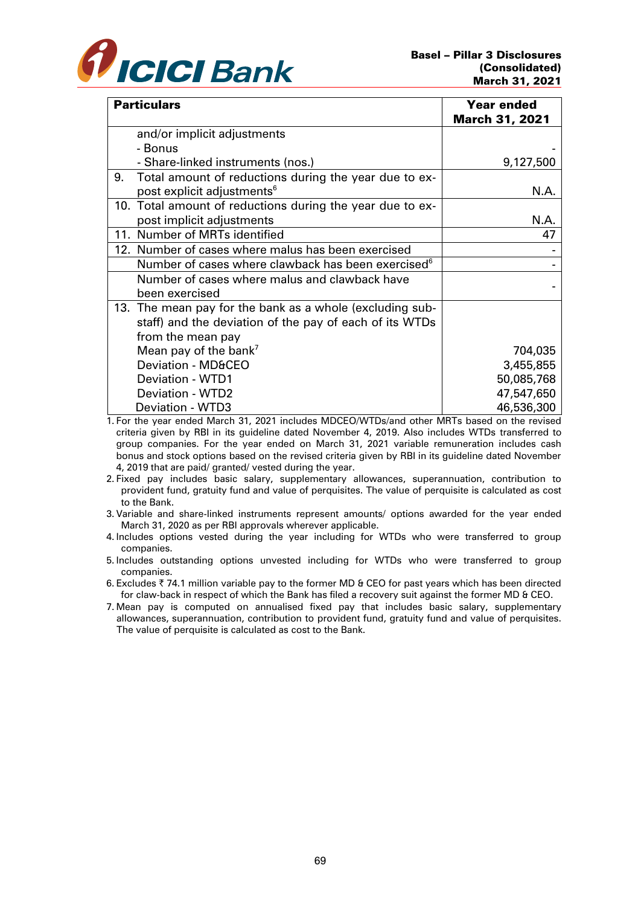

| <b>Particulars</b>                                             | <b>Year ended</b><br><b>March 31, 2021</b> |
|----------------------------------------------------------------|--------------------------------------------|
| and/or implicit adjustments                                    |                                            |
| - Bonus                                                        |                                            |
| - Share-linked instruments (nos.)                              | 9,127,500                                  |
| 9.<br>Total amount of reductions during the year due to ex-    |                                            |
| post explicit adjustments <sup>6</sup>                         | N.A.                                       |
| 10. Total amount of reductions during the year due to ex-      |                                            |
| post implicit adjustments                                      | N.A.                                       |
| 11. Number of MRTs identified                                  | 47                                         |
| 12. Number of cases where malus has been exercised             |                                            |
| Number of cases where clawback has been exercised <sup>6</sup> |                                            |
| Number of cases where malus and clawback have                  |                                            |
| been exercised                                                 |                                            |
| 13. The mean pay for the bank as a whole (excluding sub-       |                                            |
| staff) and the deviation of the pay of each of its WTDs        |                                            |
| from the mean pay                                              |                                            |
| Mean pay of the bank <sup>7</sup>                              | 704,035                                    |
| Deviation - MD&CEO                                             | 3,455,855                                  |
| Deviation - WTD1                                               | 50,085,768                                 |
| <b>Deviation - WTD2</b>                                        | 47,547,650                                 |
| Deviation - WTD3                                               | 46,536,300                                 |

1. For the year ended March 31, 2021 includes MDCEO/WTDs/and other MRTs based on the revised criteria given by RBI in its guideline dated November 4, 2019. Also includes WTDs transferred to group companies. For the year ended on March 31, 2021 variable remuneration includes cash bonus and stock options based on the revised criteria given by RBI in its guideline dated November 4, 2019 that are paid/ granted/ vested during the year.

- 2. Fixed pay includes basic salary, supplementary allowances, superannuation, contribution to provident fund, gratuity fund and value of perquisites. The value of perquisite is calculated as cost to the Bank.
- 3. Variable and share-linked instruments represent amounts/ options awarded for the year ended March 31, 2020 as per RBI approvals wherever applicable.
- 4. Includes options vested during the year including for WTDs who were transferred to group companies.
- 5. Includes outstanding options unvested including for WTDs who were transferred to group companies.
- 6. Excludes  $\bar{\tau}$  74.1 million variable pay to the former MD & CEO for past years which has been directed for claw-back in respect of which the Bank has filed a recovery suit against the former MD & CEO.
- 7. Mean pay is computed on annualised fixed pay that includes basic salary, supplementary allowances, superannuation, contribution to provident fund, gratuity fund and value of perquisites. The value of perquisite is calculated as cost to the Bank.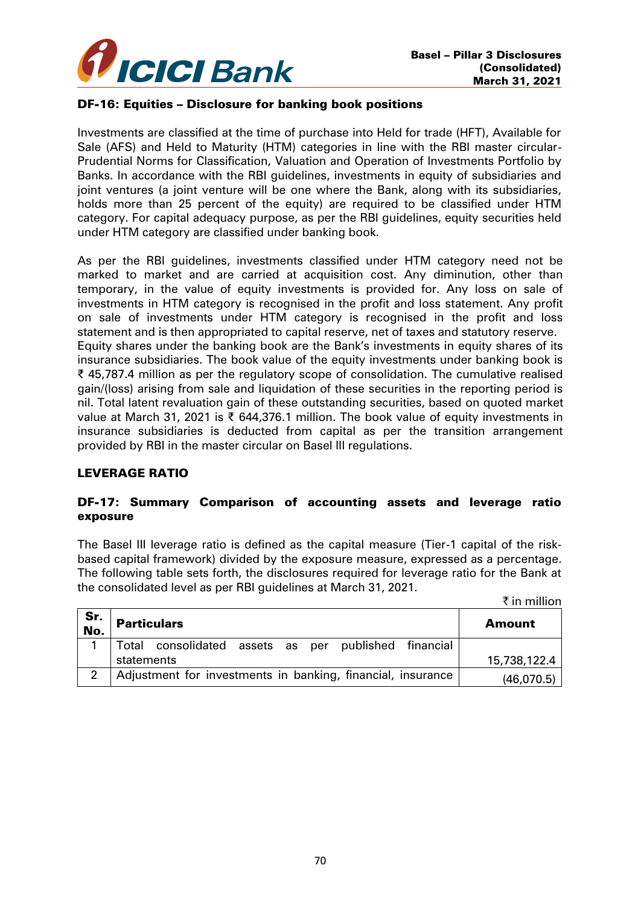

# DF-16: Equities – Disclosure for banking book positions

Investments are classified at the time of purchase into Held for trade (HFT), Available for Sale (AFS) and Held to Maturity (HTM) categories in line with the RBI master circular-Prudential Norms for Classification, Valuation and Operation of Investments Portfolio by Banks. In accordance with the RBI guidelines, investments in equity of subsidiaries and joint ventures (a joint venture will be one where the Bank, along with its subsidiaries, holds more than 25 percent of the equity) are required to be classified under HTM category. For capital adequacy purpose, as per the RBI guidelines, equity securities held under HTM category are classified under banking book.

As per the RBI guidelines, investments classified under HTM category need not be marked to market and are carried at acquisition cost. Any diminution, other than temporary, in the value of equity investments is provided for. Any loss on sale of investments in HTM category is recognised in the profit and loss statement. Any profit on sale of investments under HTM category is recognised in the profit and loss statement and is then appropriated to capital reserve, net of taxes and statutory reserve. Equity shares under the banking book are the Bank's investments in equity shares of its insurance subsidiaries. The book value of the equity investments under banking book is ₹ 45,787.4 million as per the regulatory scope of consolidation. The cumulative realised gain/(loss) arising from sale and liquidation of these securities in the reporting period is nil. Total latent revaluation gain of these outstanding securities, based on quoted market value at March 31, 2021 is ₹ 644,376.1 million. The book value of equity investments in insurance subsidiaries is deducted from capital as per the transition arrangement provided by RBI in the master circular on Basel III regulations.

## LEVERAGE RATIO

## DF-17: Summary Comparison of accounting assets and leverage ratio exposure

The Basel III leverage ratio is defined as the capital measure (Tier-1 capital of the riskbased capital framework) divided by the exposure measure, expressed as a percentage. The following table sets forth, the disclosures required for leverage ratio for the Bank at the consolidated level as per RBI guidelines at March 31, 2021.

|            |                                                             | ₹ in million  |
|------------|-------------------------------------------------------------|---------------|
| Sr.<br>No. | <b>Particulars</b>                                          | <b>Amount</b> |
| 1          | Total consolidated assets as per published financial        |               |
|            | statements                                                  | 15,738,122.4  |
| 2          | Adjustment for investments in banking, financial, insurance | (46,070.5)    |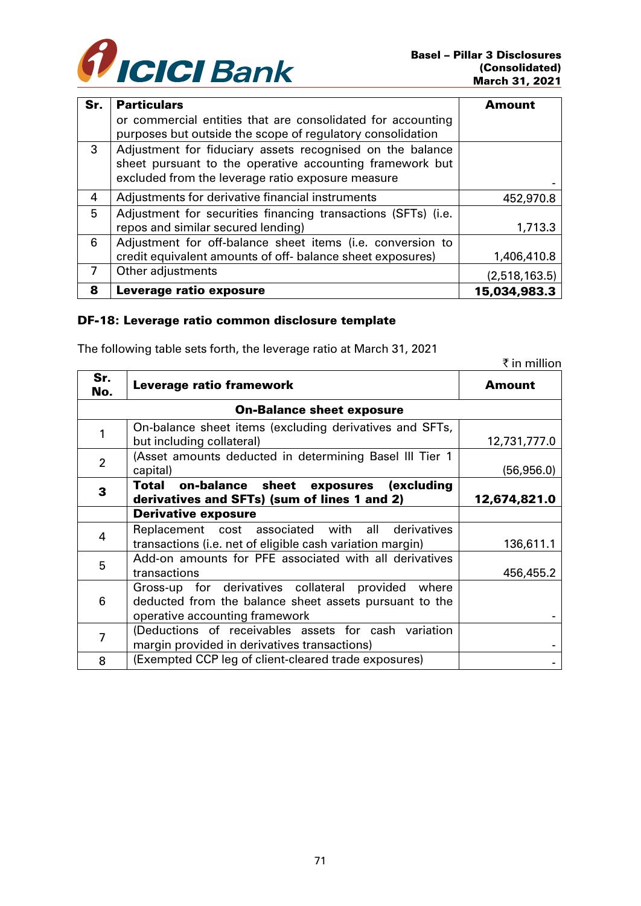

 $\bar{\tau}$  in million

| Sr. | <b>Particulars</b>                                            | Amount        |
|-----|---------------------------------------------------------------|---------------|
|     | or commercial entities that are consolidated for accounting   |               |
|     | purposes but outside the scope of regulatory consolidation    |               |
| 3   | Adjustment for fiduciary assets recognised on the balance     |               |
|     | sheet pursuant to the operative accounting framework but      |               |
|     | excluded from the leverage ratio exposure measure             |               |
| 4   | Adjustments for derivative financial instruments              | 452,970.8     |
| 5   | Adjustment for securities financing transactions (SFTs) (i.e. |               |
|     | repos and similar secured lending)                            | 1,713.3       |
| 6   | Adjustment for off-balance sheet items (i.e. conversion to    |               |
|     | credit equivalent amounts of off- balance sheet exposures)    | 1,406,410.8   |
| 7   | Other adjustments                                             | (2,518,163.5) |
| 8   | Leverage ratio exposure                                       | 15,034,983.3  |

## DF-18: Leverage ratio common disclosure template

The following table sets forth, the leverage ratio at March 31, 2021

| Sr.<br>No.                       | Leverage ratio framework                                                                                                                       | Amount       |  |
|----------------------------------|------------------------------------------------------------------------------------------------------------------------------------------------|--------------|--|
| <b>On-Balance sheet exposure</b> |                                                                                                                                                |              |  |
|                                  | On-balance sheet items (excluding derivatives and SFTs,<br>but including collateral)                                                           | 12,731,777.0 |  |
| 2                                | (Asset amounts deducted in determining Basel III Tier 1<br>capital)                                                                            | (56,956.0)   |  |
| 3                                | Total on-balance sheet exposures (excluding<br>derivatives and SFTs) (sum of lines 1 and 2)                                                    | 12,674,821.0 |  |
|                                  | <b>Derivative exposure</b>                                                                                                                     |              |  |
| 4                                | Replacement cost associated with all derivatives<br>transactions (i.e. net of eligible cash variation margin)                                  | 136,611.1    |  |
| 5                                | Add-on amounts for PFE associated with all derivatives<br>transactions                                                                         | 456,455.2    |  |
| 6                                | Gross-up for derivatives collateral provided where<br>deducted from the balance sheet assets pursuant to the<br>operative accounting framework |              |  |
| 7                                | (Deductions of receivables assets for cash variation<br>margin provided in derivatives transactions)                                           |              |  |
| 8                                | (Exempted CCP leg of client-cleared trade exposures)                                                                                           |              |  |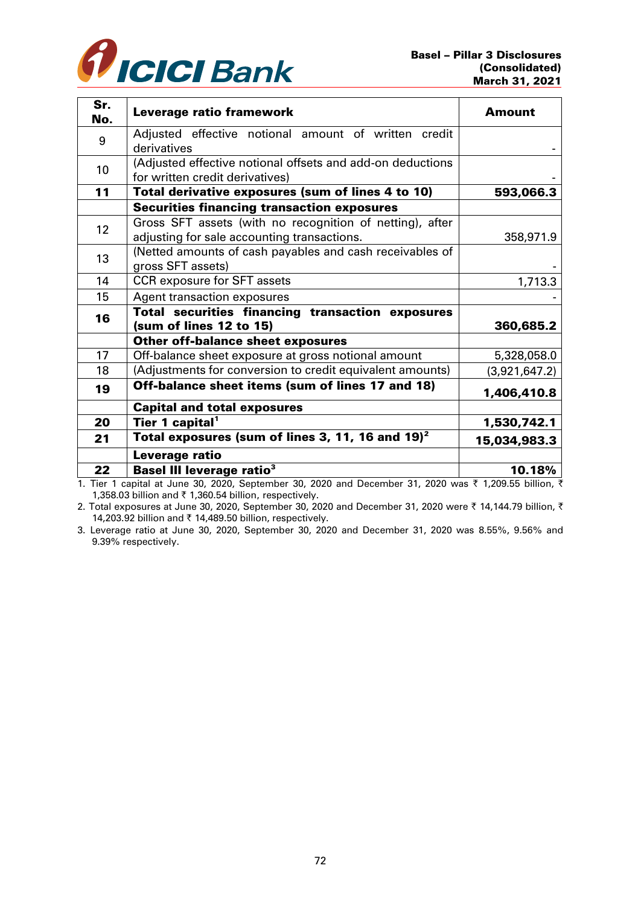

| Sr.<br>No. | Leverage ratio framework                                                                                | Amount        |
|------------|---------------------------------------------------------------------------------------------------------|---------------|
| 9          | Adjusted effective notional amount of written credit<br>derivatives                                     |               |
| 10         | (Adjusted effective notional offsets and add-on deductions<br>for written credit derivatives)           |               |
| 11         | Total derivative exposures (sum of lines 4 to 10)                                                       | 593,066.3     |
|            | <b>Securities financing transaction exposures</b>                                                       |               |
| 12         | Gross SFT assets (with no recognition of netting), after<br>adjusting for sale accounting transactions. | 358,971.9     |
| 13         | (Netted amounts of cash payables and cash receivables of<br>gross SFT assets)                           |               |
| 14         | <b>CCR</b> exposure for SFT assets                                                                      | 1,713.3       |
| 15         | <b>Agent transaction exposures</b>                                                                      |               |
| 16         | Total securities financing transaction exposures<br>(sum of lines 12 to 15)                             | 360,685.2     |
|            | <b>Other off-balance sheet exposures</b>                                                                |               |
| 17         | Off-balance sheet exposure at gross notional amount                                                     | 5,328,058.0   |
| 18         | (Adjustments for conversion to credit equivalent amounts)                                               | (3,921,647.2) |
| 19         | Off-balance sheet items (sum of lines 17 and 18)                                                        | 1,406,410.8   |
|            | <b>Capital and total exposures</b>                                                                      |               |
| 20         | Tier 1 capital <sup>1</sup>                                                                             | 1,530,742.1   |
| 21         | Total exposures (sum of lines 3, 11, 16 and $19)^2$                                                     | 15,034,983.3  |
|            | Leverage ratio                                                                                          |               |
| 22         | <b>Basel III leverage ratio<sup>3</sup></b>                                                             | 10.18%        |

1. Tier 1 capital at June 30, 2020, September 30, 2020 and December 31, 2020 was  $\bar{\tau}$  1,209.55 billion,  $\bar{\tau}$ 1,358.03 billion and  $\bar{\tau}$  1,360.54 billion, respectively.

2. Total exposures at June 30, 2020, September 30, 2020 and December 31, 2020 were ₹ 14,144.79 billion, ₹ 14,203.92 billion and  $\bar{\tau}$  14,489.50 billion, respectively.

3. Leverage ratio at June 30, 2020, September 30, 2020 and December 31, 2020 was 8.55%, 9.56% and 9.39% respectively.